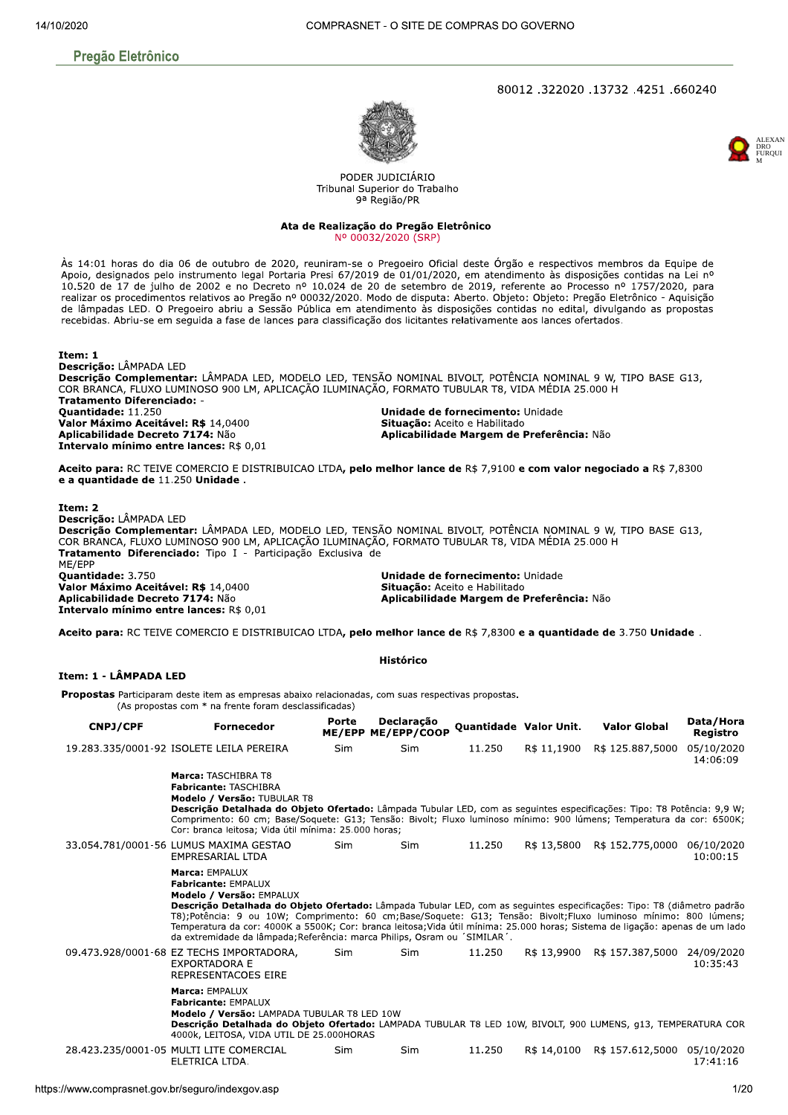## **Pregão Eletrônico**

#### 80012.322020.13732.4251.660240





PODER JUDICIÁRIO Tribunal Superior do Trabalho 9ª Região/PR

Ata de Realização do Pregão Eletrônico Nº 00032/2020 (SRP)

Às 14:01 horas do dia 06 de outubro de 2020, reuniram-se o Pregoeiro Oficial deste Órgão e respectivos membros da Equipe de Apoio, designados pelo instrumento legal Portaria Presi 67/2019 de 01/01/2020, em atendimento às disposições contidas na Lei nº 10.520 de 17 de julho de 2002 e no Decreto nº 10.024 de 20 de setembro de 2019, referente ao Processo nº 1757/2020, para realizar os procedimentos relativos ao Pregão nº 00032/2020. Modo de disputa: Aberto. Objeto: Objeto: Pregão Eletrônico - Aquisição de lâmpadas LED. O Pregoeiro abriu a Sessão Pública em atendimento às disposições contidas no edital, divulgando as propostas recebidas. Abriu-se em seguida a fase de lances para classificação dos licitantes relativamente aos lances ofertados.

Item: 1 Descrição: LÂMPADA LED Descrição Complementar: LÂMPADA LED, MODELO LED, TENSÃO NOMINAL BIVOLT, POTÊNCIA NOMINAL 9 W, TIPO BASE G13, COR BRANCA, FLUXO LUMINOSO 900 LM, APLICAÇÃO ILUMINAÇÃO, FORMATO TUBULAR T8, VIDA MÉDIA 25.000 H **Tratamento Diferenciado: -**Quantidade: 11.250 Unidade de fornecimento: Unidade Valor Máximo Aceitável: R\$ 14,0400 Situação: Aceito e Habilitado Aplicabilidade Decreto 7174: Não Aplicabilidade Margem de Preferência: Não Intervalo mínimo entre lances: R\$ 0.01

Aceito para: RC TEIVE COMERCIO E DISTRIBUICAO LTDA, pelo melhor lance de R\$ 7,9100 e com valor negociado a R\$ 7,8300 e a quantidade de 11.250 Unidade.

Ttem: 2 Descrição: LÂMPADA LED Descrição Complementar: LÂMPADA LED, MODELO LED, TENSÃO NOMINAL BIVOLT, POTÊNCIA NOMINAL 9 W, TIPO BASE G13, COR BRANCA, FLUXO LUMINOSO 900 LM, APLICAÇÃO ILUMINAÇÃO, FORMATO TUBULAR T8, VIDA MÉDIA 25.000 H Tratamento Diferenciado: Tipo I - Participação Exclusiva de ME/EPP **Ouantidade: 3.750** Unidade de fornecimento: Unidade Valor Máximo Aceitável: R\$ 14,0400 Situação: Aceito e Habilitado Aplicabilidade Decreto 7174: Não Aplicabilidade Margem de Preferência: Não Intervalo mínimo entre lances: R\$ 0,01

Aceito para: RC TEIVE COMERCIO E DISTRIBUICAO LTDA, pelo melhor lance de R\$ 7.8300 e a quantidade de 3.750 Unidade.

#### **Histórico**

Item: 1 - LÂMPADA LED

Propostas Participaram deste item as empresas abaixo relacionadas, com suas respectivas propostas. (As propostas com \* na frente foram desclassificadas)

ME/EPP ME/EPP/COOP Quantidade Valor Unit. Porte Declaração Data/Hora CNP1/CPF **Valor Global Fornecedor** Registro 19.283.335/0001-92 ISOLETE LEILA PEREIRA 05/10/2020 Sim Sim 11.250 R\$ 11,1900 R\$ 125.887.5000 14:06:09 Marca: TASCHIBRA T8 Fabricante: TASCHIBRA Modelo / Versão: TUBULAR T8 Descrição Detalhada do Objeto Ofertado: Lâmpada Tubular LED, com as seguintes especificações: Tipo: T8 Potência: 9,9 W; Comprimento: 60 cm; Base/Soquete: G13; Tensão: Bivolt; Fluxo luminoso mínimo: 900 lúmens; Temperatura da cor: 6500K;<br>Comprimento: 60 cm; Base/Soquete: G13; Tensão: Bivolt; Fluxo luminoso mínimo: 900 lúmens; Temperatura da 33.054.781/0001-56 LUMUS MAXIMA GESTAO R\$ 13,5800 R\$ 152.775,0000 06/10/2020 Sim Sim 11.250 EMPRESARIAL LTDA  $10.00.15$ Marca: EMPALUX Fabricante: FMPALUX Modelo / Versão: EMPALUX Descrição Detalhada do Objeto Ofertado: Lâmpada Tubular LED, com as seguintes especificações: Tipo: T8 (diâmetro padrão T8); Potência: 9 ou 10W; Comprimento: 60 cm; Base/Soquete: G13; Tensão: Bivolt; Fluxo luminoso mínimo: 800 lúmens;<br>Temperatura da cor: 4000K a 5500K; Cor: branca leitosa; Vida útil mínima: 25.000 horas; Sistema de ligação: da extremidade da lâmpada; Referência: marca Philips, Osram ou 'SIMILAR'. 09.473.928/0001-68 EZ TECHS IMPORTADORA. Sim Sim 11.250 R\$ 13,9900 R\$ 157,387,5000 24/09/2020 EXPORTADORA E  $10:35:43$ REPRESENTACOES EIRE Marca: FMPALUX **Fabricante: EMPALUX** Modelo / Versão: LAMPADA TUBULAR T8 LED 10W Descrição Detalhada do Objeto Ofertado: LAMPADA TUBULAR T8 LED 10W, BIVOLT, 900 LUMENS, 913, TEMPERATURA COR<br>4000k, LEITOSA, VIDA UTIL DE 25.000HORAS 28.423.235/0001-05 MULTI LITE COMERCIAL 11.250 R\$ 14,0100 R\$ 157.612,5000 05/10/2020 Sim Sim ELETRICA LTDA. 17:41:16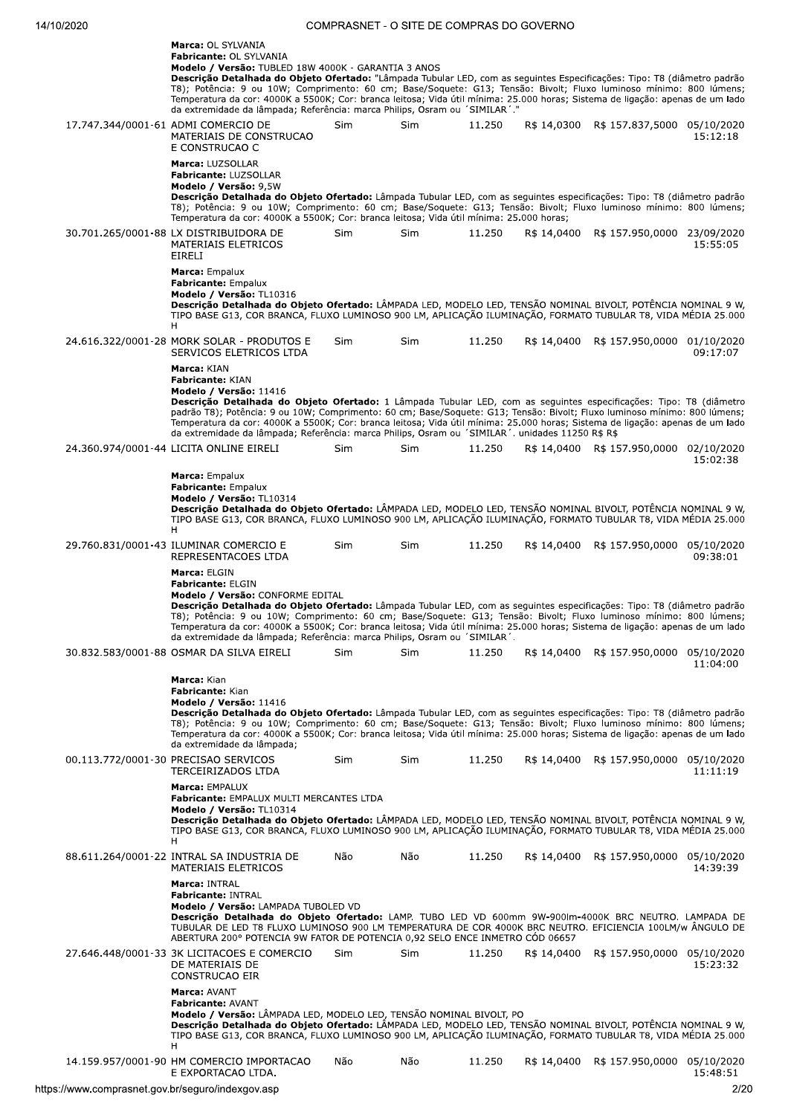| Marca: OL SYLVANIA<br>Fabricante: OL SYLVANIA<br>Modelo / Versão: TUBLED 18W 4000K - GARANTIA 3 ANOS<br>Descrição Detalhada do Objeto Ofertado: "Lâmpada Tubular LED, com as sequintes Especificações: Tipo: T8 (diâmetro padrão<br>T8); Potência: 9 ou 10W; Comprimento: 60 cm; Base/Soquete: G13; Tensão: Bivolt; Fluxo luminoso mínimo: 800 lúmens;<br>Temperatura da cor: 4000K a 5500K; Cor: branca leitosa; Vida útil mínima: 25.000 horas; Sistema de ligação: apenas de um lado<br>da extremidade da lâmpada; Referência: marca Philips, Osram ou 'SIMILAR'." |     |            |        |             |                                         |          |
|-----------------------------------------------------------------------------------------------------------------------------------------------------------------------------------------------------------------------------------------------------------------------------------------------------------------------------------------------------------------------------------------------------------------------------------------------------------------------------------------------------------------------------------------------------------------------|-----|------------|--------|-------------|-----------------------------------------|----------|
| 17.747.344/0001-61 ADMI COMERCIO DE<br>MATERIAIS DE CONSTRUCAO<br>E CONSTRUCAO C                                                                                                                                                                                                                                                                                                                                                                                                                                                                                      | Sim | Sim        | 11.250 |             | R\$ 14,0300 R\$ 157.837,5000 05/10/2020 | 15:12:18 |
| Marca: LUZSOLLAR<br>Fabricante: LUZSOLLAR<br>Modelo / Versão: 9,5W<br>Descrição Detalhada do Objeto Ofertado: Lâmpada Tubular LED, com as seguintes especificações: Tipo: T8 (diâmetro padrão<br>T8); Potência: 9 ou 10W; Comprimento: 60 cm; Base/Soquete: G13; Tensão: Bivolt; Fluxo luminoso mínimo: 800 lúmens;<br>Temperatura da cor: 4000K a 5500K; Cor: branca leitosa; Vida útil mínima: 25.000 horas;                                                                                                                                                        |     |            |        |             |                                         |          |
| 30.701.265/0001-88 LX DISTRIBUIDORA DE<br>MATERIAIS ELETRICOS<br>EIRELI                                                                                                                                                                                                                                                                                                                                                                                                                                                                                               | Sim | Sim        | 11.250 |             | R\$ 14,0400 R\$ 157.950,0000 23/09/2020 | 15:55:05 |
| Marca: Empalux<br><b>Fabricante: Empalux</b><br>Modelo / Versão: TL10316<br>Descrição Detalhada do Objeto Ofertado: LÂMPADA LED, MODELO LED, TENSÃO NOMINAL BIVOLT, POTÊNCIA NOMINAL 9 W,<br>TIPO BASE G13, COR BRANCA, FLUXO LUMINOSO 900 LM, APLICAÇÃO ILUMINAÇÃO, FORMATO TUBULAR T8, VIDA MÉDIA 25.000<br>H                                                                                                                                                                                                                                                       |     |            |        |             |                                         |          |
| 24.616.322/0001-28 MORK SOLAR - PRODUTOS E<br>SERVICOS ELETRICOS LTDA<br>Marca: KIAN                                                                                                                                                                                                                                                                                                                                                                                                                                                                                  | Sim | Sim        | 11.250 |             | R\$ 14,0400 R\$ 157.950,0000 01/10/2020 | 09:17:07 |
| <b>Fabricante: KIAN</b><br>Modelo / Versão: 11416<br>Descrição Detalhada do Objeto Ofertado: 1 Lâmpada Tubular LED, com as seguintes especificações: Tipo: T8 (diâmetro<br>padrão T8); Potência: 9 ou 10W; Comprimento: 60 cm; Base/Soquete: G13; Tensão: Bivolt; Fluxo luminoso mínimo: 800 lúmens;<br>Temperatura da cor: 4000K a 5500K; Cor: branca leitosa; Vida útil mínima: 25.000 horas; Sistema de ligação: apenas de um lado<br>da extremidade da lâmpada; Referência: marca Philips, Osram ou 'SIMILAR'. unidades 11250 R\$ R\$                             |     |            |        |             |                                         |          |
| 24.360.974/0001-44 LICITA ONLINE EIRELI                                                                                                                                                                                                                                                                                                                                                                                                                                                                                                                               | Sim | Sim        | 11.250 |             | R\$ 14,0400 R\$ 157.950,0000 02/10/2020 | 15:02:38 |
| Marca: Empalux<br><b>Fabricante: Empalux</b><br>Modelo / Versão: TL10314<br>Descrição Detalhada do Objeto Ofertado: LÂMPADA LED, MODELO LED, TENSÃO NOMINAL BIVOLT, POTÊNCIA NOMINAL 9 W,<br>TIPO BASE G13, COR BRANCA, FLUXO LUMINOSO 900 LM, APLICAÇÃO ILUMINAÇÃO, FORMATO TUBULAR T8, VIDA MÉDIA 25.000<br>H                                                                                                                                                                                                                                                       |     |            |        |             |                                         |          |
| 29.760.831/0001-43 ILUMINAR COMERCIO E<br>REPRESENTACOES LTDA                                                                                                                                                                                                                                                                                                                                                                                                                                                                                                         | Sim | Sim        | 11.250 |             | R\$ 14,0400 R\$ 157.950,0000 05/10/2020 | 09:38:01 |
| Marca: ELGIN<br><b>Fabricante: ELGIN</b><br>Modelo / Versão: CONFORME EDITAL<br>Descrição Detalhada do Objeto Ofertado: Lâmpada Tubular LED, com as seguintes especificações: Tipo: T8 (diâmetro padrão<br>T8); Potência: 9 ou 10W; Comprimento: 60 cm; Base/Soquete: G13; Tensão: Bivolt; Fluxo luminoso mínimo: 800 lúmens;<br>Temperatura da cor: 4000K a 5500K; Cor: branca leitosa; Vida útil mínima: 25.000 horas; Sistema de ligação: apenas de um lado<br>da extremidade da lâmpada; Referência: marca Philips, Osram ou 'SIMILAR'.                           |     |            |        |             |                                         |          |
| 30.832.583/0001-88 OSMAR DA SILVA EIRELI                                                                                                                                                                                                                                                                                                                                                                                                                                                                                                                              | Sim | <b>Sim</b> | 11.250 |             | R\$ 14,0400 R\$ 157.950,0000 05/10/2020 | 11:04:00 |
| Marca: Kian<br>Fabricante: Kian<br>Modelo / Versão: 11416<br>Descrição Detalhada do Objeto Ofertado: Lâmpada Tubular LED, com as sequintes especificações: Tipo: T8 (diâmetro padrão<br>T8); Potência: 9 ou 10W; Comprimento: 60 cm; Base/Soquete: G13; Tensão: Bivolt; Fluxo luminoso mínimo: 800 lúmens;<br>Temperatura da cor: 4000K a 5500K; Cor: branca leitosa; Vida útil mínima: 25.000 horas; Sistema de ligação: apenas de um lado<br>da extremidade da lâmpada;                                                                                             |     |            |        |             |                                         |          |
| 00.113.772/0001-30 PRECISAO SERVICOS<br>TERCEIRIZADOS LTDA                                                                                                                                                                                                                                                                                                                                                                                                                                                                                                            | Sim | Sim        | 11.250 |             | R\$ 14,0400 R\$ 157.950,0000 05/10/2020 | 11:11:19 |
| Marca: EMPALUX<br>Fabricante: EMPALUX MULTI MERCANTES LTDA<br>Modelo / Versão: TL10314<br>Descrição Detalhada do Objeto Ofertado: LÂMPADA LED, MODELO LED, TENSÃO NOMINAL BIVOLT, POTÊNCIA NOMINAL 9 W,<br>TIPO BASE G13, COR BRANCA, FLUXO LUMINOSO 900 LM, APLICAÇÃO ILUMINAÇÃO, FORMATO TUBULAR T8, VIDA MÉDIA 25.000                                                                                                                                                                                                                                              |     |            |        |             |                                         |          |
| н<br>88.611.264/0001-22 INTRAL SA INDUSTRIA DE<br>MATERIAIS ELETRICOS                                                                                                                                                                                                                                                                                                                                                                                                                                                                                                 | Não | Não        | 11.250 |             | R\$ 14,0400 R\$ 157.950,0000 05/10/2020 | 14:39:39 |
| Marca: INTRAL<br><b>Fabricante: INTRAL</b><br>Modelo / Versão: LAMPADA TUBOLED VD<br>Descrição Detalhada do Objeto Ofertado: LAMP. TUBO LED VD 600mm 9W-900lm-4000K BRC NEUTRO. LAMPADA DE<br>TUBULAR DE LED T8 FLUXO LUMINOSO 900 LM TEMPERATURA DE COR 4000K BRC NEUTRO. EFICIENCIA 100LM/w ÂNGULO DE<br>ABERTURA 200° POTENCIA 9W FATOR DE POTENCIA 0,92 SELO ENCE INMETRO CÓD 06657                                                                                                                                                                               |     |            |        |             |                                         |          |
| 27.646.448/0001-33 3K LICITACOES E COMERCIO<br>DE MATERIAIS DE<br>CONSTRUCAO EIR                                                                                                                                                                                                                                                                                                                                                                                                                                                                                      | Sim | Sim        | 11.250 | R\$ 14,0400 | R\$ 157.950,0000 05/10/2020             | 15:23:32 |
| <b>Marca: AVANT</b><br><b>Fabricante: AVANT</b><br>Modelo / Versão: LÂMPADA LED, MODELO LED, TENSÃO NOMINAL BIVOLT, PO<br>Descrição Detalhada do Objeto Ofertado: LÂMPADA LED, MODELO LED, TENSÃO NOMINAL BIVOLT, POTÊNCIA NOMINAL 9 W,<br>TIPO BASE G13, COR BRANCA, FLUXO LUMINOSO 900 LM, APLICAÇÃO ILUMINAÇÃO, FORMATO TUBULAR T8, VIDA MÉDIA 25.000                                                                                                                                                                                                              |     |            |        |             |                                         |          |
| н<br>14.159.957/0001-90 HM COMERCIO IMPORTACAO<br>E EXPORTACAO LTDA.                                                                                                                                                                                                                                                                                                                                                                                                                                                                                                  | Não | Não        | 11.250 |             | R\$ 14,0400 R\$ 157.950,0000 05/10/2020 | 15:48:51 |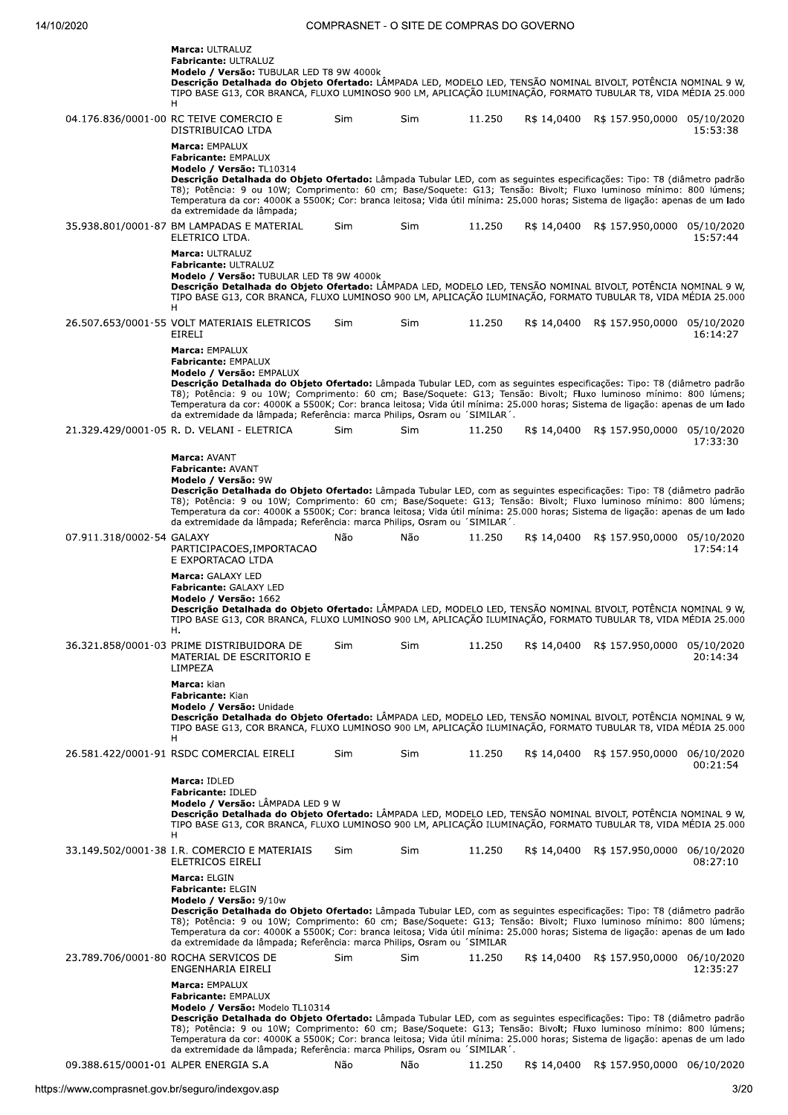|                                      | <b>Marca: ULTRALUZ</b><br>Fabricante: ULTRALUZ<br>Modelo / Versão: TUBULAR LED T8 9W 4000k<br>Descrição Detalhada do Objeto Ofertado: LÂMPADA LED, MODELO LED, TENSÃO NOMINAL BIVOLT, POTÊNCIA NOMINAL 9 W,<br>TIPO BASE G13, COR BRANCA, FLUXO LUMINOSO 900 LM, APLICAÇÃO ILUMINAÇÃO, FORMATO TUBULAR T8, VIDA MÉDIA 25.000<br>H                                                                                                                                                                                                       |            |     |        |             |                             |                        |
|--------------------------------------|-----------------------------------------------------------------------------------------------------------------------------------------------------------------------------------------------------------------------------------------------------------------------------------------------------------------------------------------------------------------------------------------------------------------------------------------------------------------------------------------------------------------------------------------|------------|-----|--------|-------------|-----------------------------|------------------------|
|                                      | 04.176.836/0001-00 RC TEIVE COMERCIO E<br>DISTRIBUICAO LTDA<br>Marca: EMPALUX<br><b>Fabricante: EMPALUX</b>                                                                                                                                                                                                                                                                                                                                                                                                                             | Sim        | Sim | 11.250 | R\$ 14,0400 | R\$ 157.950,0000 05/10/2020 | 15:53:38               |
|                                      | Modelo / Versão: TL10314<br>Descrição Detalhada do Objeto Ofertado: Lâmpada Tubular LED, com as sequintes especificações: Tipo: T8 (diâmetro padrão<br>T8); Potência: 9 ou 10W; Comprimento: 60 cm; Base/Soquete: G13; Tensão: Bivolt; Fluxo luminoso mínimo: 800 lúmens;<br>Temperatura da cor: 4000K a 5500K; Cor: branca leitosa; Vida útil mínima: 25.000 horas; Sistema de ligação: apenas de um lado<br>da extremidade da lâmpada;                                                                                                |            |     |        |             |                             |                        |
|                                      | 35.938.801/0001-87 BM LAMPADAS E MATERIAL<br>ELETRICO LTDA.                                                                                                                                                                                                                                                                                                                                                                                                                                                                             | Sim        | Sim | 11.250 | R\$ 14,0400 | R\$ 157.950,0000 05/10/2020 | 15:57:44               |
|                                      | Marca: ULTRALUZ<br>Fabricante: ULTRALUZ<br>Modelo / Versão: TUBULAR LED T8 9W 4000k<br>Descrição Detalhada do Objeto Ofertado: LÂMPADA LED, MODELO LED, TENSÃO NOMINAL BIVOLT, POTÊNCIA NOMINAL 9 W,<br>TIPO BASE G13, COR BRANCA, FLUXO LUMINOSO 900 LM, APLICAÇÃO ILUMINAÇÃO, FORMATO TUBULAR T8, VIDA MÉDIA 25.000<br>H                                                                                                                                                                                                              |            |     |        |             |                             |                        |
|                                      | 26.507.653/0001-55 VOLT MATERIAIS ELETRICOS<br>EIRELI                                                                                                                                                                                                                                                                                                                                                                                                                                                                                   | Sim        | Sim | 11.250 | R\$ 14,0400 | R\$ 157.950,0000 05/10/2020 | 16:14:27               |
|                                      | Marca: EMPALUX<br><b>Fabricante: EMPALUX</b><br>Modelo / Versão: EMPALUX<br>Descrição Detalhada do Objeto Ofertado: Lâmpada Tubular LED, com as seguintes especificações: Tipo: T8 (diâmetro padrão<br>T8); Potência: 9 ou 10W; Comprimento: 60 cm; Base/Soquete: G13; Tensão: Bivolt; Fluxo luminoso mínimo: 800 lúmens;<br>Temperatura da cor: 4000K a 5500K; Cor: branca leitosa; Vida útil mínima: 25.000 horas; Sistema de ligação: apenas de um lado<br>da extremidade da lâmpada; Referência: marca Philips, Osram ou 'SIMILAR'. |            |     |        |             |                             |                        |
|                                      | 21.329.429/0001-05 R. D. VELANI - ELETRICA                                                                                                                                                                                                                                                                                                                                                                                                                                                                                              | <b>Sim</b> | Sim | 11.250 | R\$ 14,0400 | R\$ 157.950,0000 05/10/2020 | 17:33:30               |
|                                      | Marca: AVANT<br><b>Fabricante: AVANT</b><br>Modelo / Versão: 9W<br>Descrição Detalhada do Objeto Ofertado: Lâmpada Tubular LED, com as seguintes especificações: Tipo: T8 (diâmetro padrão<br>T8); Potência: 9 ou 10W; Comprimento: 60 cm; Base/Soquete: G13; Tensão: Bivolt; Fluxo luminoso mínimo: 800 lúmens;<br>Temperatura da cor: 4000K a 5500K; Cor: branca leitosa; Vida útil mínima: 25.000 horas; Sistema de ligação: apenas de um lado<br>da extremidade da lâmpada; Referência: marca Philips, Osram ou 'SIMILAR'.          |            |     |        |             |                             |                        |
| 07.911.318/0002-54 GALAXY            | PARTICIPACOES, IMPORTACAO<br>E EXPORTACAO LTDA                                                                                                                                                                                                                                                                                                                                                                                                                                                                                          | Não        | Não | 11.250 | R\$ 14,0400 | R\$ 157.950,0000 05/10/2020 | 17:54:14               |
|                                      | Marca: GALAXY LED<br><b>Fabricante: GALAXY LED</b><br>Modelo / Versão: 1662<br>Descrição Detalhada do Objeto Ofertado: LÂMPADA LED, MODELO LED, TENSÃO NOMINAL BIVOLT, POTÊNCIA NOMINAL 9 W,<br>TIPO BASE G13, COR BRANCA, FLUXO LUMINOSO 900 LM, APLICAÇÃO ILUMINAÇÃO, FORMATO TUBULAR T8, VIDA MÉDIA 25.000                                                                                                                                                                                                                           |            |     |        |             |                             |                        |
|                                      | н.<br>36.321.858/0001-03 PRIME DISTRIBUIDORA DE<br>MATERIAL DE ESCRITORIO E<br>LIMPEZA                                                                                                                                                                                                                                                                                                                                                                                                                                                  | Sim        | Sim | 11.250 | R\$ 14,0400 | R\$ 157.950,0000 05/10/2020 | 20:14:34               |
|                                      | Marca: kian<br>Fabricante: Kian<br>Modelo / Versão: Unidade<br>Descrição Detalhada do Objeto Ofertado: LÂMPADA LED, MODELO LED, TENSÃO NOMINAL BIVOLT, POTÊNCIA NOMINAL 9 W,<br>TIPO BASE G13, COR BRANCA, FLUXO LUMINOSO 900 LM, APLICAÇÃO ILUMINAÇÃO, FORMATO TUBULAR T8, VIDA MÉDIA 25.000<br>H                                                                                                                                                                                                                                      |            |     |        |             |                             |                        |
|                                      | 26.581.422/0001-91 RSDC COMERCIAL EIRELI                                                                                                                                                                                                                                                                                                                                                                                                                                                                                                | <b>Sim</b> | Sim | 11.250 | R\$ 14,0400 | R\$ 157.950,0000 06/10/2020 | 00:21:54               |
|                                      | Marca: IDLED<br>Fabricante: IDLED<br>Modelo / Versão: LÂMPADA LED 9 W<br>Descrição Detalhada do Objeto Ofertado: LÂMPADA LED, MODELO LED, TENSÃO NOMINAL BIVOLT, POTÊNCIA NOMINAL 9 W,<br>TIPO BASE G13, COR BRANCA, FLUXO LUMINOSO 900 LM, APLICAÇÃO ILUMINAÇÃO, FORMATO TUBULAR T8, VIDA MÉDIA 25.000                                                                                                                                                                                                                                 |            |     |        |             |                             |                        |
|                                      | H<br>33.149.502/0001-38 I.R. COMERCIO E MATERIAIS<br>ELETRICOS EIRELI                                                                                                                                                                                                                                                                                                                                                                                                                                                                   | Sim        | Sim | 11.250 | R\$ 14,0400 | R\$ 157.950,0000 06/10/2020 | 08:27:10               |
|                                      | Marca: ELGIN<br><b>Fabricante: ELGIN</b><br>Modelo / Versão: 9/10w<br>Descrição Detalhada do Objeto Ofertado: Lâmpada Tubular LED, com as seguintes especificações: Tipo: T8 (diâmetro padrão<br>T8); Potência: 9 ou 10W; Comprimento: 60 cm; Base/Soquete: G13; Tensão: Bivolt; Fluxo luminoso mínimo: 800 lúmens;<br>Temperatura da cor: 4000K a 5500K; Cor: branca leitosa; Vida útil mínima: 25.000 horas; Sistema de ligação: apenas de um lado<br>da extremidade da lâmpada; Referência: marca Philips, Osram ou 'SIMILAR         |            |     |        |             |                             |                        |
|                                      | 23.789.706/0001-80 ROCHA SERVICOS DE<br>ENGENHARIA EIRELI                                                                                                                                                                                                                                                                                                                                                                                                                                                                               | Sim        | Sim | 11.250 | R\$ 14,0400 | R\$ 157.950,0000            | 06/10/2020<br>12:35:27 |
|                                      | <b>Marca: EMPALUX</b><br><b>Fabricante: EMPALUX</b><br>Modelo / Versão: Modelo TL10314<br>Descrição Detalhada do Objeto Ofertado: Lâmpada Tubular LED, com as seguintes especificações: Tipo: T8 (diâmetro padrão<br>T8); Potência: 9 ou 10W; Comprimento: 60 cm; Base/Soquete: G13; Tensão: Bivolt; Fluxo luminoso mínimo: 800 lúmens;<br>Temperatura da cor: 4000K a 5500K; Cor: branca leitosa; Vida útil mínima: 25.000 horas; Sistema de ligação: apenas de um lado                                                                |            |     |        |             |                             |                        |
| 09.388.615/0001-01 ALPER ENERGIA S.A | da extremidade da lâmpada; Referência: marca Philips, Osram ou 'SIMILAR'.                                                                                                                                                                                                                                                                                                                                                                                                                                                               | Não        | Não | 11.250 | R\$ 14,0400 | R\$ 157.950,0000 06/10/2020 |                        |
|                                      | ://www.comprasnet.gov.br/seguro/indexgov.asp                                                                                                                                                                                                                                                                                                                                                                                                                                                                                            |            |     |        |             |                             | 3/2(                   |
|                                      |                                                                                                                                                                                                                                                                                                                                                                                                                                                                                                                                         |            |     |        |             |                             |                        |
|                                      |                                                                                                                                                                                                                                                                                                                                                                                                                                                                                                                                         |            |     |        |             |                             |                        |
|                                      |                                                                                                                                                                                                                                                                                                                                                                                                                                                                                                                                         |            |     |        |             |                             |                        |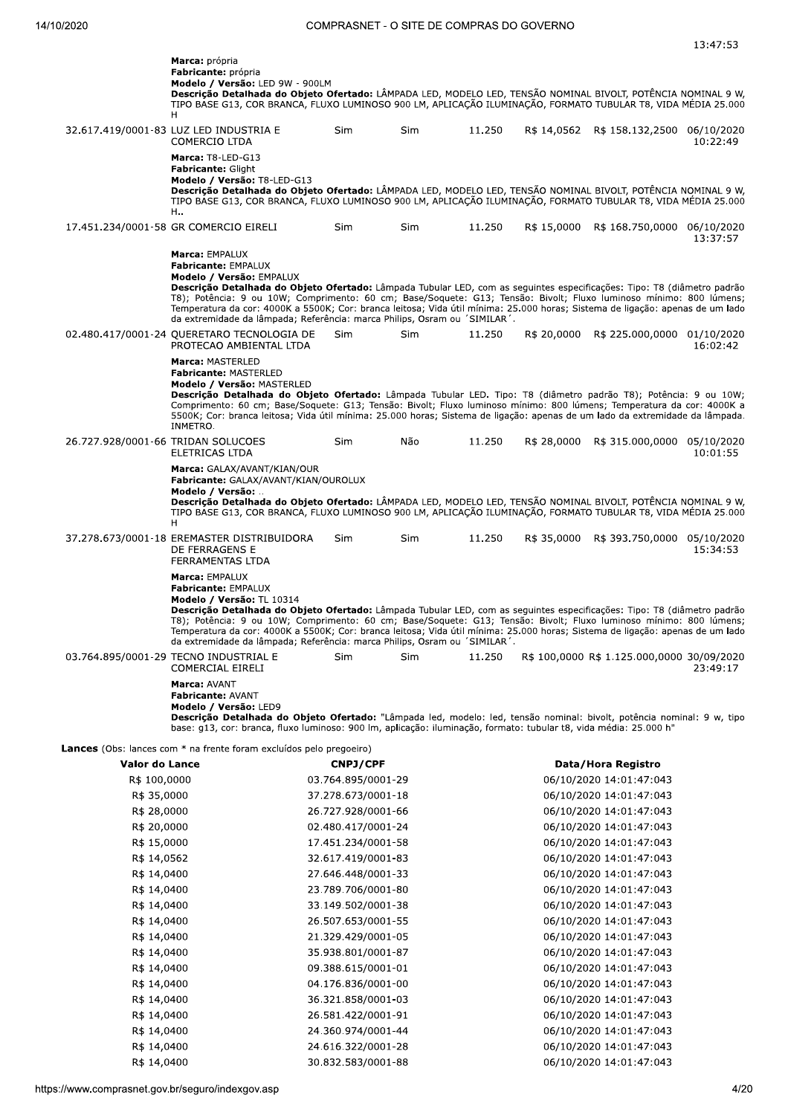|                                    | Marca: própria<br>Fabricante: própria<br>Modelo / Versão: LED 9W - 900LM<br>Descrição Detalhada do Objeto Ofertado: LÂMPADA LED, MODELO LED, TENSÃO NOMINAL BIVOLT, POTÊNCIA NOMINAL 9 W,<br>TIPO BASE G13, COR BRANCA, FLUXO LUMINOSO 900 LM, APLICAÇÃO ILUMINAÇÃO, FORMATO TUBULAR T8, VIDA MÉDIA 25.000<br>H                                                                                                                                                                                                                         |                    |            |        |             |                                            |                        |
|------------------------------------|-----------------------------------------------------------------------------------------------------------------------------------------------------------------------------------------------------------------------------------------------------------------------------------------------------------------------------------------------------------------------------------------------------------------------------------------------------------------------------------------------------------------------------------------|--------------------|------------|--------|-------------|--------------------------------------------|------------------------|
|                                    | 32.617.419/0001-83 LUZ LED INDUSTRIA E<br>COMERCIO LTDA                                                                                                                                                                                                                                                                                                                                                                                                                                                                                 | <b>Sim</b>         | <b>Sim</b> | 11.250 |             | R\$ 14,0562 R\$ 158.132,2500               | 06/10/2020<br>10:22:49 |
|                                    | Marca: T8-LED-G13<br><b>Fabricante: Glight</b><br>Modelo / Versão: T8-LED-G13<br>Descrição Detalhada do Objeto Ofertado: LÂMPADA LED, MODELO LED, TENSÃO NOMINAL BIVOLT, POTÊNCIA NOMINAL 9 W,<br>TIPO BASE G13, COR BRANCA, FLUXO LUMINOSO 900 LM, APLICAÇÃO ILUMINAÇÃO, FORMATO TUBULAR T8, VIDA MÉDIA 25.000<br>H.,                                                                                                                                                                                                                  |                    |            |        |             |                                            |                        |
|                                    | 17.451.234/0001-58 GR COMERCIO EIRELI                                                                                                                                                                                                                                                                                                                                                                                                                                                                                                   | Sim                | Sim        | 11.250 |             | R\$ 15,0000 R\$ 168.750,0000 06/10/2020    | 13:37:57               |
|                                    | Marca: EMPALUX<br><b>Fabricante: EMPALUX</b><br>Modelo / Versão: EMPALUX<br>Descrição Detalhada do Objeto Ofertado: Lâmpada Tubular LED, com as seguintes especificações: Tipo: T8 (diâmetro padrão<br>T8); Potência: 9 ou 10W; Comprimento: 60 cm; Base/Soquete: G13; Tensão: Bivolt; Fluxo luminoso mínimo: 800 lúmens;<br>Temperatura da cor: 4000K a 5500K; Cor: branca leitosa; Vida útil mínima: 25.000 horas; Sistema de ligação: apenas de um lado<br>da extremidade da lâmpada; Referência: marca Philips, Osram ou 'SIMILAR'. |                    |            |        |             |                                            |                        |
|                                    | 02.480.417/0001-24 QUERETARO TECNOLOGIA DE<br>PROTECAO AMBIENTAL LTDA                                                                                                                                                                                                                                                                                                                                                                                                                                                                   | Sim                | <b>Sim</b> | 11.250 | R\$ 20,0000 | R\$ 225.000,0000 01/10/2020                | 16:02:42               |
|                                    | Marca: MASTERLED<br><b>Fabricante: MASTERLED</b><br>Modelo / Versão: MASTERLED<br>Descrição Detalhada do Objeto Ofertado: Lâmpada Tubular LED. Tipo: T8 (diâmetro padrão T8); Potência: 9 ou 10W;<br>Comprimento: 60 cm; Base/Soquete: G13; Tensão: Bivolt; Fluxo luminoso mínimo: 800 lúmens; Temperatura da cor: 4000K a<br>5500K; Cor: branca leitosa; Vida útil mínima: 25.000 horas; Sistema de ligação: apenas de um lado da extremidade da lâmpada.<br>INMETRO.                                                                  |                    |            |        |             |                                            |                        |
| 26.727.928/0001-66 TRIDAN SOLUCOES | ELETRICAS LTDA                                                                                                                                                                                                                                                                                                                                                                                                                                                                                                                          | Sim                | Não        | 11.250 | R\$ 28,0000 | R\$ 315.000,0000 05/10/2020                | 10:01:55               |
|                                    | Marca: GALAX/AVANT/KIAN/OUR<br>Fabricante: GALAX/AVANT/KIAN/OUROLUX<br>Modelo / Versão:<br>Descrição Detalhada do Objeto Ofertado: LÂMPADA LED, MODELO LED, TENSÃO NOMINAL BIVOLT, POTÊNCIA NOMINAL 9 W,<br>TIPO BASE G13, COR BRANCA, FLUXO LUMINOSO 900 LM, APLICAÇÃO ILUMINAÇÃO, FORMATO TUBULAR T8, VIDA MÉDIA 25.000<br>H                                                                                                                                                                                                          |                    |            |        |             |                                            |                        |
|                                    | 37.278.673/0001-18 EREMASTER DISTRIBUIDORA<br>DE FERRAGENS E<br>FERRAMENTAS LTDA                                                                                                                                                                                                                                                                                                                                                                                                                                                        | Sim                | Sim        | 11.250 | R\$ 35,0000 | R\$ 393.750,0000 05/10/2020                | 15:34:53               |
|                                    | Marca: EMPALUX<br>Fabricante: EMPALUX<br>Modelo / Versão: TL 10314<br>Descrição Detalhada do Objeto Ofertado: Lâmpada Tubular LED, com as seguintes especificações: Tipo: T8 (diâmetro padrão<br>T8); Potência: 9 ou 10W; Comprimento: 60 cm; Base/Soquete: G13; Tensão: Bivolt; Fluxo luminoso mínimo: 800 lúmens;<br>Temperatura da cor: 4000K a 5500K; Cor: branca leitosa; Vida útil mínima: 25.000 horas; Sistema de ligação: apenas de um lado<br>da extremidade da lâmpada; Referência: marca Philips, Osram ou 'SIMILAR'.       |                    |            |        |             |                                            |                        |
|                                    | 03.764.895/0001-29 TECNO INDUSTRIAL E<br>COMERCIAL EIRELI                                                                                                                                                                                                                                                                                                                                                                                                                                                                               | Sim                | Sim        | 11.250 |             | R\$ 100,0000 R\$ 1.125.000,0000 30/09/2020 | 23:49:17               |
|                                    | Marca: AVANT<br><b>Fabricante: AVANT</b><br>Modelo / Versão: LED9<br>Descrição Detalhada do Objeto Ofertado: "Lâmpada led, modelo: led, tensão nominal: bivolt, potência nominal: 9 w, tipo<br>base: q13, cor: branca, fluxo luminoso: 900 lm, aplicação: iluminação, formato: tubular t8, vida média: 25.000 h"                                                                                                                                                                                                                        |                    |            |        |             |                                            |                        |
|                                    | <b>Lances</b> (Obs: lances com * na frente foram excluídos pelo pregoeiro)                                                                                                                                                                                                                                                                                                                                                                                                                                                              |                    |            |        |             |                                            |                        |
| Valor do Lance                     |                                                                                                                                                                                                                                                                                                                                                                                                                                                                                                                                         | <b>CNPJ/CPF</b>    |            |        |             | Data/Hora Registro                         |                        |
| R\$ 100,0000                       |                                                                                                                                                                                                                                                                                                                                                                                                                                                                                                                                         | 03.764.895/0001-29 |            |        |             | 06/10/2020 14:01:47:043                    |                        |
| R\$ 35,0000                        |                                                                                                                                                                                                                                                                                                                                                                                                                                                                                                                                         | 37.278.673/0001-18 |            |        |             | 06/10/2020 14:01:47:043                    |                        |
| R\$ 28,0000                        |                                                                                                                                                                                                                                                                                                                                                                                                                                                                                                                                         | 26.727.928/0001-66 |            |        |             | 06/10/2020 14:01:47:043                    |                        |
| R\$ 20,0000                        |                                                                                                                                                                                                                                                                                                                                                                                                                                                                                                                                         | 02.480.417/0001-24 |            |        |             | 06/10/2020 14:01:47:043                    |                        |

ft;\*/ZOOOO \*.n-/\*nm+-qOOO\*N/k Opq\*OqmOmO;\*-,O\*,-.,O-+ R\$ 14,0562 32.617.419/0001-83 06/10/2020 14:01:47:043 R\$ 14,0400 <br>R\$ 14,0400 <br>R\$ 14,0400 <br>23.789.706/0001-80 <br>23.789.706/0001-80 <br>23.789.706/0001-80 <br>23.789.706/0001-80 <br>23.789.706/0001-80

ft;\*-ZO-OO ++n\*-Ln/OmqOOO\*N+k Opq\*OqmOmO;\*-,O\*,-.,O-+ R\$ 14,0400 26.507.653/0001-55 06/10/2020 14:01:47:043 R\$ 14,0400 <br>R\$ 14,0400 <br>R\$ 14,0400 <br>35.938.801/0001-87 <br>35.938.801/0001-87 <br>06/10/2020 14:01:47:043 ft;\*-ZO-OO +/nL+knkO\*qOOO\*Nk. Opq\*OqmOmO;\*-,O\*,-.,O-+ R\$ 14,0400 00.388.615/0001-01 06/10/2020 14:01:47:043 R\$ 14,0400 06/10/2020 14:01:47:043 ft;\*-ZO-OO +pn+m\*nk/kqOOO\*NO+ Opq\*OqmOmO;\*-,O\*,-.,O-+ R\$ 14,0400 26.581.422/0001-91 06/10/2020 14:01:47:043 R\$ 14,0400 24.360.974/0001-44 06/10/2020 14:01:47:043 R\$ 14,0400 24.616.322/0001-28 06/10/2020 14:01:47:043 ft;\*-ZO-OO +Onk+mn/k+qOOO\*Nkk Opq\*OqmOmO;\*-,O\*,-.,O-+

https://www.comprasnet.gov.br/seguro/in (1) 147:043<br>
R\$ 14,0400<br>
R\$ 14,0400<br>
R\$ 14,0400<br>
R\$ 14,0400<br>
R\$ 14,0400<br>
26.581.422/0001-91<br>
24.360.974/0001-44<br>
24.360.974/0001-44<br>
24.360.974/0001-44<br>
24.616.322/0001-28<br>
R\$ 14,0400<br>
30.832.583/0001-88<br>
R\$ 14,0400<br>
30.8

06/10/2020 14:01:47:043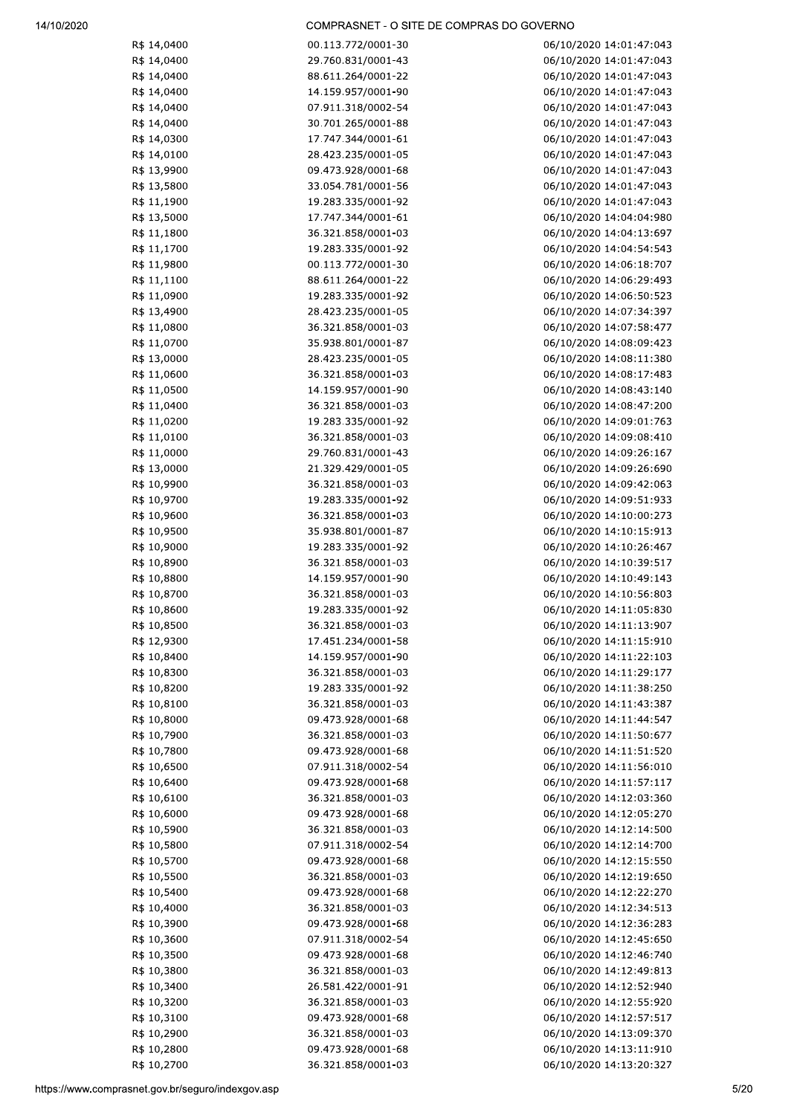| R\$ 14,0400 | 00.113.772/0001-30 | 06/10/2020 14:01:47:043 |
|-------------|--------------------|-------------------------|
| R\$ 14,0400 | 29.760.831/0001-43 | 06/10/2020 14:01:47:043 |
| R\$ 14,0400 | 88.611.264/0001-22 | 06/10/2020 14:01:47:043 |
| R\$ 14,0400 | 14.159.957/0001-90 | 06/10/2020 14:01:47:043 |
| R\$ 14,0400 | 07.911.318/0002-54 | 06/10/2020 14:01:47:043 |
| R\$ 14,0400 | 30.701.265/0001-88 | 06/10/2020 14:01:47:043 |
| R\$ 14,0300 | 17.747.344/0001-61 | 06/10/2020 14:01:47:043 |
| R\$ 14,0100 | 28.423.235/0001-05 | 06/10/2020 14:01:47:043 |
| R\$ 13,9900 | 09.473.928/0001-68 | 06/10/2020 14:01:47:043 |
| R\$ 13,5800 | 33.054.781/0001-56 | 06/10/2020 14:01:47:043 |
|             |                    |                         |
| R\$ 11,1900 | 19.283.335/0001-92 | 06/10/2020 14:01:47:043 |
| R\$ 13,5000 | 17.747.344/0001-61 | 06/10/2020 14:04:04:980 |
| R\$ 11,1800 | 36.321.858/0001-03 | 06/10/2020 14:04:13:697 |
| R\$ 11,1700 | 19.283.335/0001-92 | 06/10/2020 14:04:54:543 |
| R\$ 11,9800 | 00.113.772/0001-30 | 06/10/2020 14:06:18:707 |
| R\$ 11,1100 | 88.611.264/0001-22 | 06/10/2020 14:06:29:493 |
| R\$ 11,0900 | 19.283.335/0001-92 | 06/10/2020 14:06:50:523 |
| R\$ 13,4900 | 28.423.235/0001-05 | 06/10/2020 14:07:34:397 |
| R\$ 11,0800 | 36.321.858/0001-03 | 06/10/2020 14:07:58:477 |
| R\$ 11,0700 | 35.938.801/0001-87 | 06/10/2020 14:08:09:423 |
| R\$ 13,0000 | 28.423.235/0001-05 | 06/10/2020 14:08:11:380 |
| R\$ 11,0600 | 36.321.858/0001-03 | 06/10/2020 14:08:17:483 |
| R\$ 11,0500 | 14.159.957/0001-90 | 06/10/2020 14:08:43:140 |
| R\$ 11,0400 | 36.321.858/0001-03 | 06/10/2020 14:08:47:200 |
|             |                    |                         |
| R\$ 11,0200 | 19.283.335/0001-92 | 06/10/2020 14:09:01:763 |
| R\$ 11,0100 | 36.321.858/0001-03 | 06/10/2020 14:09:08:410 |
| R\$ 11,0000 | 29.760.831/0001-43 | 06/10/2020 14:09:26:167 |
| R\$ 13,0000 | 21.329.429/0001-05 | 06/10/2020 14:09:26:690 |
| R\$ 10,9900 | 36.321.858/0001-03 | 06/10/2020 14:09:42:063 |
| R\$ 10,9700 | 19.283.335/0001-92 | 06/10/2020 14:09:51:933 |
| R\$ 10,9600 | 36.321.858/0001-03 | 06/10/2020 14:10:00:273 |
| R\$ 10,9500 | 35.938.801/0001-87 | 06/10/2020 14:10:15:913 |
| R\$ 10,9000 | 19.283.335/0001-92 | 06/10/2020 14:10:26:467 |
| R\$ 10,8900 | 36.321.858/0001-03 | 06/10/2020 14:10:39:517 |
| R\$ 10,8800 | 14.159.957/0001-90 | 06/10/2020 14:10:49:143 |
| R\$ 10,8700 | 36.321.858/0001-03 | 06/10/2020 14:10:56:803 |
| R\$ 10,8600 | 19.283.335/0001-92 | 06/10/2020 14:11:05:830 |
| R\$ 10,8500 | 36.321.858/0001-03 | 06/10/2020 14:11:13:907 |
| R\$ 12,9300 | 17.451.234/0001-58 | 06/10/2020 14:11:15:910 |
| R\$ 10,8400 | 14.159.957/0001-90 | 06/10/2020 14:11:22:103 |
|             |                    | 06/10/2020 14:11:29:177 |
| R\$ 10,8300 | 36.321.858/0001-03 |                         |
| R\$ 10,8200 | 19.283.335/0001-92 | 06/10/2020 14:11:38:250 |
| R\$ 10,8100 | 36.321.858/0001-03 | 06/10/2020 14:11:43:387 |
| R\$ 10,8000 | 09.473.928/0001-68 | 06/10/2020 14:11:44:547 |
| R\$ 10,7900 | 36.321.858/0001-03 | 06/10/2020 14:11:50:677 |
| R\$ 10,7800 | 09.473.928/0001-68 | 06/10/2020 14:11:51:520 |
| R\$ 10,6500 | 07.911.318/0002-54 | 06/10/2020 14:11:56:010 |
| R\$ 10,6400 | 09.473.928/0001-68 | 06/10/2020 14:11:57:117 |
| R\$ 10,6100 | 36.321.858/0001-03 | 06/10/2020 14:12:03:360 |
| R\$ 10,6000 | 09.473.928/0001-68 | 06/10/2020 14:12:05:270 |
| R\$ 10,5900 | 36.321.858/0001-03 | 06/10/2020 14:12:14:500 |
| R\$ 10,5800 | 07.911.318/0002-54 | 06/10/2020 14:12:14:700 |
| R\$ 10,5700 | 09.473.928/0001-68 | 06/10/2020 14:12:15:550 |
| R\$ 10,5500 | 36.321.858/0001-03 | 06/10/2020 14:12:19:650 |
|             |                    |                         |
| R\$ 10,5400 | 09.473.928/0001-68 | 06/10/2020 14:12:22:270 |
| R\$ 10,4000 | 36.321.858/0001-03 | 06/10/2020 14:12:34:513 |
| R\$ 10,3900 | 09.473.928/0001-68 | 06/10/2020 14:12:36:283 |
| R\$ 10,3600 | 07.911.318/0002-54 | 06/10/2020 14:12:45:650 |
| R\$ 10,3500 | 09.473.928/0001-68 | 06/10/2020 14:12:46:740 |
| R\$ 10,3800 | 36.321.858/0001-03 | 06/10/2020 14:12:49:813 |
| R\$ 10,3400 | 26.581.422/0001-91 | 06/10/2020 14:12:52:940 |
| R\$ 10,3200 | 36.321.858/0001-03 | 06/10/2020 14:12:55:920 |
| R\$ 10,3100 | 09.473.928/0001-68 | 06/10/2020 14:12:57:517 |
| R\$ 10,2900 | 36.321.858/0001-03 | 06/10/2020 14:13:09:370 |
| R\$ 10,2800 | 09.473.928/0001-68 | 06/10/2020 14:13:11:910 |
| R\$ 10,2700 | 36.321.858/0001-03 | 06/10/2020 14:13:20:327 |
|             |                    |                         |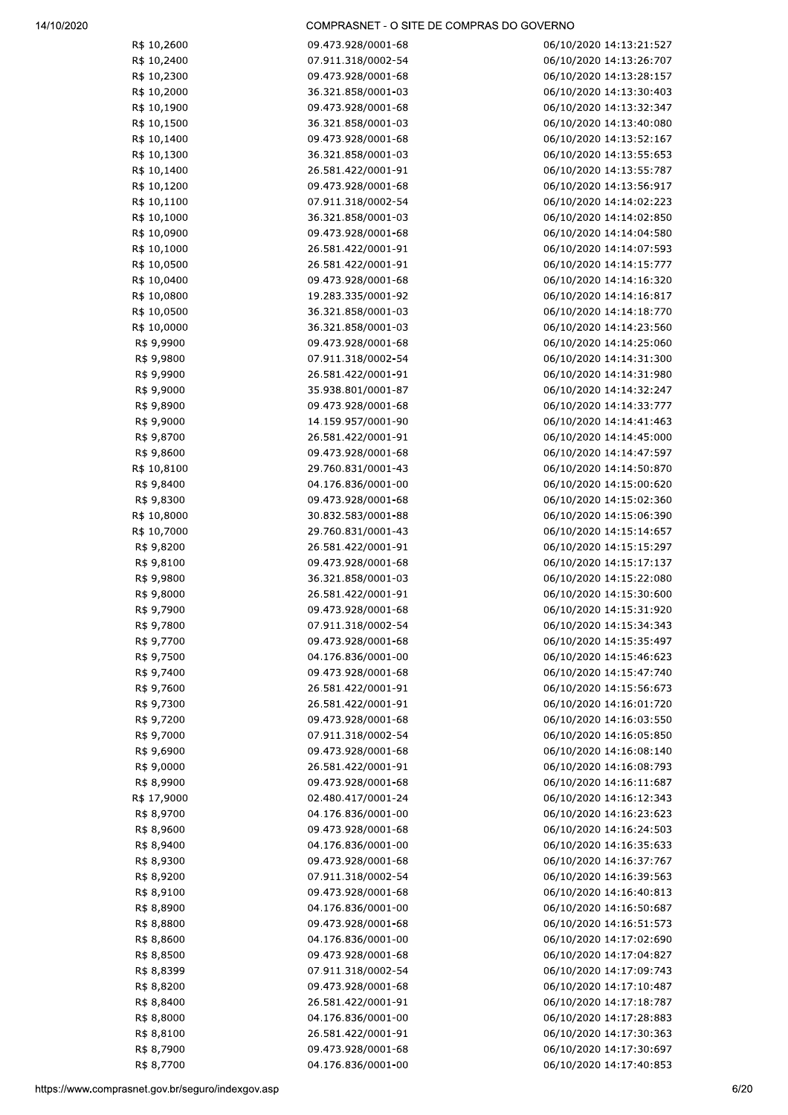| R\$ 10,2600 | 09.473.928/0001-68 | 06/10/2020 14:13:21:527 |
|-------------|--------------------|-------------------------|
| R\$ 10,2400 | 07.911.318/0002-54 | 06/10/2020 14:13:26:707 |
| R\$ 10,2300 | 09.473.928/0001-68 | 06/10/2020 14:13:28:157 |
| R\$ 10,2000 | 36.321.858/0001-03 | 06/10/2020 14:13:30:403 |
| R\$ 10,1900 | 09.473.928/0001-68 | 06/10/2020 14:13:32:347 |
| R\$ 10,1500 | 36.321.858/0001-03 | 06/10/2020 14:13:40:080 |
| R\$ 10,1400 | 09.473.928/0001-68 | 06/10/2020 14:13:52:167 |
| R\$ 10,1300 | 36.321.858/0001-03 | 06/10/2020 14:13:55:653 |
| R\$ 10,1400 | 26.581.422/0001-91 | 06/10/2020 14:13:55:787 |
| R\$ 10,1200 | 09.473.928/0001-68 | 06/10/2020 14:13:56:917 |
| R\$ 10,1100 | 07.911.318/0002-54 | 06/10/2020 14:14:02:223 |
| R\$ 10,1000 | 36.321.858/0001-03 | 06/10/2020 14:14:02:850 |
| R\$ 10,0900 | 09.473.928/0001-68 | 06/10/2020 14:14:04:580 |
| R\$ 10,1000 | 26.581.422/0001-91 | 06/10/2020 14:14:07:593 |
| R\$ 10,0500 | 26.581.422/0001-91 | 06/10/2020 14:14:15:777 |
| R\$ 10,0400 | 09.473.928/0001-68 | 06/10/2020 14:14:16:320 |
| R\$ 10,0800 | 19.283.335/0001-92 | 06/10/2020 14:14:16:817 |
| R\$ 10,0500 | 36.321.858/0001-03 | 06/10/2020 14:14:18:770 |
| R\$ 10,0000 | 36.321.858/0001-03 | 06/10/2020 14:14:23:560 |
|             | 09.473.928/0001-68 |                         |
| R\$ 9,9900  |                    | 06/10/2020 14:14:25:060 |
| R\$ 9,9800  | 07.911.318/0002-54 | 06/10/2020 14:14:31:300 |
| R\$ 9,9900  | 26.581.422/0001-91 | 06/10/2020 14:14:31:980 |
| R\$ 9,9000  | 35.938.801/0001-87 | 06/10/2020 14:14:32:247 |
| R\$ 9,8900  | 09.473.928/0001-68 | 06/10/2020 14:14:33:777 |
| R\$ 9,9000  | 14.159.957/0001-90 | 06/10/2020 14:14:41:463 |
| R\$ 9,8700  | 26.581.422/0001-91 | 06/10/2020 14:14:45:000 |
| R\$ 9,8600  | 09.473.928/0001-68 | 06/10/2020 14:14:47:597 |
| R\$ 10,8100 | 29.760.831/0001-43 | 06/10/2020 14:14:50:870 |
| R\$ 9,8400  | 04.176.836/0001-00 | 06/10/2020 14:15:00:620 |
| R\$ 9,8300  | 09.473.928/0001-68 | 06/10/2020 14:15:02:360 |
| R\$ 10,8000 | 30.832.583/0001-88 | 06/10/2020 14:15:06:390 |
| R\$ 10,7000 | 29.760.831/0001-43 | 06/10/2020 14:15:14:657 |
| R\$ 9,8200  | 26.581.422/0001-91 | 06/10/2020 14:15:15:297 |
| R\$ 9,8100  | 09.473.928/0001-68 | 06/10/2020 14:15:17:137 |
| R\$ 9,9800  | 36.321.858/0001-03 | 06/10/2020 14:15:22:080 |
| R\$ 9,8000  | 26.581.422/0001-91 | 06/10/2020 14:15:30:600 |
| R\$ 9,7900  | 09.473.928/0001-68 | 06/10/2020 14:15:31:920 |
| R\$ 9,7800  | 07.911.318/0002-54 | 06/10/2020 14:15:34:343 |
| R\$ 9,7700  | 09.473.928/0001-68 | 06/10/2020 14:15:35:497 |
| R\$ 9,7500  | 04.176.836/0001-00 | 06/10/2020 14:15:46:623 |
| R\$ 9,7400  | 09.473.928/0001-68 | 06/10/2020 14:15:47:740 |
| R\$ 9,7600  | 26.581.422/0001-91 | 06/10/2020 14:15:56:673 |
| R\$ 9,7300  | 26.581.422/0001-91 | 06/10/2020 14:16:01:720 |
| R\$ 9,7200  | 09.473.928/0001-68 | 06/10/2020 14:16:03:550 |
| R\$ 9,7000  | 07.911.318/0002-54 | 06/10/2020 14:16:05:850 |
| R\$ 9,6900  | 09.473.928/0001-68 | 06/10/2020 14:16:08:140 |
| R\$ 9,0000  | 26.581.422/0001-91 | 06/10/2020 14:16:08:793 |
| R\$ 8,9900  | 09.473.928/0001-68 | 06/10/2020 14:16:11:687 |
| R\$ 17,9000 | 02.480.417/0001-24 | 06/10/2020 14:16:12:343 |
|             | 04.176.836/0001-00 |                         |
| R\$ 8,9700  |                    | 06/10/2020 14:16:23:623 |
| R\$ 8,9600  | 09.473.928/0001-68 | 06/10/2020 14:16:24:503 |
| R\$ 8,9400  | 04.176.836/0001-00 | 06/10/2020 14:16:35:633 |
| R\$ 8,9300  | 09.473.928/0001-68 | 06/10/2020 14:16:37:767 |
| R\$ 8,9200  | 07.911.318/0002-54 | 06/10/2020 14:16:39:563 |
| R\$ 8,9100  | 09.473.928/0001-68 | 06/10/2020 14:16:40:813 |
| R\$ 8,8900  | 04.176.836/0001-00 | 06/10/2020 14:16:50:687 |
| R\$ 8,8800  | 09.473.928/0001-68 | 06/10/2020 14:16:51:573 |
| R\$ 8,8600  | 04.176.836/0001-00 | 06/10/2020 14:17:02:690 |
| R\$ 8,8500  | 09.473.928/0001-68 | 06/10/2020 14:17:04:827 |
| R\$ 8,8399  | 07.911.318/0002-54 | 06/10/2020 14:17:09:743 |
| R\$ 8,8200  | 09.473.928/0001-68 | 06/10/2020 14:17:10:487 |
| R\$ 8,8400  | 26.581.422/0001-91 | 06/10/2020 14:17:18:787 |
| R\$ 8,8000  | 04.176.836/0001-00 | 06/10/2020 14:17:28:883 |
| R\$ 8,8100  | 26.581.422/0001-91 | 06/10/2020 14:17:30:363 |
| R\$ 8,7900  | 09.473.928/0001-68 | 06/10/2020 14:17:30:697 |
| R\$ 8,7700  | 04.176.836/0001-00 | 06/10/2020 14:17:40:853 |
|             |                    |                         |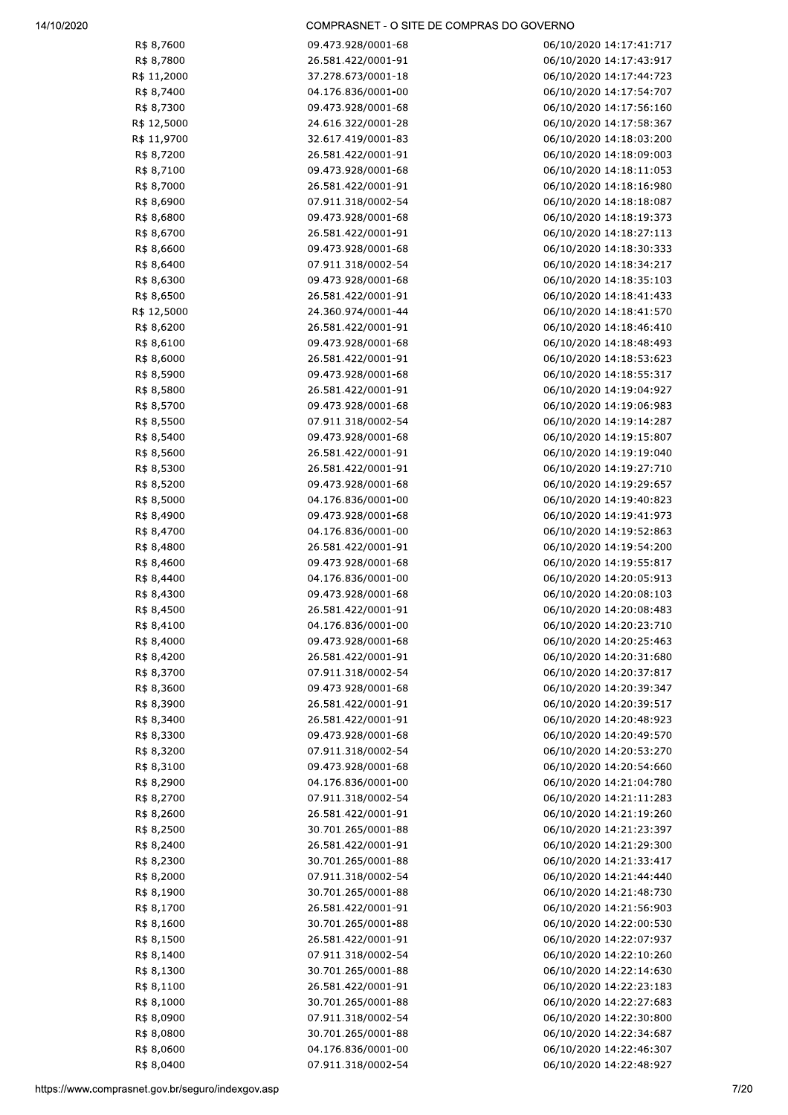| R\$ 8,7600  | 09.473.928/0001-68 | 06/10/2020 14:17:41:717 |
|-------------|--------------------|-------------------------|
| R\$ 8,7800  | 26.581.422/0001-91 | 06/10/2020 14:17:43:917 |
| R\$ 11,2000 | 37.278.673/0001-18 | 06/10/2020 14:17:44:723 |
| R\$ 8,7400  | 04.176.836/0001-00 | 06/10/2020 14:17:54:707 |
| R\$ 8,7300  | 09.473.928/0001-68 | 06/10/2020 14:17:56:160 |
| R\$ 12,5000 | 24.616.322/0001-28 | 06/10/2020 14:17:58:367 |
|             |                    |                         |
| R\$ 11,9700 | 32.617.419/0001-83 | 06/10/2020 14:18:03:200 |
| R\$ 8,7200  | 26.581.422/0001-91 | 06/10/2020 14:18:09:003 |
| R\$ 8,7100  | 09.473.928/0001-68 | 06/10/2020 14:18:11:053 |
| R\$ 8,7000  | 26.581.422/0001-91 | 06/10/2020 14:18:16:980 |
| R\$ 8,6900  | 07.911.318/0002-54 | 06/10/2020 14:18:18:087 |
| R\$ 8,6800  | 09.473.928/0001-68 | 06/10/2020 14:18:19:373 |
| R\$ 8,6700  | 26.581.422/0001-91 | 06/10/2020 14:18:27:113 |
| R\$ 8,6600  | 09.473.928/0001-68 | 06/10/2020 14:18:30:333 |
| R\$ 8,6400  | 07.911.318/0002-54 | 06/10/2020 14:18:34:217 |
| R\$ 8,6300  | 09.473.928/0001-68 | 06/10/2020 14:18:35:103 |
| R\$ 8,6500  | 26.581.422/0001-91 | 06/10/2020 14:18:41:433 |
| R\$ 12,5000 | 24.360.974/0001-44 | 06/10/2020 14:18:41:570 |
| R\$ 8,6200  | 26.581.422/0001-91 | 06/10/2020 14:18:46:410 |
| R\$ 8,6100  | 09.473.928/0001-68 | 06/10/2020 14:18:48:493 |
|             |                    |                         |
| R\$ 8,6000  | 26.581.422/0001-91 | 06/10/2020 14:18:53:623 |
| R\$ 8,5900  | 09.473.928/0001-68 | 06/10/2020 14:18:55:317 |
| R\$ 8,5800  | 26.581.422/0001-91 | 06/10/2020 14:19:04:927 |
| R\$ 8,5700  | 09.473.928/0001-68 | 06/10/2020 14:19:06:983 |
| R\$ 8,5500  | 07.911.318/0002-54 | 06/10/2020 14:19:14:287 |
| R\$ 8,5400  | 09.473.928/0001-68 | 06/10/2020 14:19:15:807 |
| R\$ 8,5600  | 26.581.422/0001-91 | 06/10/2020 14:19:19:040 |
| R\$ 8,5300  | 26.581.422/0001-91 | 06/10/2020 14:19:27:710 |
| R\$ 8,5200  | 09.473.928/0001-68 | 06/10/2020 14:19:29:657 |
| R\$ 8,5000  | 04.176.836/0001-00 | 06/10/2020 14:19:40:823 |
| R\$ 8,4900  | 09.473.928/0001-68 | 06/10/2020 14:19:41:973 |
| R\$ 8,4700  | 04.176.836/0001-00 | 06/10/2020 14:19:52:863 |
| R\$ 8,4800  | 26.581.422/0001-91 | 06/10/2020 14:19:54:200 |
| R\$ 8,4600  | 09.473.928/0001-68 | 06/10/2020 14:19:55:817 |
| R\$ 8,4400  | 04.176.836/0001-00 | 06/10/2020 14:20:05:913 |
|             |                    |                         |
| R\$ 8,4300  | 09.473.928/0001-68 | 06/10/2020 14:20:08:103 |
| R\$ 8,4500  | 26.581.422/0001-91 | 06/10/2020 14:20:08:483 |
| R\$ 8,4100  | 04.176.836/0001-00 | 06/10/2020 14:20:23:710 |
| R\$ 8,4000  | 09.473.928/0001-68 | 06/10/2020 14:20:25:463 |
| R\$ 8,4200  | 26.581.422/0001-91 | 06/10/2020 14:20:31:680 |
| R\$ 8,3700  | 07.911.318/0002-54 | 06/10/2020 14:20:37:817 |
| R\$ 8,3600  | 09.473.928/0001-68 | 06/10/2020 14:20:39:347 |
| R\$ 8,3900  | 26.581.422/0001-91 | 06/10/2020 14:20:39:517 |
| R\$ 8,3400  | 26.581.422/0001-91 | 06/10/2020 14:20:48:923 |
| R\$ 8,3300  | 09.473.928/0001-68 | 06/10/2020 14:20:49:570 |
| R\$ 8,3200  | 07.911.318/0002-54 | 06/10/2020 14:20:53:270 |
| R\$ 8,3100  | 09.473.928/0001-68 | 06/10/2020 14:20:54:660 |
| R\$ 8,2900  | 04.176.836/0001-00 | 06/10/2020 14:21:04:780 |
| R\$ 8,2700  | 07.911.318/0002-54 | 06/10/2020 14:21:11:283 |
| R\$ 8,2600  | 26.581.422/0001-91 | 06/10/2020 14:21:19:260 |
|             |                    |                         |
| R\$ 8,2500  | 30.701.265/0001-88 | 06/10/2020 14:21:23:397 |
| R\$ 8,2400  | 26.581.422/0001-91 | 06/10/2020 14:21:29:300 |
| R\$ 8,2300  | 30.701.265/0001-88 | 06/10/2020 14:21:33:417 |
| R\$ 8,2000  | 07.911.318/0002-54 | 06/10/2020 14:21:44:440 |
| R\$ 8,1900  | 30.701.265/0001-88 | 06/10/2020 14:21:48:730 |
| R\$ 8,1700  | 26.581.422/0001-91 | 06/10/2020 14:21:56:903 |
| R\$ 8,1600  | 30.701.265/0001-88 | 06/10/2020 14:22:00:530 |
| R\$ 8,1500  | 26.581.422/0001-91 | 06/10/2020 14:22:07:937 |
| R\$ 8,1400  | 07.911.318/0002-54 | 06/10/2020 14:22:10:260 |
| R\$ 8,1300  | 30.701.265/0001-88 | 06/10/2020 14:22:14:630 |
| R\$ 8,1100  | 26.581.422/0001-91 | 06/10/2020 14:22:23:183 |
| R\$ 8,1000  | 30.701.265/0001-88 | 06/10/2020 14:22:27:683 |
| R\$ 8,0900  | 07.911.318/0002-54 | 06/10/2020 14:22:30:800 |
| R\$ 8,0800  | 30.701.265/0001-88 | 06/10/2020 14:22:34:687 |
| R\$ 8,0600  | 04.176.836/0001-00 | 06/10/2020 14:22:46:307 |
|             |                    |                         |
| R\$ 8,0400  | 07.911.318/0002-54 | 06/10/2020 14:22:48:927 |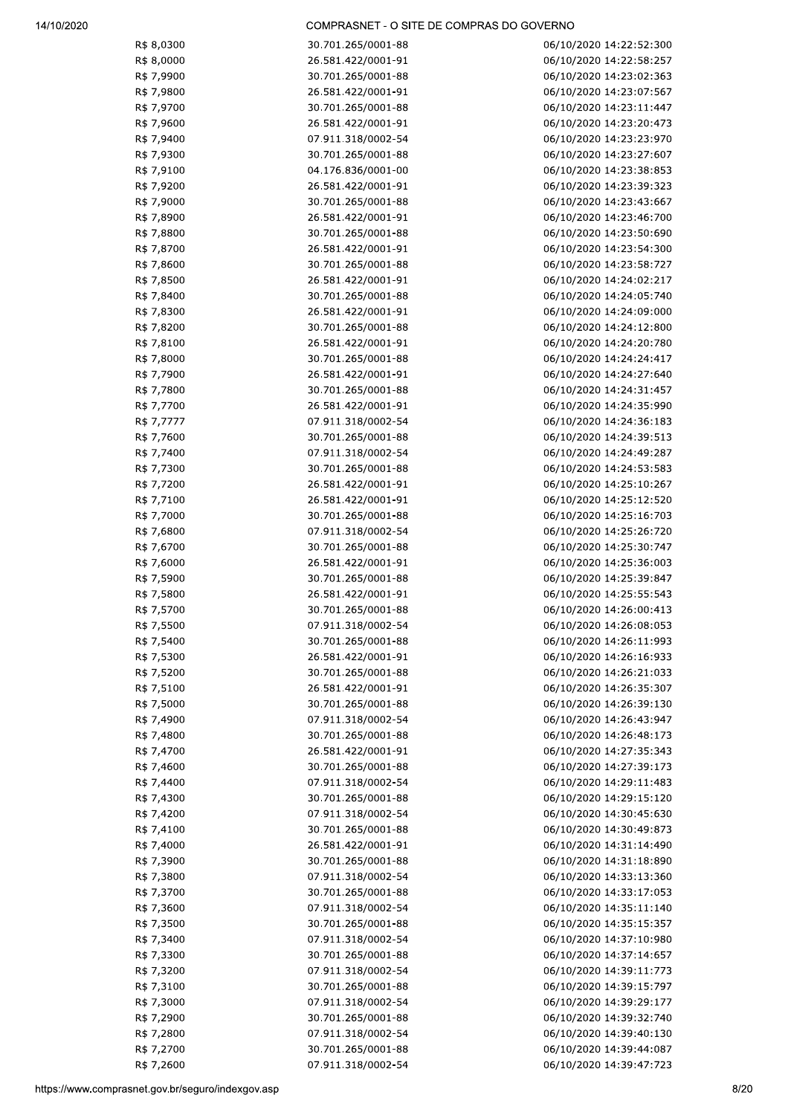| R\$ 8,0300 | 30.701.265/0001-88 | 06/10/2020 14:22:52:300 |
|------------|--------------------|-------------------------|
| R\$ 8,0000 | 26.581.422/0001-91 | 06/10/2020 14:22:58:257 |
| R\$ 7,9900 | 30.701.265/0001-88 | 06/10/2020 14:23:02:363 |
| R\$ 7,9800 | 26.581.422/0001-91 | 06/10/2020 14:23:07:567 |
|            |                    |                         |
| R\$ 7,9700 | 30.701.265/0001-88 | 06/10/2020 14:23:11:447 |
| R\$ 7,9600 | 26.581.422/0001-91 | 06/10/2020 14:23:20:473 |
| R\$ 7,9400 | 07.911.318/0002-54 | 06/10/2020 14:23:23:970 |
| R\$ 7,9300 | 30.701.265/0001-88 | 06/10/2020 14:23:27:607 |
| R\$ 7,9100 | 04.176.836/0001-00 | 06/10/2020 14:23:38:853 |
| R\$ 7,9200 | 26.581.422/0001-91 | 06/10/2020 14:23:39:323 |
| R\$ 7,9000 | 30.701.265/0001-88 | 06/10/2020 14:23:43:667 |
| R\$ 7,8900 | 26.581.422/0001-91 | 06/10/2020 14:23:46:700 |
|            |                    |                         |
| R\$ 7,8800 | 30.701.265/0001-88 | 06/10/2020 14:23:50:690 |
| R\$ 7,8700 | 26.581.422/0001-91 | 06/10/2020 14:23:54:300 |
| R\$ 7,8600 | 30.701.265/0001-88 | 06/10/2020 14:23:58:727 |
| R\$ 7,8500 | 26.581.422/0001-91 | 06/10/2020 14:24:02:217 |
| R\$ 7,8400 | 30.701.265/0001-88 | 06/10/2020 14:24:05:740 |
| R\$ 7,8300 | 26.581.422/0001-91 | 06/10/2020 14:24:09:000 |
| R\$ 7,8200 | 30.701.265/0001-88 | 06/10/2020 14:24:12:800 |
| R\$ 7,8100 | 26.581.422/0001-91 | 06/10/2020 14:24:20:780 |
|            |                    |                         |
| R\$ 7,8000 | 30.701.265/0001-88 | 06/10/2020 14:24:24:417 |
| R\$ 7,7900 | 26.581.422/0001-91 | 06/10/2020 14:24:27:640 |
| R\$ 7,7800 | 30.701.265/0001-88 | 06/10/2020 14:24:31:457 |
| R\$ 7,7700 | 26.581.422/0001-91 | 06/10/2020 14:24:35:990 |
| R\$ 7,7777 | 07.911.318/0002-54 | 06/10/2020 14:24:36:183 |
| R\$ 7,7600 | 30.701.265/0001-88 | 06/10/2020 14:24:39:513 |
| R\$ 7,7400 | 07.911.318/0002-54 | 06/10/2020 14:24:49:287 |
| R\$ 7,7300 | 30.701.265/0001-88 | 06/10/2020 14:24:53:583 |
|            |                    |                         |
| R\$ 7,7200 | 26.581.422/0001-91 | 06/10/2020 14:25:10:267 |
| R\$ 7,7100 | 26.581.422/0001-91 | 06/10/2020 14:25:12:520 |
| R\$ 7,7000 | 30.701.265/0001-88 | 06/10/2020 14:25:16:703 |
| R\$ 7,6800 | 07.911.318/0002-54 | 06/10/2020 14:25:26:720 |
| R\$ 7,6700 | 30.701.265/0001-88 | 06/10/2020 14:25:30:747 |
| R\$ 7,6000 | 26.581.422/0001-91 | 06/10/2020 14:25:36:003 |
| R\$ 7,5900 | 30.701.265/0001-88 | 06/10/2020 14:25:39:847 |
| R\$ 7,5800 | 26.581.422/0001-91 | 06/10/2020 14:25:55:543 |
| R\$ 7,5700 | 30.701.265/0001-88 | 06/10/2020 14:26:00:413 |
|            |                    |                         |
| R\$ 7,5500 | 07.911.318/0002-54 | 06/10/2020 14:26:08:053 |
| R\$ 7,5400 | 30.701.265/0001-88 | 06/10/2020 14:26:11:993 |
| R\$ 7,5300 | 26.581.422/0001-91 | 06/10/2020 14:26:16:933 |
| R\$ 7,5200 | 30.701.265/0001-88 | 06/10/2020 14:26:21:033 |
| R\$ 7,5100 | 26.581.422/0001-91 | 06/10/2020 14:26:35:307 |
| R\$ 7,5000 | 30.701.265/0001-88 | 06/10/2020 14:26:39:130 |
| R\$ 7,4900 | 07.911.318/0002-54 | 06/10/2020 14:26:43:947 |
| R\$ 7,4800 | 30.701.265/0001-88 | 06/10/2020 14:26:48:173 |
| R\$ 7,4700 | 26.581.422/0001-91 | 06/10/2020 14:27:35:343 |
| R\$ 7,4600 | 30.701.265/0001-88 | 06/10/2020 14:27:39:173 |
|            |                    |                         |
| R\$ 7,4400 | 07.911.318/0002-54 | 06/10/2020 14:29:11:483 |
| R\$ 7,4300 | 30.701.265/0001-88 | 06/10/2020 14:29:15:120 |
| R\$ 7,4200 | 07.911.318/0002-54 | 06/10/2020 14:30:45:630 |
| R\$ 7,4100 | 30.701.265/0001-88 | 06/10/2020 14:30:49:873 |
| R\$ 7,4000 | 26.581.422/0001-91 | 06/10/2020 14:31:14:490 |
| R\$ 7,3900 | 30.701.265/0001-88 | 06/10/2020 14:31:18:890 |
| R\$ 7,3800 | 07.911.318/0002-54 | 06/10/2020 14:33:13:360 |
| R\$ 7,3700 | 30.701.265/0001-88 | 06/10/2020 14:33:17:053 |
|            | 07.911.318/0002-54 |                         |
| R\$ 7,3600 |                    | 06/10/2020 14:35:11:140 |
| R\$ 7,3500 | 30.701.265/0001-88 | 06/10/2020 14:35:15:357 |
| R\$ 7,3400 | 07.911.318/0002-54 | 06/10/2020 14:37:10:980 |
| R\$ 7,3300 | 30.701.265/0001-88 | 06/10/2020 14:37:14:657 |
| R\$ 7,3200 | 07.911.318/0002-54 | 06/10/2020 14:39:11:773 |
| R\$ 7,3100 | 30.701.265/0001-88 | 06/10/2020 14:39:15:797 |
| R\$ 7,3000 | 07.911.318/0002-54 | 06/10/2020 14:39:29:177 |
| R\$ 7,2900 | 30.701.265/0001-88 | 06/10/2020 14:39:32:740 |
| R\$ 7,2800 | 07.911.318/0002-54 | 06/10/2020 14:39:40:130 |
|            |                    |                         |
| R\$ 7,2700 | 30.701.265/0001-88 | 06/10/2020 14:39:44:087 |
| R\$ 7,2600 | 07.911.318/0002-54 | 06/10/2020 14:39:47:723 |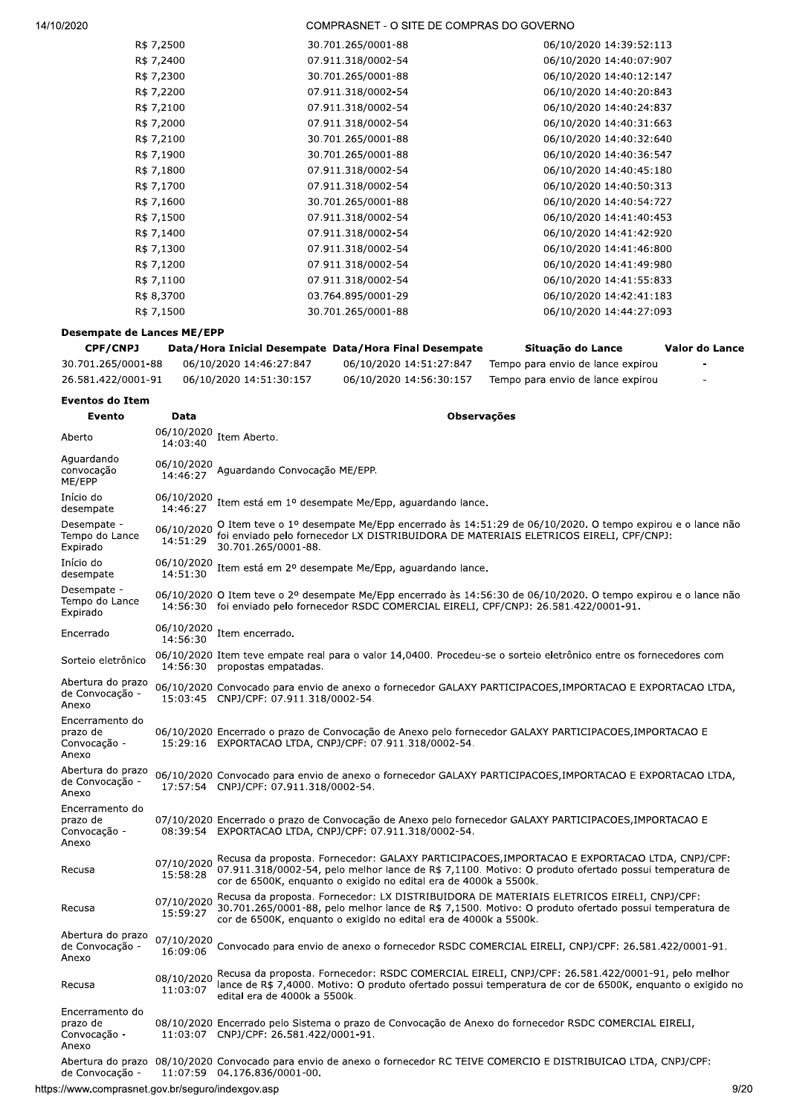| R\$ 7,2500 | 30.701.265/0001-88 | 06/10/2020 14:39:52:113 |
|------------|--------------------|-------------------------|
| R\$ 7,2400 | 07.911.318/0002-54 | 06/10/2020 14:40:07:907 |
| R\$ 7,2300 | 30.701.265/0001-88 | 06/10/2020 14:40:12:147 |
| R\$ 7,2200 | 07.911.318/0002-54 | 06/10/2020 14:40:20:843 |
| R\$ 7,2100 | 07.911.318/0002-54 | 06/10/2020 14:40:24:837 |
| R\$ 7,2000 | 07.911.318/0002-54 | 06/10/2020 14:40:31:663 |
| R\$ 7,2100 | 30.701.265/0001-88 | 06/10/2020 14:40:32:640 |
| R\$ 7,1900 | 30.701.265/0001-88 | 06/10/2020 14:40:36:547 |
| R\$ 7,1800 | 07.911.318/0002-54 | 06/10/2020 14:40:45:180 |
| R\$ 7,1700 | 07.911.318/0002-54 | 06/10/2020 14:40:50:313 |
| R\$ 7,1600 | 30.701.265/0001-88 | 06/10/2020 14:40:54:727 |
| R\$ 7,1500 | 07.911.318/0002-54 | 06/10/2020 14:41:40:453 |
| R\$ 7,1400 | 07.911.318/0002-54 | 06/10/2020 14:41:42:920 |
| R\$ 7,1300 | 07.911.318/0002-54 | 06/10/2020 14:41:46:800 |
| R\$ 7,1200 | 07.911.318/0002-54 | 06/10/2020 14:41:49:980 |
| R\$ 7,1100 | 07.911.318/0002-54 | 06/10/2020 14:41:55:833 |
| R\$ 8,3700 | 03.764.895/0001-29 | 06/10/2020 14:42:41:183 |
| R\$ 7,1500 | 30.701.265/0001-88 | 06/10/2020 14:44:27:093 |
|            |                    |                         |

# **Desempate de Lances ME/EPP**

| <b>CPF/CNPJ</b>    | Data/Hora Inicial Desempate Data/Hora Final Desempate |                         | Situação do Lance                 | Valor do Lance |
|--------------------|-------------------------------------------------------|-------------------------|-----------------------------------|----------------|
| 30.701.265/0001-88 | 06/10/2020 14:46:27:847                               | 06/10/2020 14:51:27:847 | Tempo para envio de lance expirou |                |
| 26.581.422/0001-91 | 06/10/2020 14:51:30:157                               | 06/10/2020 14:56:30:157 | Tempo para envio de lance expirou |                |

#### **Eventos do Item**

| Evento                                               | Data                   | <b>Observações</b>                                                                                                                                                                                                                                                         |
|------------------------------------------------------|------------------------|----------------------------------------------------------------------------------------------------------------------------------------------------------------------------------------------------------------------------------------------------------------------------|
| Aberto                                               | 06/10/2020<br>14:03:40 | Item Aberto.                                                                                                                                                                                                                                                               |
| Aquardando<br>convocação<br>ME/EPP                   | 06/10/2020<br>14:46:27 | Aquardando Convocação ME/EPP.                                                                                                                                                                                                                                              |
| Início do<br>desempate                               | 06/10/2020<br>14:46:27 | Item está em 1º desempate Me/Epp, aquardando lance.                                                                                                                                                                                                                        |
| Desempate -<br>Tempo do Lance<br>Expirado            | 06/10/2020<br>14:51:29 | O Item teve o 1º desempate Me/Epp encerrado às 14:51:29 de 06/10/2020. O tempo expirou e o lance não<br>foi enviado pelo fornecedor LX DISTRIBUIDORA DE MATERIAIS ELETRICOS EIRELI, CPF/CNPJ:<br>30.701.265/0001-88.                                                       |
| Início do<br>desempate                               | 06/10/2020<br>14:51:30 | Item está em 2º desempate Me/Epp, aguardando lance.                                                                                                                                                                                                                        |
| Desempate -<br>Tempo do Lance<br>Expirado            |                        | 06/10/2020 O Item teve o 2º desempate Me/Epp encerrado às 14:56:30 de 06/10/2020. O tempo expirou e o lance não<br>14:56:30 foi enviado pelo fornecedor RSDC COMERCIAL EIRELI, CPF/CNPJ: 26.581.422/0001-91.                                                               |
| Encerrado                                            | 06/10/2020<br>14:56:30 | Item encerrado.                                                                                                                                                                                                                                                            |
| Sorteio eletrônico                                   | 14:56:30               | 06/10/2020 Item teve empate real para o valor 14,0400. Procedeu-se o sorteio eletrônico entre os fornecedores com<br>propostas empatadas.                                                                                                                                  |
| Abertura do prazo<br>de Convocação -<br>Anexo        |                        | 06/10/2020 Convocado para envio de anexo o fornecedor GALAXY PARTICIPACOES, IMPORTACAO E EXPORTACAO LTDA,<br>15:03:45 CNPJ/CPF: 07.911.318/0002-54.                                                                                                                        |
| Encerramento do<br>prazo de<br>Convocação -<br>Anexo |                        | 06/10/2020 Encerrado o prazo de Convocação de Anexo pelo fornecedor GALAXY PARTICIPACOES, IMPORTACAO E<br>15:29:16 EXPORTACAO LTDA, CNPJ/CPF: 07.911.318/0002-54.                                                                                                          |
| Abertura do prazo<br>de Convocação -<br>Anexo        |                        | 06/10/2020 Convocado para envio de anexo o fornecedor GALAXY PARTICIPACOES, IMPORTACAO E EXPORTACAO LTDA,<br>17:57:54 CNPJ/CPF: 07.911.318/0002-54.                                                                                                                        |
| Encerramento do<br>prazo de<br>Convocação -<br>Anexo |                        | 07/10/2020 Encerrado o prazo de Convocação de Anexo pelo fornecedor GALAXY PARTICIPACOES, IMPORTACAO E<br>08:39:54 EXPORTACAO LTDA, CNPJ/CPF: 07.911.318/0002-54.                                                                                                          |
| Recusa                                               | 07/10/2020<br>15:58:28 | Recusa da proposta. Fornecedor: GALAXY PARTICIPACOES, IMPORTACAO E EXPORTACAO LTDA, CNPJ/CPF:<br>07.911.318/0002-54, pelo melhor lance de R\$ 7,1100. Motivo: O produto ofertado possui temperatura de<br>cor de 6500K, enquanto o exigido no edital era de 4000k a 5500k. |
| Recusa                                               | 07/10/2020<br>15:59:27 | Recusa da proposta. Fornecedor: LX DISTRIBUIDORA DE MATERIAIS ELETRICOS EIRELI, CNPJ/CPF:<br>30.701.265/0001-88, pelo melhor lance de R\$ 7,1500. Motivo: O produto ofertado possui temperatura de<br>cor de 6500K, enguanto o exigido no edital era de 4000k a 5500k.     |
| Abertura do prazo<br>de Convocação -<br>Anexo        | 07/10/2020<br>16:09:06 | Convocado para envio de anexo o fornecedor RSDC COMERCIAL EIRELI, CNPJ/CPF: 26.581.422/0001-91.                                                                                                                                                                            |
| Recusa                                               | 08/10/2020<br>11:03:07 | Recusa da proposta. Fornecedor: RSDC COMERCIAL EIRELI, CNPJ/CPF: 26.581.422/0001-91, pelo melhor<br>lance de R\$ 7,4000. Motivo: O produto ofertado possui temperatura de cor de 6500K, enguanto o exigido no<br>edital era de 4000k a 5500k.                              |
| Encerramento do<br>prazo de<br>Convocação -<br>Anexo |                        | 08/10/2020 Encerrado pelo Sistema o prazo de Convocação de Anexo do fornecedor RSDC COMERCIAL EIRELI,<br>11:03:07 CNPJ/CPF: 26.581.422/0001-91.                                                                                                                            |
| de Convocação -                                      |                        | Abertura do prazo 08/10/2020 Convocado para envio de anexo o fornecedor RC TEIVE COMERCIO E DISTRIBUICAO LTDA, CNPJ/CPF:<br>11:07:59 04.176.836/0001-00.                                                                                                                   |
| s://www.compraspet.gov.br/sequro/indexgov.asp        |                        | Qf                                                                                                                                                                                                                                                                         |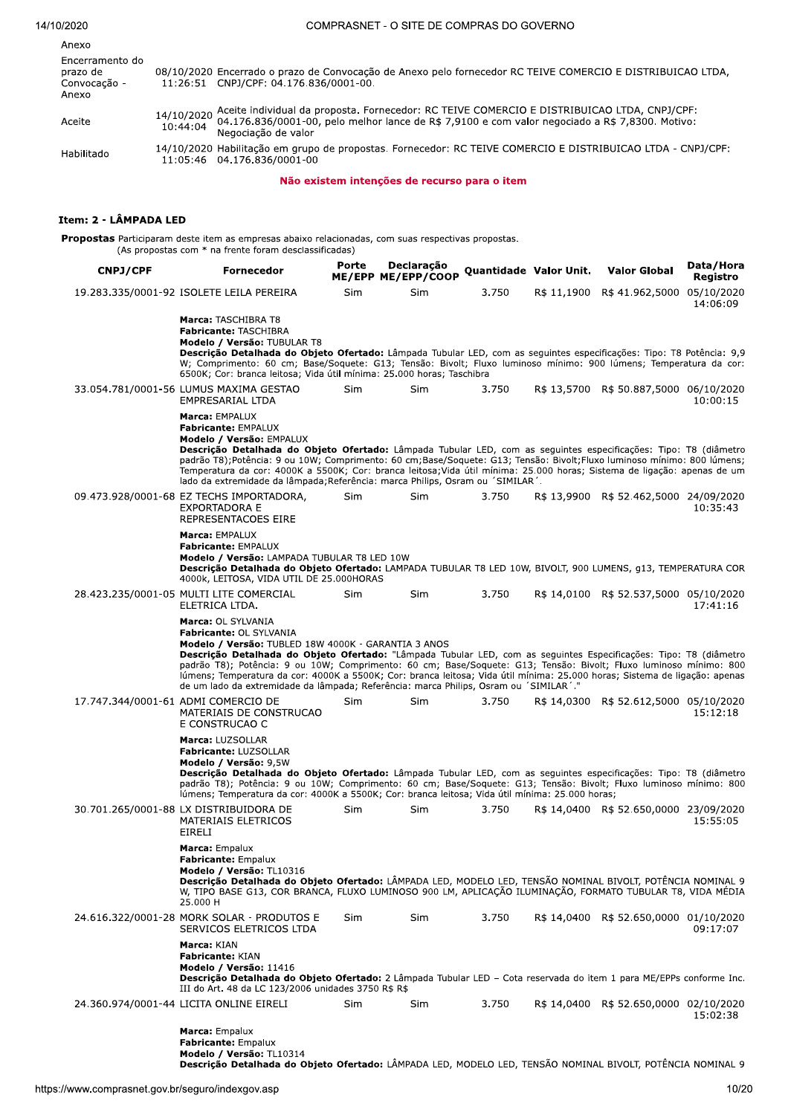## $14/10/20$

| 2020 | COMPRASNET - O SITE DE COMPRAS DO GOVERNO |
|------|-------------------------------------------|
|      |                                           |

| Anexo                                                |                                                                                                                                                                                                                                            |
|------------------------------------------------------|--------------------------------------------------------------------------------------------------------------------------------------------------------------------------------------------------------------------------------------------|
| Encerramento do<br>prazo de<br>Convocação -<br>Anexo | 08/10/2020 Encerrado o prazo de Convocação de Anexo pelo fornecedor RC TEIVE COMERCIO E DISTRIBUICAO LTDA,<br>11:26:51 CNPJ/CPF: 04.176.836/0001-00.                                                                                       |
| Aceite                                               | 14/10/2020 Aceite individual da proposta. Fornecedor: RC TEIVE COMERCIO E DISTRIBUICAO LTDA, CNPJ/CPF:<br>10:44:04 Marcoles 36/0001-00, pelo melhor lance de R\$ 7,9100 e com valor negociado a R\$ 7,8300. Motivo:<br>Negociação de valor |
| Habilitado                                           | 14/10/2020 Habilitação em grupo de propostas. Fornecedor: RC TEIVE COMERCIO E DISTRIBUICAO LTDA - CNPJ/CPF:<br>11:05:46  04.176.836/0001-00                                                                                                |
|                                                      |                                                                                                                                                                                                                                            |

Não existem intenções de recurso para o item

## ttem: 2 - LAMPADA LED

Propostas Participaram deste item as empresas abaixo relacionadas, com suas respectivas propostas. (As propostas com  $\hat\gamma$  ha frente foram desclassificadas)

| <b>CNPJ/CPF</b>                           | Fornecedor                                                                                                                                                                                                                                                                                                                                                                                                                                                                                                                                                            |            | ME/EPP ME/EPP/COOP Quantidade Valor Unit. |       |             | <b>Valor Global</b>                    | Data/Hora<br>Registro |
|-------------------------------------------|-----------------------------------------------------------------------------------------------------------------------------------------------------------------------------------------------------------------------------------------------------------------------------------------------------------------------------------------------------------------------------------------------------------------------------------------------------------------------------------------------------------------------------------------------------------------------|------------|-------------------------------------------|-------|-------------|----------------------------------------|-----------------------|
|                                           | 19.283.335/0001-92 ISOLETE LEILA PEREIRA                                                                                                                                                                                                                                                                                                                                                                                                                                                                                                                              | Sim        | Sim                                       | 3.750 | R\$ 11,1900 | R\$41.962,5000 05/10/2020              | 14:06:09              |
|                                           | Marca: TASCHIBRA T8<br>Fabricante: TASCHIBRA<br>Modelo / Versão: TUBULAR T8<br>Descrição Detalhada do Objeto Ofertado: Lâmpada Tubular LED, com as sequintes especificações: Tipo: T8 Potência: 9,9<br>W; Comprimento: 60 cm; Base/Soquete: G13; Tensão: Bivolt; Fluxo luminoso mínimo: 900 lúmens; Temperatura da cor:<br>6500K; Cor: branca leitosa; Vida útil mínima: 25.000 horas; Taschibra                                                                                                                                                                      |            |                                           |       |             |                                        |                       |
|                                           | 33.054.781/0001-56 LUMUS MAXIMA GESTAO<br>EMPRESARIAL LTDA                                                                                                                                                                                                                                                                                                                                                                                                                                                                                                            | <b>Sim</b> | Sim                                       | 3.750 |             | R\$ 13,5700 R\$ 50.887,5000 06/10/2020 | 10:00:15              |
|                                           | Marca: EMPALUX<br>Fabricante: EMPALUX<br>Modelo / Versão: EMPALUX<br>Descrição Detalhada do Objeto Ofertado: Lâmpada Tubular LED, com as seguintes especificações: Tipo: T8 (diâmetro<br>padrão T8); Potência: 9 ou 10W; Comprimento: 60 cm; Base/Soquete: G13; Tensão: Bivolt; Fluxo luminoso mínimo: 800 lúmens;<br>Temperatura da cor: 4000K a 5500K; Cor: branca leitosa;Vida útil mínima: 25.000 horas; Sistema de ligação: apenas de um<br>lado da extremidade da lâmpada; Referência: marca Philips, Osram ou 'SIMILAR'.                                       |            |                                           |       |             |                                        |                       |
|                                           | 09.473.928/0001-68 EZ TECHS IMPORTADORA,<br><b>EXPORTADORA E</b><br>REPRESENTACOES EIRE                                                                                                                                                                                                                                                                                                                                                                                                                                                                               | <b>Sim</b> | Sim                                       | 3.750 |             | R\$ 13,9900 R\$ 52.462,5000 24/09/2020 | 10:35:43              |
|                                           | Marca: EMPALUX<br>Fabricante: EMPALUX<br>Modelo / Versão: LAMPADA TUBULAR T8 LED 10W<br>Descrição Detalhada do Objeto Ofertado: LAMPADA TUBULAR T8 LED 10W, BIVOLT, 900 LUMENS, g13, TEMPERATURA COR<br>4000k, LEITOSA, VIDA UTIL DE 25.000HORAS                                                                                                                                                                                                                                                                                                                      |            |                                           |       |             |                                        |                       |
|                                           | 28.423.235/0001-05 MULTI LITE COMERCIAL<br>ELETRICA LTDA.                                                                                                                                                                                                                                                                                                                                                                                                                                                                                                             | Sim        | Sim                                       | 3.750 |             | R\$ 14,0100 R\$ 52.537,5000 05/10/2020 | 17:41:16              |
|                                           | Marca: OL SYLVANIA<br>Fabricante: OL SYLVANIA<br>Modelo / Versão: TUBLED 18W 4000K - GARANTIA 3 ANOS<br>Descrição Detalhada do Objeto Ofertado: "Lâmpada Tubular LED, com as seguintes Especificações: Tipo: T8 (diâmetro<br>padrão T8); Potência: 9 ou 10W; Comprimento: 60 cm; Base/Soquete: G13; Tensão: Bivolt; Fluxo luminoso mínimo: 800<br>lúmens; Temperatura da cor: 4000K a 5500K; Cor: branca leitosa; Vida útil mínima: 25.000 horas; Sistema de ligação: apenas<br>de um lado da extremidade da lâmpada; Referência: marca Philips, Osram ou 'SIMILAR'." |            |                                           |       |             |                                        |                       |
| 17.747.344/0001-61 ADMI COMERCIO DE       | MATERIAIS DE CONSTRUCAO<br>E CONSTRUCAO C                                                                                                                                                                                                                                                                                                                                                                                                                                                                                                                             | Sim        | Sim                                       | 3.750 |             | R\$ 14,0300 R\$ 52.612,5000 05/10/2020 | 15:12:18              |
|                                           | Marca: LUZSOLLAR<br>Fabricante: LUZSOLLAR<br>Modelo / Versão: 9,5W<br>Descrição Detalhada do Objeto Ofertado: Lâmpada Tubular LED, com as sequintes especificações: Tipo: T8 (diâmetro<br>padrão T8); Potência: 9 ou 10W; Comprimento: 60 cm; Base/Soquete: G13; Tensão: Bivolt; Fluxo luminoso mínimo: 800<br>lúmens; Temperatura da cor: 4000K a 5500K; Cor: branca leitosa; Vida útil mínima: 25.000 horas;                                                                                                                                                        |            |                                           |       |             |                                        |                       |
|                                           | 30.701.265/0001-88 LX DISTRIBUIDORA DE<br>MATERIAIS ELETRICOS<br>EIRELI                                                                                                                                                                                                                                                                                                                                                                                                                                                                                               | Sim        | Sim                                       | 3.750 |             | R\$ 14,0400 R\$ 52.650,0000 23/09/2020 | 15:55:05              |
|                                           | <b>Marca:</b> Empalux<br><b>Fabricante:</b> Empalux<br>Modelo / Versão: TL10316<br>Descrição Detalhada do Objeto Ofertado: LÂMPADA LED, MODELO LED, TENSÃO NOMINAL BIVOLT, POTÊNCIA NOMINAL 9<br>W, TIPO BASE G13, COR BRANCA, FLUXO LUMINOSO 900 LM, APLICAÇÃO ILUMINAÇÃO, FORMATO TUBULAR T8, VIDA MÉDIA<br>25.000 H                                                                                                                                                                                                                                                |            |                                           |       |             |                                        |                       |
|                                           | 24.616.322/0001-28 MORK SOLAR - PRODUTOS E<br>SERVICOS ELETRICOS LTDA                                                                                                                                                                                                                                                                                                                                                                                                                                                                                                 | Sim        | Sim                                       | 3.750 |             | R\$ 14,0400 R\$ 52.650,0000 01/10/2020 | 09:17:07              |
|                                           | Marca: KIAN<br><b>Fabricante: KIAN</b><br>Modelo / Versão: 11416<br>Descrição Detalhada do Objeto Ofertado: 2 Lâmpada Tubular LED - Cota reservada do item 1 para ME/EPPs conforme Inc.<br>III do Art. 48 da LC 123/2006 unidades 3750 R\$ R\$                                                                                                                                                                                                                                                                                                                        |            |                                           |       |             |                                        |                       |
|                                           | 24.360.974/0001-44 LICITA ONLINE EIRELI                                                                                                                                                                                                                                                                                                                                                                                                                                                                                                                               | Sim        | <b>Sim</b>                                | 3.750 |             | R\$ 14,0400 R\$ 52.650,0000 02/10/2020 | 15:02:38              |
|                                           | Marca: Empalux<br>Fabricante: Empalux<br>Modelo / Versão: TL10314<br>Descrição Detalhada do Objeto Ofertado: LÂMPADA LED, MODELO LED, TENSÃO NOMINAL BIVOLT, POTÊNCIA NOMINAL 9                                                                                                                                                                                                                                                                                                                                                                                       |            |                                           |       |             |                                        |                       |
| www.comprasnet.gov.br/seguro/indexgov.asp |                                                                                                                                                                                                                                                                                                                                                                                                                                                                                                                                                                       |            |                                           |       |             |                                        | 10/20                 |
|                                           |                                                                                                                                                                                                                                                                                                                                                                                                                                                                                                                                                                       |            |                                           |       |             |                                        |                       |
|                                           |                                                                                                                                                                                                                                                                                                                                                                                                                                                                                                                                                                       |            |                                           |       |             |                                        |                       |
|                                           |                                                                                                                                                                                                                                                                                                                                                                                                                                                                                                                                                                       |            |                                           |       |             |                                        |                       |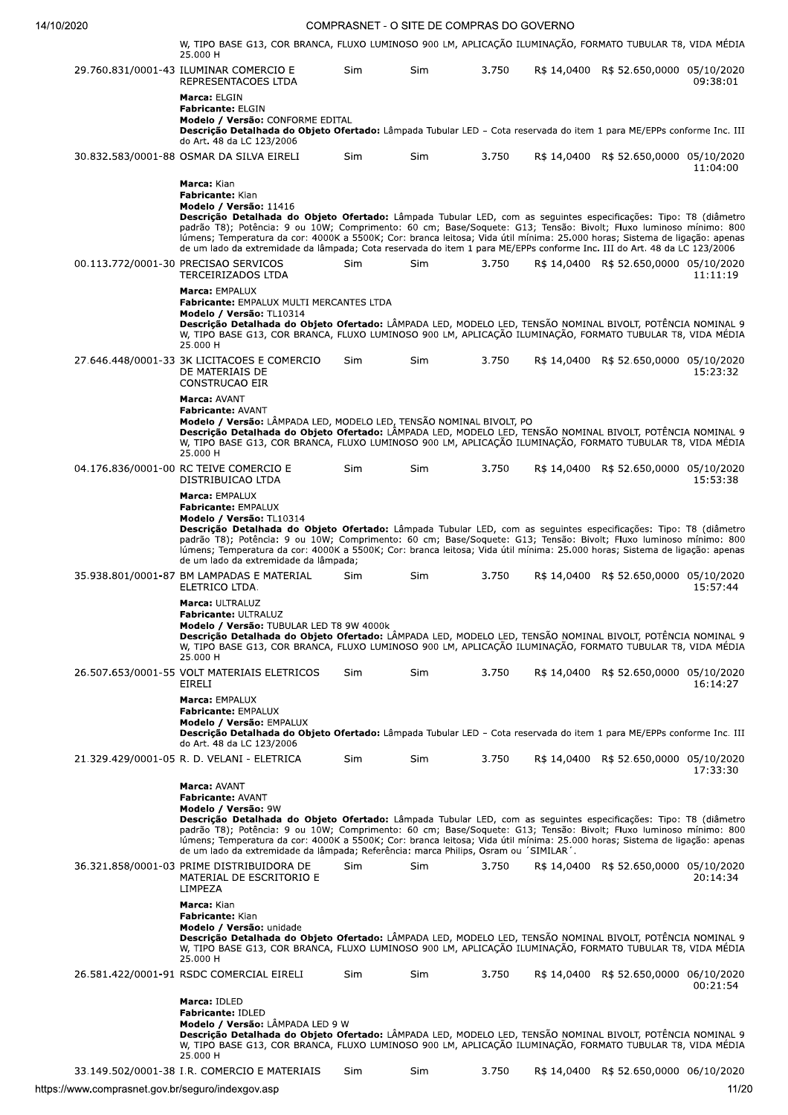| W, TIPO BASE G13, COR BRANCA, FLUXO LUMINOSO 900 LM, APLICACÃO ILUMINACÃO, FORMATO TUBULAR T8, VIDA MÉDIA<br>25.000 H                                                                                                                                                                                                                                                                                                                                                                          |            |      |       |                                        |          |
|------------------------------------------------------------------------------------------------------------------------------------------------------------------------------------------------------------------------------------------------------------------------------------------------------------------------------------------------------------------------------------------------------------------------------------------------------------------------------------------------|------------|------|-------|----------------------------------------|----------|
| 29.760.831/0001-43 ILUMINAR COMERCIO E<br>REPRESENTACOES LTDA                                                                                                                                                                                                                                                                                                                                                                                                                                  | Sim        | Sim. | 3.750 | R\$ 14,0400 R\$ 52.650,0000 05/10/2020 | 09:38:01 |
| Marca: ELGIN<br><b>Fabricante: ELGIN</b>                                                                                                                                                                                                                                                                                                                                                                                                                                                       |            |      |       |                                        |          |
| Modelo / Versão: CONFORME EDITAL<br>Descrição Detalhada do Objeto Ofertado: Lâmpada Tubular LED - Cota reservada do item 1 para ME/EPPs conforme Inc. III<br>do Art. 48 da LC 123/2006                                                                                                                                                                                                                                                                                                         |            |      |       |                                        |          |
| 30.832.583/0001-88 OSMAR DA SILVA EIRELI                                                                                                                                                                                                                                                                                                                                                                                                                                                       | <b>Sim</b> | Sim  | 3.750 | R\$ 14,0400 R\$ 52.650,0000 05/10/2020 | 11:04:00 |
| Marca: Kian<br>Fabricante: Kian<br>Modelo / Versão: 11416                                                                                                                                                                                                                                                                                                                                                                                                                                      |            |      |       |                                        |          |
| Descrição Detalhada do Objeto Ofertado: Lâmpada Tubular LED, com as seguintes especificações: Tipo: T8 (diâmetro<br>padrão T8); Potência: 9 ou 10W; Comprimento: 60 cm; Base/Soquete: G13; Tensão: Bivolt; Fluxo luminoso mínimo: 800<br>lúmens; Temperatura da cor: 4000K a 5500K; Cor: branca leitosa; Vida útil mínima: 25.000 horas; Sistema de ligação: apenas<br>de um lado da extremidade da lâmpada; Cota reservada do item 1 para ME/EPPs conforme Inc. III do Art. 48 da LC 123/2006 |            |      |       |                                        |          |
| 00.113.772/0001-30 PRECISAO SERVICOS<br>TERCEIRIZADOS LTDA                                                                                                                                                                                                                                                                                                                                                                                                                                     | Sim        | Sim  | 3.750 | R\$ 14,0400 R\$ 52.650,0000 05/10/2020 | 11:11:19 |
| Marca: EMPALUX<br><b>Fabricante: EMPALUX MULTI MERCANTES LTDA</b><br>Modelo / Versão: TL10314                                                                                                                                                                                                                                                                                                                                                                                                  |            |      |       |                                        |          |
| Descrição Detalhada do Objeto Ofertado: LÂMPADA LED, MODELO LED, TENSÃO NOMINAL BIVOLT, POTÊNCIA NOMINAL 9<br>W, TIPO BASE G13, COR BRANCA, FLUXO LUMINOSO 900 LM, APLICAÇÃO ILUMINAÇÃO, FORMATO TUBULAR T8, VIDA MÉDIA<br>25.000 H                                                                                                                                                                                                                                                            |            |      |       |                                        |          |
| 27.646.448/0001-33 3K LICITACOES E COMERCIO<br>DE MATERIAIS DE<br>CONSTRUCAO EIR                                                                                                                                                                                                                                                                                                                                                                                                               | Sim        | Sim  | 3.750 | R\$ 14,0400 R\$ 52.650,0000 05/10/2020 | 15:23:32 |
| Marca: AVANT<br><b>Fabricante: AVANT</b><br>Modelo / Versão: LÂMPADA LED, MODELO LED, TENSÃO NOMINAL BIVOLT, PO                                                                                                                                                                                                                                                                                                                                                                                |            |      |       |                                        |          |
| Descrição Detalhada do Objeto Ofertado: LÂMPADA LED, MODELO LED, TENSÃO NOMINAL BIVOLT, POTÊNCIA NOMINAL 9<br>W, TIPO BASE G13, COR BRANCA, FLUXO LUMINOSO 900 LM, APLICAÇÃO ILUMINAÇÃO, FORMATO TUBULAR T8, VIDA MÉDIA<br>25.000 H                                                                                                                                                                                                                                                            |            |      |       |                                        |          |
| 04.176.836/0001-00 RC TEIVE COMERCIO E<br>DISTRIBUICAO LTDA                                                                                                                                                                                                                                                                                                                                                                                                                                    | Sim        | Sim  | 3.750 | R\$ 14,0400 R\$ 52.650,0000 05/10/2020 | 15:53:38 |
| Marca: EMPALUX<br><b>Fabricante: EMPALUX</b><br>Modelo / Versão: TL10314                                                                                                                                                                                                                                                                                                                                                                                                                       |            |      |       |                                        |          |
| Descrição Detalhada do Objeto Ofertado: Lâmpada Tubular LED, com as seguintes especificações: Tipo: T8 (diâmetro<br>padrão T8); Potência: 9 ou 10W; Comprimento: 60 cm; Base/Soquete: G13; Tensão: Bivolt; Fluxo luminoso mínimo: 800<br>lúmens; Temperatura da cor: 4000K a 5500K; Cor: branca leitosa; Vida útil mínima: 25.000 horas; Sistema de ligação: apenas<br>de um lado da extremidade da lâmpada;                                                                                   |            |      |       |                                        |          |
| 35.938.801/0001-87 BM LAMPADAS E MATERIAL<br>ELETRICO LTDA.                                                                                                                                                                                                                                                                                                                                                                                                                                    | Sim        | Sim  | 3.750 | R\$ 14,0400 R\$ 52.650,0000 05/10/2020 | 15:57:44 |
| Marca: ULTRALUZ<br><b>Fabricante: ULTRALUZ</b>                                                                                                                                                                                                                                                                                                                                                                                                                                                 |            |      |       |                                        |          |
| Modelo / Versão: TUBULAR LED T8 9W 4000k<br>Descrição Detalhada do Objeto Ofertado: LÂMPADA LED, MODELO LED, TENSÃO NOMINAL BIVOLT, POTÊNCIA NOMINAL 9<br>W, TIPO BASE G13, COR BRANCA, FLUXO LUMINOSO 900 LM, APLICAÇÃO ILUMINAÇÃO, FORMATO TUBULAR T8, VIDA MÉDIA<br>25.000 H                                                                                                                                                                                                                |            |      |       |                                        |          |
| 26.507.653/0001-55 VOLT MATERIAIS ELETRICOS<br><b>EIRELI</b>                                                                                                                                                                                                                                                                                                                                                                                                                                   | Sim        | Sim  | 3.750 | R\$ 14,0400 R\$ 52.650,0000 05/10/2020 | 16:14:27 |
| <b>Marca: EMPALUX</b><br>Fabricante: EMPALUX<br>Modelo / Versão: EMPALUX                                                                                                                                                                                                                                                                                                                                                                                                                       |            |      |       |                                        |          |
| Descrição Detalhada do Objeto Ofertado: Lâmpada Tubular LED - Cota reservada do item 1 para ME/EPPs conforme Inc. III<br>do Art. 48 da LC 123/2006                                                                                                                                                                                                                                                                                                                                             |            |      |       |                                        |          |
| 21.329.429/0001-05 R. D. VELANI - ELETRICA                                                                                                                                                                                                                                                                                                                                                                                                                                                     | Sim        | Sim  | 3.750 | R\$ 14,0400 R\$ 52.650,0000 05/10/2020 | 17:33:30 |
| <b>Marca: AVANT</b><br><b>Fabricante: AVANT</b><br>Modelo / Versão: 9W                                                                                                                                                                                                                                                                                                                                                                                                                         |            |      |       |                                        |          |
| Descrição Detalhada do Objeto Ofertado: Lâmpada Tubular LED, com as seguintes especificações: Tipo: T8 (diâmetro<br>padrão T8); Potência: 9 ou 10W; Comprimento: 60 cm; Base/Soquete: G13; Tensão: Bivolt; Fluxo luminoso mínimo: 800<br>lúmens; Temperatura da cor: 4000K a 5500K; Cor: branca leitosa; Vida útil mínima: 25.000 horas; Sistema de ligação: apenas                                                                                                                            |            |      |       |                                        |          |
| de um lado da extremidade da lâmpada; Referência: marca Philips, Osram ou 'SIMILAR'.<br>36.321.858/0001-03 PRIME DISTRIBUIDORA DE                                                                                                                                                                                                                                                                                                                                                              | Sim        | Sim  | 3.750 | R\$ 14,0400 R\$ 52.650,0000 05/10/2020 |          |
| MATERIAL DE ESCRITORIO E<br>LIMPEZA                                                                                                                                                                                                                                                                                                                                                                                                                                                            |            |      |       |                                        | 20:14:34 |
| Marca: Kian<br>Fabricante: Kian<br>Modelo / Versão: unidade<br>Descrição Detalhada do Objeto Ofertado: LÂMPADA LED, MODELO LED, TENSÃO NOMINAL BIVOLT, POTÊNCIA NOMINAL 9                                                                                                                                                                                                                                                                                                                      |            |      |       |                                        |          |
| W, TIPO BASE G13, COR BRANCA, FLUXO LUMINOSO 900 LM, APLICAÇÃO ILUMINAÇÃO, FORMATO TUBULAR T8, VIDA MÉDIA<br>25.000 H                                                                                                                                                                                                                                                                                                                                                                          |            |      |       |                                        |          |
| 26.581.422/0001-91 RSDC COMERCIAL EIRELI                                                                                                                                                                                                                                                                                                                                                                                                                                                       | Sim        | Sim  | 3.750 | R\$ 14,0400 R\$ 52.650,0000 06/10/2020 | 00:21:54 |
| Marca: IDLED<br><b>Fabricante: IDLED</b>                                                                                                                                                                                                                                                                                                                                                                                                                                                       |            |      |       |                                        |          |
| Modelo / Versão: LAMPADA LED 9 W<br>Descrição Detalhada do Objeto Ofertado: LÂMPADA LED, MODELO LED, TENSÃO NOMINAL BIVOLT, POTÊNCIA NOMINAL 9<br>W, TIPO BASE G13, COR BRANCA, FLUXO LUMINOSO 900 LM, APLICAÇÃO ILUMINAÇÃO, FORMATO TUBULAR T8, VIDA MÉDIA<br>25.000 H                                                                                                                                                                                                                        |            |      |       |                                        |          |
| 33.149.502/0001-38 I.R. COMERCIO E MATERIAIS                                                                                                                                                                                                                                                                                                                                                                                                                                                   | Sim        | Sim  | 3.750 | R\$ 14,0400 R\$ 52.650,0000 06/10/2020 |          |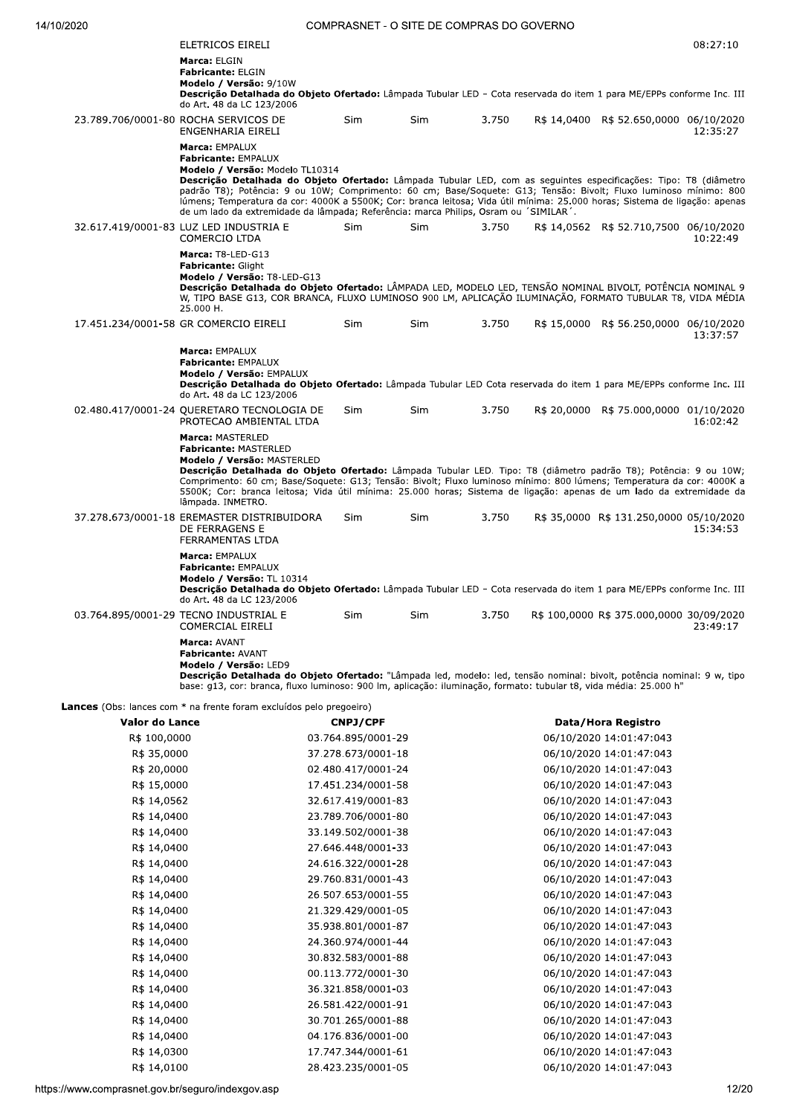| ELETRICOS EIRELI                                                                                                                                                                                                                                                                                                                                                                                                                                                                                                                               |            |            |       |                                                                                                                                                                                                                                        | 08:27:10 |
|------------------------------------------------------------------------------------------------------------------------------------------------------------------------------------------------------------------------------------------------------------------------------------------------------------------------------------------------------------------------------------------------------------------------------------------------------------------------------------------------------------------------------------------------|------------|------------|-------|----------------------------------------------------------------------------------------------------------------------------------------------------------------------------------------------------------------------------------------|----------|
| Marca: ELGIN<br><b>Fabricante: ELGIN</b><br>Modelo / Versão: 9/10W<br>Descrição Detalhada do Objeto Ofertado: Lâmpada Tubular LED - Cota reservada do item 1 para ME/EPPs conforme Inc. III<br>do Art. 48 da LC 123/2006                                                                                                                                                                                                                                                                                                                       |            |            |       |                                                                                                                                                                                                                                        |          |
| 23.789.706/0001-80 ROCHA SERVICOS DE<br>ENGENHARIA EIRELI                                                                                                                                                                                                                                                                                                                                                                                                                                                                                      | <b>Sim</b> | <b>Sim</b> | 3.750 | R\$ 14,0400 R\$ 52.650,0000 06/10/2020                                                                                                                                                                                                 | 12:35:27 |
| Marca: EMPALUX<br><b>Fabricante: EMPALUX</b><br>Modelo / Versão: Modelo TL10314<br>Descrição Detalhada do Objeto Ofertado: Lâmpada Tubular LED, com as sequintes especificações: Tipo: T8 (diâmetro<br>padrão T8); Potência: 9 ou 10W; Comprimento: 60 cm; Base/Soquete: G13; Tensão: Bivolt; Fluxo luminoso mínimo: 800<br>lúmens; Temperatura da cor: 4000K a 5500K; Cor: branca leitosa; Vida útil mínima: 25.000 horas; Sistema de ligação: apenas<br>de um lado da extremidade da lâmpada; Referência: marca Philips, Osram ou 'SIMILAR'. |            |            |       |                                                                                                                                                                                                                                        |          |
| 32.617.419/0001-83 LUZ LED INDUSTRIA E<br><b>COMERCIO LTDA</b>                                                                                                                                                                                                                                                                                                                                                                                                                                                                                 | <b>Sim</b> | <b>Sim</b> | 3.750 | R\$ 14,0562 R\$ 52.710,7500 06/10/2020                                                                                                                                                                                                 | 10:22:49 |
| Marca: T8-LED-G13<br><b>Fabricante: Glight</b><br>Modelo / Versão: T8-LED-G13<br>Descricão Detalhada do Objeto Ofertado: LÂMPADA LED, MODELO LED, TENSÃO NOMINAL BIVOLT, POTÊNCIA NOMINAL 9<br>W, TIPO BASE G13, COR BRANCA, FLUXO LUMINOSO 900 LM, APLICAÇÃO ILUMINAÇÃO, FORMATO TUBULAR T8, VIDA MÉDIA<br>25.000 H.                                                                                                                                                                                                                          |            |            |       |                                                                                                                                                                                                                                        |          |
| 17.451.234/0001-58 GR COMERCIO EIRELI                                                                                                                                                                                                                                                                                                                                                                                                                                                                                                          | <b>Sim</b> | <b>Sim</b> | 3.750 | R\$ 15,0000 R\$ 56.250,0000 06/10/2020                                                                                                                                                                                                 | 13:37:57 |
| Marca: EMPALUX<br>Fabricante: EMPALUX<br>Modelo / Versão: EMPALUX<br>Descrição Detalhada do Objeto Ofertado: Lâmpada Tubular LED Cota reservada do item 1 para ME/EPPs conforme Inc. III<br>do Art. 48 da LC 123/2006                                                                                                                                                                                                                                                                                                                          |            |            |       |                                                                                                                                                                                                                                        |          |
| 02.480.417/0001-24 QUERETARO TECNOLOGIA DE<br>PROTECAO AMBIENTAL LTDA                                                                                                                                                                                                                                                                                                                                                                                                                                                                          | <b>Sim</b> | Sim.       | 3.750 | R\$ 20,0000 R\$ 75.000,0000 01/10/2020                                                                                                                                                                                                 | 16:02:42 |
| Marca: MASTERLED<br><b>Fabricante: MASTERLED</b><br>Modelo / Versão: MASTERLED<br>Descrição Detalhada do Objeto Ofertado: Lâmpada Tubular LED. Tipo: T8 (diâmetro padrão T8); Potência: 9 ou 10W;<br>Comprimento: 60 cm; Base/Soquete: G13; Tensão: Bivolt; Fluxo luminoso mínimo: 800 lúmens; Temperatura da cor: 4000K a<br>5500K; Cor: branca leitosa; Vida útil mínima: 25.000 horas; Sistema de ligação: apenas de um lado da extremidade da<br>lâmpada. INMETRO.                                                                         |            |            |       |                                                                                                                                                                                                                                        |          |
| 37.278.673/0001-18 EREMASTER DISTRIBUIDORA<br>DE FERRAGENS E<br><b>FERRAMENTAS LTDA</b>                                                                                                                                                                                                                                                                                                                                                                                                                                                        | Sim        | <b>Sim</b> | 3.750 | R\$ 35,0000 R\$ 131.250,0000 05/10/2020                                                                                                                                                                                                | 15:34:53 |
| Marca: EMPALUX<br><b>Fabricante: EMPALUX</b><br>Modelo / Versão: TL 10314<br>Descrição Detalhada do Objeto Ofertado: Lâmpada Tubular LED - Cota reservada do item 1 para ME/EPPs conforme Inc. III<br>do Art. 48 da LC 123/2006                                                                                                                                                                                                                                                                                                                |            |            |       |                                                                                                                                                                                                                                        |          |
| 03.764.895/0001-29 TECNO INDUSTRIAL E<br><b>COMERCIAL EIRELI</b>                                                                                                                                                                                                                                                                                                                                                                                                                                                                               | Sim        | Sim        | 3.750 | R\$ 100,0000 R\$ 375.000,0000 30/09/2020                                                                                                                                                                                               | 23:49:17 |
| Marca: AVANT<br><b>Fabricante: AVANT</b><br>Modelo / Versão: LED9                                                                                                                                                                                                                                                                                                                                                                                                                                                                              |            |            |       | $\bullet$ $\bullet$ . The set of the set of the set of the set of the set of the set of the set of the set of the set of the set of the set of the set of the set of the set of the set of the set of the set of the set of the set of |          |

nouen resenta de **Objeto Ofertado:** "Lâmpada led, modelo: led, tensão nominal: bivolt, potência nominal: 9 w, tipo<br>base: g13, cor: branca, fluxo luminoso: 900 lm, aplicação: iluminação, formato: tubular t8, vida média: 25.

Lances (Obs: lances com \* na frente foram excluídos pelo pregoeiro)

| Valor do Lance | <b>CNPJ/CPF</b>    | Data/Hora Registro      |
|----------------|--------------------|-------------------------|
| R\$ 100,0000   | 03.764.895/0001-29 | 06/10/2020 14:01:47:043 |
| R\$ 35,0000    | 37.278.673/0001-18 | 06/10/2020 14:01:47:043 |
| R\$ 20,0000    | 02.480.417/0001-24 | 06/10/2020 14:01:47:043 |
| R\$ 15,0000    | 17.451.234/0001-58 | 06/10/2020 14:01:47:043 |
| R\$ 14,0562    | 32.617.419/0001-83 | 06/10/2020 14:01:47:043 |
| R\$ 14,0400    | 23.789.706/0001-80 | 06/10/2020 14:01:47:043 |
| R\$ 14,0400    | 33.149.502/0001-38 | 06/10/2020 14:01:47:043 |
| R\$ 14,0400    | 27.646.448/0001-33 | 06/10/2020 14:01:47:043 |
| R\$ 14,0400    | 24.616.322/0001-28 | 06/10/2020 14:01:47:043 |
| R\$ 14,0400    | 29.760.831/0001-43 | 06/10/2020 14:01:47:043 |
| R\$ 14,0400    | 26.507.653/0001-55 | 06/10/2020 14:01:47:043 |
| R\$ 14,0400    | 21.329.429/0001-05 | 06/10/2020 14:01:47:043 |
| R\$ 14,0400    | 35.938.801/0001-87 | 06/10/2020 14:01:47:043 |
| R\$ 14,0400    | 24.360.974/0001-44 | 06/10/2020 14:01:47:043 |
| R\$ 14,0400    | 30.832.583/0001-88 | 06/10/2020 14:01:47:043 |
| R\$ 14,0400    | 00.113.772/0001-30 | 06/10/2020 14:01:47:043 |
| R\$ 14,0400    | 36.321.858/0001-03 | 06/10/2020 14:01:47:043 |
| R\$ 14,0400    | 26.581.422/0001-91 | 06/10/2020 14:01:47:043 |
| R\$ 14,0400    | 30.701.265/0001-88 | 06/10/2020 14:01:47:043 |
| R\$ 14,0400    | 04.176.836/0001-00 | 06/10/2020 14:01:47:043 |
| R\$ 14,0300    | 17.747.344/0001-61 | 06/10/2020 14:01:47:043 |
| R\$ 14,0100    | 28.423.235/0001-05 | 06/10/2020 14:01:47:043 |
|                |                    |                         |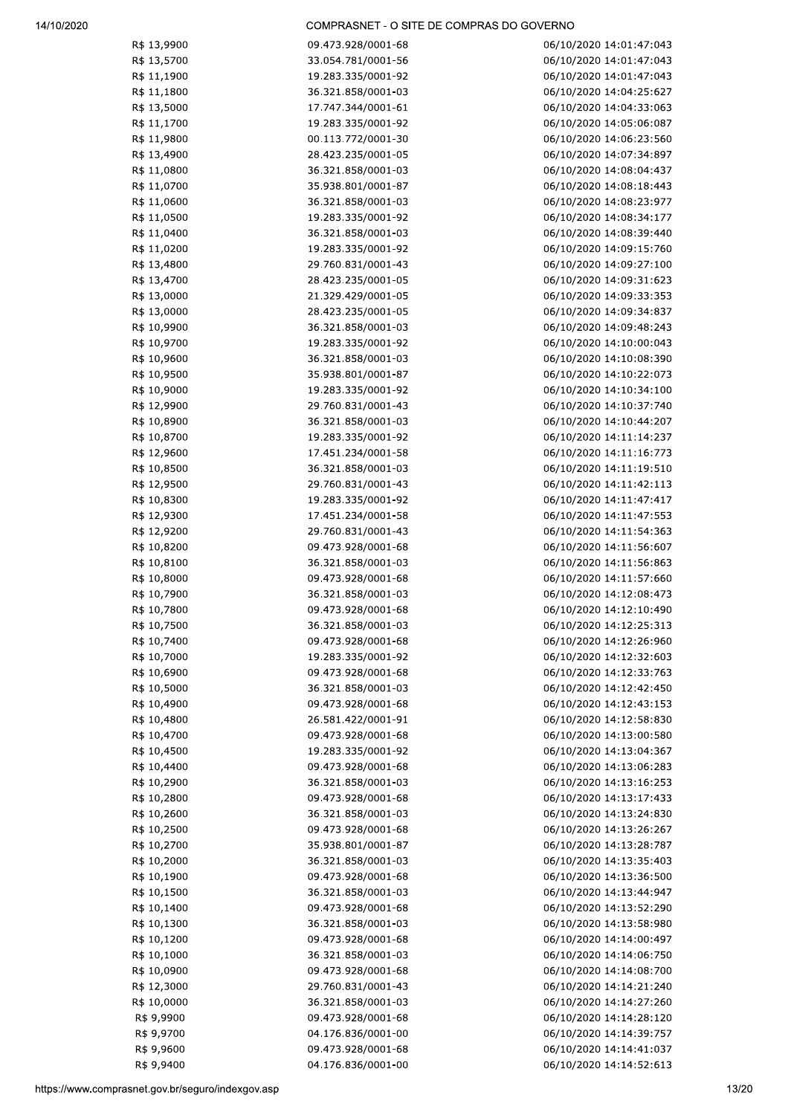| R\$ 13,9900 | 09.473.928/0001-68 | 06/10/2020 14:01:47:043 |
|-------------|--------------------|-------------------------|
| R\$ 13,5700 | 33.054.781/0001-56 | 06/10/2020 14:01:47:043 |
| R\$ 11,1900 | 19.283.335/0001-92 | 06/10/2020 14:01:47:043 |
| R\$ 11,1800 | 36.321.858/0001-03 | 06/10/2020 14:04:25:627 |
| R\$ 13,5000 | 17.747.344/0001-61 | 06/10/2020 14:04:33:063 |
| R\$ 11,1700 | 19.283.335/0001-92 | 06/10/2020 14:05:06:087 |
| R\$ 11,9800 | 00.113.772/0001-30 | 06/10/2020 14:06:23:560 |
|             |                    |                         |
| R\$ 13,4900 | 28.423.235/0001-05 | 06/10/2020 14:07:34:897 |
| R\$ 11,0800 | 36.321.858/0001-03 | 06/10/2020 14:08:04:437 |
| R\$ 11,0700 | 35.938.801/0001-87 | 06/10/2020 14:08:18:443 |
| R\$ 11,0600 | 36.321.858/0001-03 | 06/10/2020 14:08:23:977 |
| R\$ 11,0500 | 19.283.335/0001-92 | 06/10/2020 14:08:34:177 |
| R\$ 11,0400 | 36.321.858/0001-03 | 06/10/2020 14:08:39:440 |
| R\$ 11,0200 | 19.283.335/0001-92 | 06/10/2020 14:09:15:760 |
| R\$ 13,4800 | 29.760.831/0001-43 | 06/10/2020 14:09:27:100 |
| R\$ 13,4700 | 28.423.235/0001-05 | 06/10/2020 14:09:31:623 |
| R\$ 13,0000 | 21.329.429/0001-05 | 06/10/2020 14:09:33:353 |
| R\$ 13,0000 | 28.423.235/0001-05 | 06/10/2020 14:09:34:837 |
| R\$ 10,9900 | 36.321.858/0001-03 | 06/10/2020 14:09:48:243 |
| R\$ 10,9700 | 19.283.335/0001-92 | 06/10/2020 14:10:00:043 |
| R\$ 10,9600 | 36.321.858/0001-03 | 06/10/2020 14:10:08:390 |
| R\$ 10,9500 | 35.938.801/0001-87 | 06/10/2020 14:10:22:073 |
|             |                    |                         |
| R\$ 10,9000 | 19.283.335/0001-92 | 06/10/2020 14:10:34:100 |
| R\$ 12,9900 | 29.760.831/0001-43 | 06/10/2020 14:10:37:740 |
| R\$ 10,8900 | 36.321.858/0001-03 | 06/10/2020 14:10:44:207 |
| R\$ 10,8700 | 19.283.335/0001-92 | 06/10/2020 14:11:14:237 |
| R\$ 12,9600 | 17.451.234/0001-58 | 06/10/2020 14:11:16:773 |
| R\$ 10,8500 | 36.321.858/0001-03 | 06/10/2020 14:11:19:510 |
| R\$ 12,9500 | 29.760.831/0001-43 | 06/10/2020 14:11:42:113 |
| R\$ 10,8300 | 19.283.335/0001-92 | 06/10/2020 14:11:47:417 |
| R\$ 12,9300 | 17.451.234/0001-58 | 06/10/2020 14:11:47:553 |
| R\$ 12,9200 | 29.760.831/0001-43 | 06/10/2020 14:11:54:363 |
| R\$ 10,8200 | 09.473.928/0001-68 | 06/10/2020 14:11:56:607 |
| R\$ 10,8100 | 36.321.858/0001-03 | 06/10/2020 14:11:56:863 |
| R\$ 10,8000 | 09.473.928/0001-68 | 06/10/2020 14:11:57:660 |
| R\$ 10,7900 | 36.321.858/0001-03 | 06/10/2020 14:12:08:473 |
| R\$ 10,7800 | 09.473.928/0001-68 | 06/10/2020 14:12:10:490 |
| R\$ 10,7500 | 36.321.858/0001-03 | 06/10/2020 14:12:25:313 |
|             | 09.473.928/0001-68 |                         |
| R\$ 10,7400 |                    | 06/10/2020 14:12:26:960 |
| R\$ 10,7000 | 19.283.335/0001-92 | 06/10/2020 14:12:32:603 |
| R\$ 10,6900 | 09.473.928/0001-68 | 06/10/2020 14:12:33:763 |
| R\$ 10,5000 | 36.321.858/0001-03 | 06/10/2020 14:12:42:450 |
| R\$ 10,4900 | 09.473.928/0001-68 | 06/10/2020 14:12:43:153 |
| R\$ 10,4800 | 26.581.422/0001-91 | 06/10/2020 14:12:58:830 |
| R\$ 10,4700 | 09.473.928/0001-68 | 06/10/2020 14:13:00:580 |
| R\$ 10,4500 | 19.283.335/0001-92 | 06/10/2020 14:13:04:367 |
| R\$ 10,4400 | 09.473.928/0001-68 | 06/10/2020 14:13:06:283 |
| R\$ 10,2900 | 36.321.858/0001-03 | 06/10/2020 14:13:16:253 |
| R\$ 10,2800 | 09.473.928/0001-68 | 06/10/2020 14:13:17:433 |
| R\$ 10,2600 | 36.321.858/0001-03 | 06/10/2020 14:13:24:830 |
| R\$ 10,2500 | 09.473.928/0001-68 | 06/10/2020 14:13:26:267 |
| R\$ 10,2700 | 35.938.801/0001-87 | 06/10/2020 14:13:28:787 |
| R\$ 10,2000 | 36.321.858/0001-03 | 06/10/2020 14:13:35:403 |
| R\$ 10,1900 | 09.473.928/0001-68 | 06/10/2020 14:13:36:500 |
|             |                    |                         |
| R\$ 10,1500 | 36.321.858/0001-03 | 06/10/2020 14:13:44:947 |
| R\$ 10,1400 | 09.473.928/0001-68 | 06/10/2020 14:13:52:290 |
| R\$ 10,1300 | 36.321.858/0001-03 | 06/10/2020 14:13:58:980 |
| R\$ 10,1200 | 09.473.928/0001-68 | 06/10/2020 14:14:00:497 |
| R\$ 10,1000 | 36.321.858/0001-03 | 06/10/2020 14:14:06:750 |
| R\$ 10,0900 | 09.473.928/0001-68 | 06/10/2020 14:14:08:700 |
| R\$ 12,3000 | 29.760.831/0001-43 | 06/10/2020 14:14:21:240 |
| R\$ 10,0000 | 36.321.858/0001-03 | 06/10/2020 14:14:27:260 |
| R\$ 9,9900  | 09.473.928/0001-68 | 06/10/2020 14:14:28:120 |
| R\$ 9,9700  | 04.176.836/0001-00 | 06/10/2020 14:14:39:757 |
| R\$ 9,9600  | 09.473.928/0001-68 | 06/10/2020 14:14:41:037 |
| R\$ 9,9400  | 04.176.836/0001-00 | 06/10/2020 14:14:52:613 |
|             |                    |                         |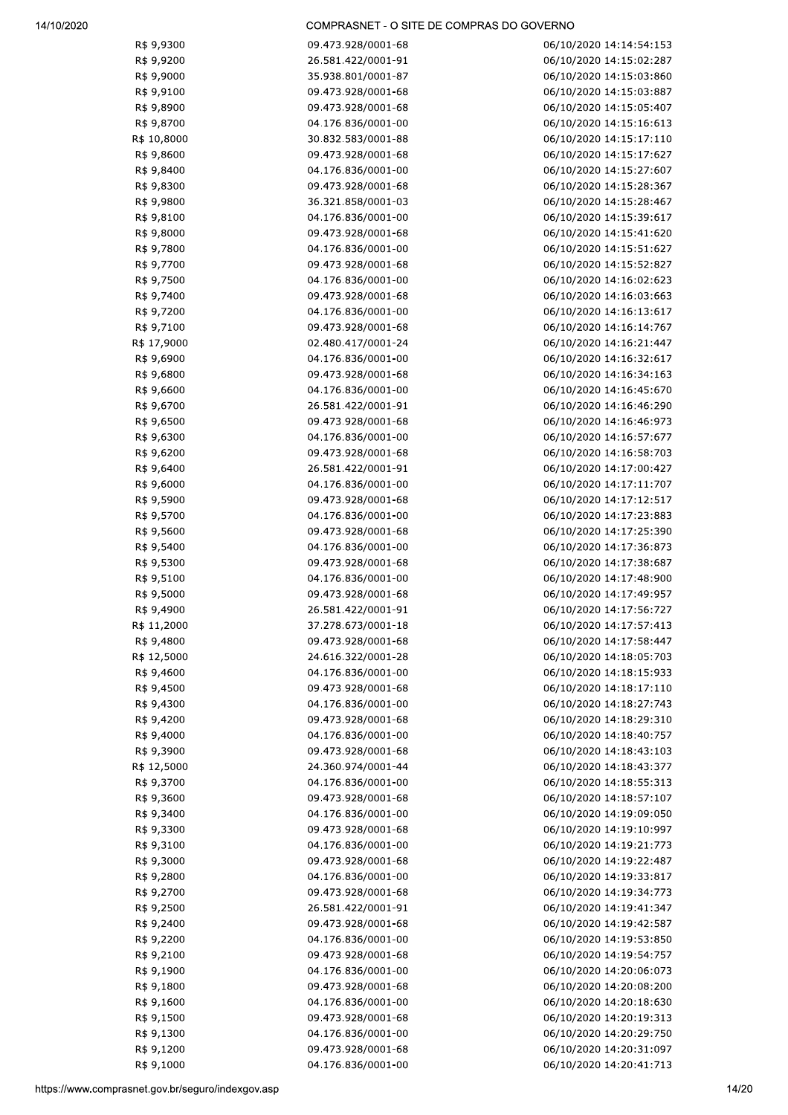| R\$ 9,9300                              | 09.473.928/0001-68 | 06/10/2020 14:14:54:153 |
|-----------------------------------------|--------------------|-------------------------|
| R\$ 9,9200                              | 26.581.422/0001-91 | 06/10/2020 14:15:02:287 |
| R\$ 9,9000                              | 35.938.801/0001-87 | 06/10/2020 14:15:03:860 |
| R\$ 9,9100                              | 09.473.928/0001-68 | 06/10/2020 14:15:03:887 |
| R\$ 9,8900                              | 09.473.928/0001-68 | 06/10/2020 14:15:05:407 |
| R\$ 9,8700                              | 04.176.836/0001-00 | 06/10/2020 14:15:16:613 |
| R\$ 10,8000                             | 30.832.583/0001-88 | 06/10/2020 14:15:17:110 |
| R\$ 9,8600                              | 09.473.928/0001-68 | 06/10/2020 14:15:17:627 |
|                                         |                    |                         |
| R\$ 9,8400                              | 04.176.836/0001-00 | 06/10/2020 14:15:27:607 |
| R\$ 9,8300                              | 09.473.928/0001-68 | 06/10/2020 14:15:28:367 |
| R\$ 9,9800                              | 36.321.858/0001-03 | 06/10/2020 14:15:28:467 |
| R\$ 9,8100                              | 04.176.836/0001-00 | 06/10/2020 14:15:39:617 |
| R\$ 9,8000                              | 09.473.928/0001-68 | 06/10/2020 14:15:41:620 |
| R\$ 9,7800                              | 04.176.836/0001-00 | 06/10/2020 14:15:51:627 |
| R\$ 9,7700                              | 09.473.928/0001-68 | 06/10/2020 14:15:52:827 |
| R\$ 9,7500                              | 04.176.836/0001-00 | 06/10/2020 14:16:02:623 |
|                                         |                    |                         |
| R\$ 9,7400                              | 09.473.928/0001-68 | 06/10/2020 14:16:03:663 |
| R\$ 9,7200                              | 04.176.836/0001-00 | 06/10/2020 14:16:13:617 |
| R\$ 9,7100                              | 09.473.928/0001-68 | 06/10/2020 14:16:14:767 |
| R\$ 17,9000                             | 02.480.417/0001-24 | 06/10/2020 14:16:21:447 |
| R\$ 9,6900                              | 04.176.836/0001-00 | 06/10/2020 14:16:32:617 |
| R\$ 9,6800                              | 09.473.928/0001-68 | 06/10/2020 14:16:34:163 |
| R\$ 9,6600                              | 04.176.836/0001-00 | 06/10/2020 14:16:45:670 |
| R\$ 9,6700                              | 26.581.422/0001-91 | 06/10/2020 14:16:46:290 |
|                                         |                    |                         |
| R\$ 9,6500                              | 09.473.928/0001-68 | 06/10/2020 14:16:46:973 |
| R\$ 9,6300                              | 04.176.836/0001-00 | 06/10/2020 14:16:57:677 |
| R\$ 9,6200                              | 09.473.928/0001-68 | 06/10/2020 14:16:58:703 |
| R\$ 9,6400                              | 26.581.422/0001-91 | 06/10/2020 14:17:00:427 |
| R\$ 9,6000                              | 04.176.836/0001-00 | 06/10/2020 14:17:11:707 |
| R\$ 9,5900                              | 09.473.928/0001-68 | 06/10/2020 14:17:12:517 |
| R\$ 9,5700                              | 04.176.836/0001-00 | 06/10/2020 14:17:23:883 |
| R\$ 9,5600                              | 09.473.928/0001-68 | 06/10/2020 14:17:25:390 |
|                                         |                    |                         |
| R\$ 9,5400                              | 04.176.836/0001-00 | 06/10/2020 14:17:36:873 |
| R\$ 9,5300                              | 09.473.928/0001-68 | 06/10/2020 14:17:38:687 |
| R\$ 9,5100                              | 04.176.836/0001-00 | 06/10/2020 14:17:48:900 |
| R\$ 9,5000                              | 09.473.928/0001-68 | 06/10/2020 14:17:49:957 |
| R\$ 9,4900                              | 26.581.422/0001-91 | 06/10/2020 14:17:56:727 |
| R\$ 11,2000                             | 37.278.673/0001-18 | 06/10/2020 14:17:57:413 |
| R\$ 9,4800                              | 09.473.928/0001-68 | 06/10/2020 14:17:58:447 |
| R\$ 12,5000                             | 24.616.322/0001-28 | 06/10/2020 14:18:05:703 |
| R\$ 9,4600                              | 04.176.836/0001-00 | 06/10/2020 14:18:15:933 |
|                                         |                    |                         |
| R\$ 9,4500                              | 09.473.928/0001-68 | 06/10/2020 14:18:17:110 |
| R\$ 9,4300                              | 04.176.836/0001-00 | 06/10/2020 14:18:27:743 |
| R\$ 9,4200                              | 09.473.928/0001-68 | 06/10/2020 14:18:29:310 |
| R\$ 9,4000                              | 04.176.836/0001-00 | 06/10/2020 14:18:40:757 |
| R\$ 9,3900                              | 09.473.928/0001-68 | 06/10/2020 14:18:43:103 |
| R\$ 12,5000                             | 24.360.974/0001-44 | 06/10/2020 14:18:43:377 |
| R\$ 9,3700                              | 04.176.836/0001-00 | 06/10/2020 14:18:55:313 |
| R\$ 9,3600                              | 09.473.928/0001-68 | 06/10/2020 14:18:57:107 |
|                                         |                    |                         |
| R\$ 9,3400                              | 04.176.836/0001-00 | 06/10/2020 14:19:09:050 |
| R\$ 9,3300                              | 09.473.928/0001-68 | 06/10/2020 14:19:10:997 |
| R\$ 9,3100                              | 04.176.836/0001-00 | 06/10/2020 14:19:21:773 |
| R\$ 9,3000                              | 09.473.928/0001-68 | 06/10/2020 14:19:22:487 |
| R\$ 9,2800                              | 04.176.836/0001-00 | 06/10/2020 14:19:33:817 |
| R\$ 9,2700                              | 09.473.928/0001-68 | 06/10/2020 14:19:34:773 |
| R\$ 9,2500                              | 26.581.422/0001-91 | 06/10/2020 14:19:41:347 |
| R\$ 9,2400                              | 09.473.928/0001-68 | 06/10/2020 14:19:42:587 |
|                                         |                    |                         |
| R\$ 9,2200                              | 04.176.836/0001-00 | 06/10/2020 14:19:53:850 |
| R\$ 9,2100                              | 09.473.928/0001-68 | 06/10/2020 14:19:54:757 |
| R\$ 9,1900                              | 04.176.836/0001-00 | 06/10/2020 14:20:06:073 |
| R\$ 9,1800                              | 09.473.928/0001-68 | 06/10/2020 14:20:08:200 |
| R\$ 9,1600                              | 04.176.836/0001-00 | 06/10/2020 14:20:18:630 |
| R\$ 9,1500                              | 09.473.928/0001-68 | 06/10/2020 14:20:19:313 |
| R\$ 9,1300                              | 04.176.836/0001-00 | 06/10/2020 14:20:29:750 |
| R\$ 9,1200                              | 09.473.928/0001-68 | 06/10/2020 14:20:31:097 |
|                                         |                    |                         |
| R\$ 9,1000                              | 04.176.836/0001-00 | 06/10/2020 14:20:41:713 |
| v.comprasnet.gov.br/seguro/indexgov.asp |                    | 14/2                    |
|                                         |                    |                         |
|                                         |                    |                         |
|                                         |                    |                         |
|                                         |                    |                         |
|                                         |                    |                         |
|                                         |                    |                         |
|                                         |                    |                         |
|                                         |                    |                         |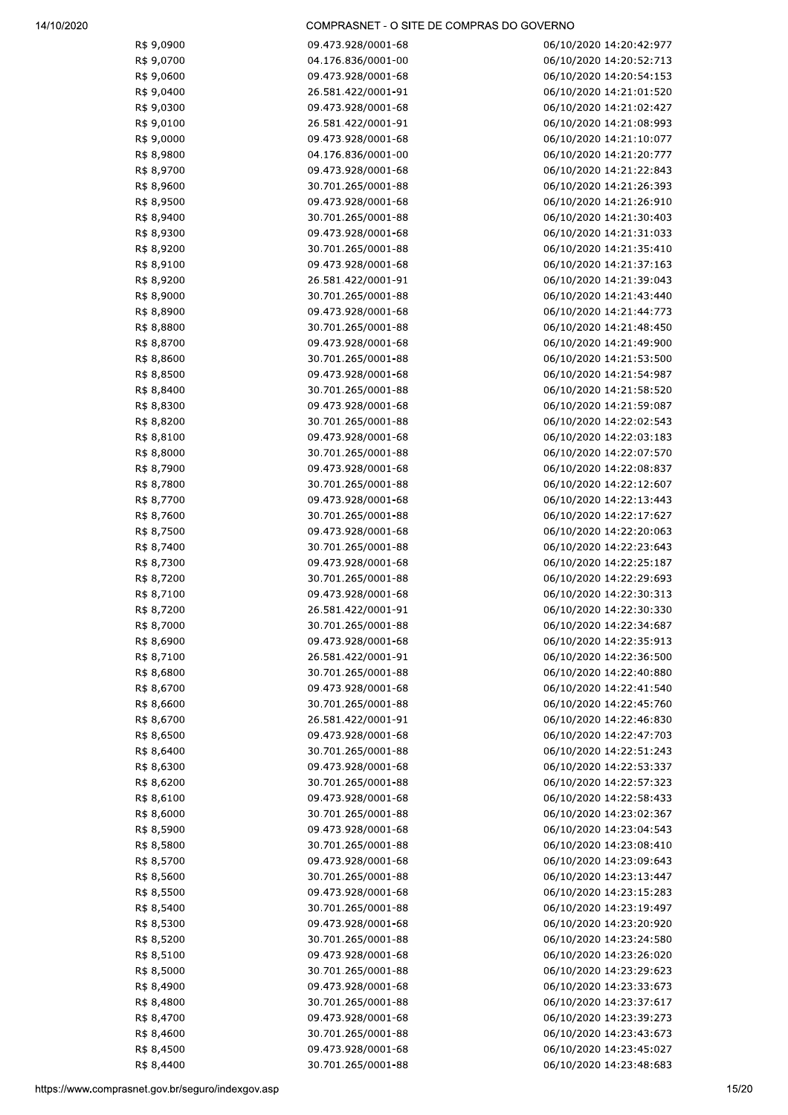| R\$ 9,0900 | 09.473.928/0001-68                       | 06/10/2020 14:20:42:977                            |
|------------|------------------------------------------|----------------------------------------------------|
| R\$ 9,0700 | 04.176.836/0001-00                       | 06/10/2020 14:20:52:713                            |
| R\$ 9,0600 | 09.473.928/0001-68                       | 06/10/2020 14:20:54:153                            |
| R\$ 9,0400 | 26.581.422/0001-91                       | 06/10/2020 14:21:01:520                            |
| R\$ 9,0300 | 09.473.928/0001-68                       | 06/10/2020 14:21:02:427                            |
| R\$ 9,0100 | 26.581.422/0001-91                       | 06/10/2020 14:21:08:993                            |
| R\$ 9,0000 | 09.473.928/0001-68                       | 06/10/2020 14:21:10:077                            |
| R\$ 8,9800 | 04.176.836/0001-00                       | 06/10/2020 14:21:20:777                            |
| R\$ 8,9700 | 09.473.928/0001-68                       | 06/10/2020 14:21:22:843                            |
| R\$ 8,9600 | 30.701.265/0001-88                       | 06/10/2020 14:21:26:393                            |
| R\$ 8,9500 | 09.473.928/0001-68                       | 06/10/2020 14:21:26:910                            |
| R\$ 8,9400 | 30.701.265/0001-88                       | 06/10/2020 14:21:30:403                            |
|            | 09.473.928/0001-68                       |                                                    |
| R\$ 8,9300 |                                          | 06/10/2020 14:21:31:033                            |
| R\$ 8,9200 | 30.701.265/0001-88<br>09.473.928/0001-68 | 06/10/2020 14:21:35:410<br>06/10/2020 14:21:37:163 |
| R\$ 8,9100 |                                          |                                                    |
| R\$ 8,9200 | 26.581.422/0001-91                       | 06/10/2020 14:21:39:043                            |
| R\$ 8,9000 | 30.701.265/0001-88                       | 06/10/2020 14:21:43:440                            |
| R\$ 8,8900 | 09.473.928/0001-68                       | 06/10/2020 14:21:44:773                            |
| R\$ 8,8800 | 30.701.265/0001-88                       | 06/10/2020 14:21:48:450                            |
| R\$ 8,8700 | 09.473.928/0001-68                       | 06/10/2020 14:21:49:900                            |
| R\$ 8,8600 | 30.701.265/0001-88                       | 06/10/2020 14:21:53:500                            |
| R\$ 8,8500 | 09.473.928/0001-68                       | 06/10/2020 14:21:54:987                            |
| R\$ 8,8400 | 30.701.265/0001-88                       | 06/10/2020 14:21:58:520                            |
| R\$ 8,8300 | 09.473.928/0001-68                       | 06/10/2020 14:21:59:087                            |
| R\$ 8,8200 | 30.701.265/0001-88                       | 06/10/2020 14:22:02:543                            |
| R\$ 8,8100 | 09.473.928/0001-68                       | 06/10/2020 14:22:03:183                            |
| R\$ 8,8000 | 30.701.265/0001-88                       | 06/10/2020 14:22:07:570                            |
| R\$ 8,7900 | 09.473.928/0001-68                       | 06/10/2020 14:22:08:837                            |
| R\$ 8,7800 | 30.701.265/0001-88                       | 06/10/2020 14:22:12:607                            |
| R\$ 8,7700 | 09.473.928/0001-68                       | 06/10/2020 14:22:13:443                            |
| R\$ 8,7600 | 30.701.265/0001-88                       | 06/10/2020 14:22:17:627                            |
| R\$ 8,7500 | 09.473.928/0001-68                       | 06/10/2020 14:22:20:063                            |
| R\$ 8,7400 | 30.701.265/0001-88                       | 06/10/2020 14:22:23:643                            |
| R\$ 8,7300 | 09.473.928/0001-68                       | 06/10/2020 14:22:25:187                            |
| R\$ 8,7200 | 30.701.265/0001-88                       | 06/10/2020 14:22:29:693                            |
| R\$ 8,7100 | 09.473.928/0001-68                       | 06/10/2020 14:22:30:313                            |
| R\$ 8,7200 | 26.581.422/0001-91                       | 06/10/2020 14:22:30:330                            |
| R\$ 8,7000 | 30.701.265/0001-88                       | 06/10/2020 14:22:34:687                            |
| R\$ 8,6900 | 09.473.928/0001-68                       | 06/10/2020 14:22:35:913                            |
| R\$ 8,7100 | 26.581.422/0001-91                       | 06/10/2020 14:22:36:500                            |
| R\$ 8,6800 | 30.701.265/0001-88                       | 06/10/2020 14:22:40:880                            |
| R\$ 8,6700 | 09.473.928/0001-68                       | 06/10/2020 14:22:41:540                            |
| R\$ 8,6600 | 30.701.265/0001-88                       | 06/10/2020 14:22:45:760                            |
| R\$ 8,6700 | 26.581.422/0001-91                       | 06/10/2020 14:22:46:830                            |
| R\$ 8,6500 | 09.473.928/0001-68                       | 06/10/2020 14:22:47:703                            |
| R\$ 8,6400 | 30.701.265/0001-88                       | 06/10/2020 14:22:51:243                            |
| R\$ 8,6300 | 09.473.928/0001-68                       | 06/10/2020 14:22:53:337                            |
| R\$ 8,6200 | 30.701.265/0001-88                       | 06/10/2020 14:22:57:323                            |
| R\$ 8,6100 | 09.473.928/0001-68                       | 06/10/2020 14:22:58:433                            |
| R\$ 8,6000 | 30.701.265/0001-88                       | 06/10/2020 14:23:02:367                            |
| R\$ 8,5900 | 09.473.928/0001-68                       | 06/10/2020 14:23:04:543                            |
| R\$ 8,5800 | 30.701.265/0001-88                       | 06/10/2020 14:23:08:410                            |
| R\$ 8,5700 | 09.473.928/0001-68                       | 06/10/2020 14:23:09:643                            |
| R\$ 8,5600 | 30.701.265/0001-88                       | 06/10/2020 14:23:13:447                            |
| R\$ 8,5500 | 09.473.928/0001-68                       | 06/10/2020 14:23:15:283                            |
| R\$ 8,5400 | 30.701.265/0001-88                       | 06/10/2020 14:23:19:497                            |
| R\$ 8,5300 | 09.473.928/0001-68                       | 06/10/2020 14:23:20:920                            |
| R\$ 8,5200 | 30.701.265/0001-88                       | 06/10/2020 14:23:24:580                            |
| R\$ 8,5100 | 09.473.928/0001-68                       | 06/10/2020 14:23:26:020                            |
| R\$ 8,5000 | 30.701.265/0001-88                       | 06/10/2020 14:23:29:623                            |
| R\$ 8,4900 | 09.473.928/0001-68                       | 06/10/2020 14:23:33:673                            |
| R\$ 8,4800 | 30.701.265/0001-88                       | 06/10/2020 14:23:37:617                            |
| R\$ 8,4700 | 09.473.928/0001-68                       | 06/10/2020 14:23:39:273                            |
| R\$ 8,4600 | 30.701.265/0001-88                       | 06/10/2020 14:23:43:673                            |
| R\$ 8,4500 | 09.473.928/0001-68                       | 06/10/2020 14:23:45:027                            |
| R\$ 8,4400 | 30.701.265/0001-88                       | 06/10/2020 14:23:48:683                            |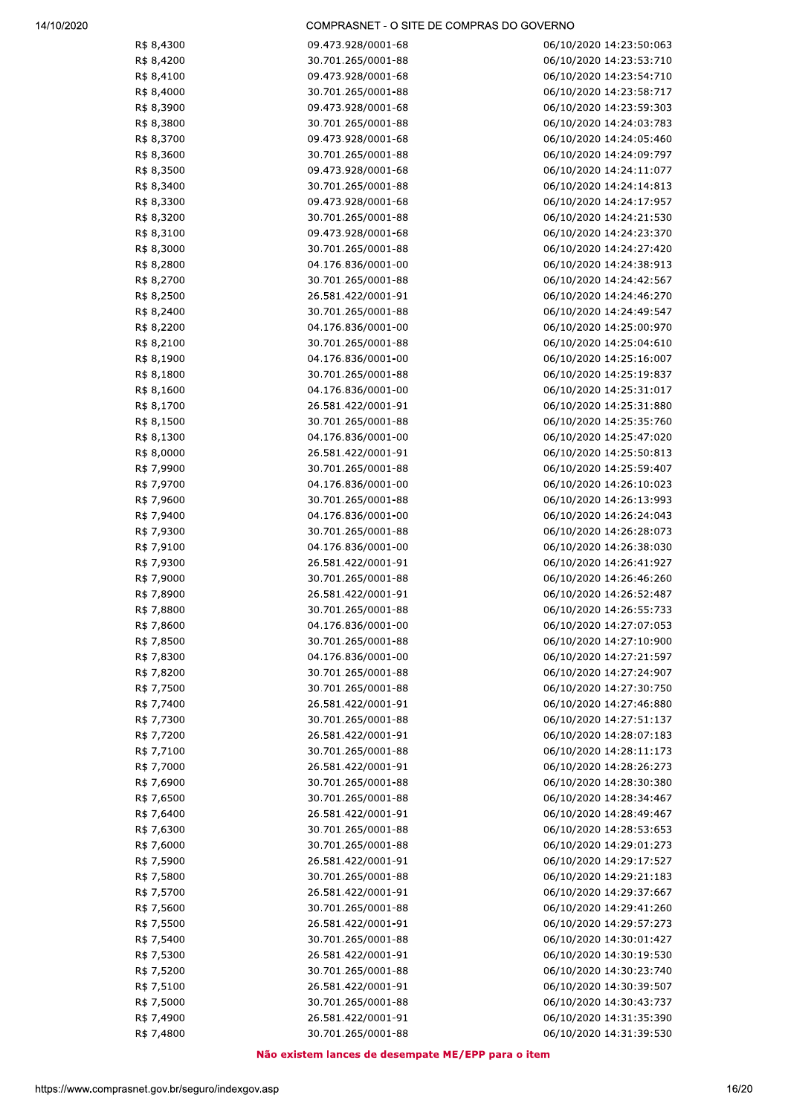| R\$ 8,4300 | 09.473.928/0001-68                       | 06/10/2020 14:23:50:063 |
|------------|------------------------------------------|-------------------------|
| R\$ 8,4200 | 30.701.265/0001-88                       | 06/10/2020 14:23:53:710 |
| R\$ 8,4100 | 09.473.928/0001-68                       | 06/10/2020 14:23:54:710 |
| R\$ 8,4000 | 30.701.265/0001-88                       | 06/10/2020 14:23:58:717 |
| R\$ 8,3900 | 09.473.928/0001-68                       | 06/10/2020 14:23:59:303 |
| R\$ 8,3800 | 30.701.265/0001-88                       | 06/10/2020 14:24:03:783 |
| R\$ 8,3700 | 09.473.928/0001-68                       | 06/10/2020 14:24:05:460 |
| R\$ 8,3600 | 30.701.265/0001-88                       | 06/10/2020 14:24:09:797 |
| R\$ 8,3500 | 09.473.928/0001-68                       | 06/10/2020 14:24:11:077 |
| R\$ 8,3400 | 30.701.265/0001-88                       | 06/10/2020 14:24:14:813 |
| R\$ 8,3300 | 09.473.928/0001-68                       | 06/10/2020 14:24:17:957 |
| R\$ 8,3200 | 30.701.265/0001-88                       | 06/10/2020 14:24:21:530 |
| R\$ 8,3100 | 09.473.928/0001-68                       | 06/10/2020 14:24:23:370 |
| R\$ 8,3000 | 30.701.265/0001-88                       | 06/10/2020 14:24:27:420 |
| R\$ 8,2800 | 04.176.836/0001-00                       | 06/10/2020 14:24:38:913 |
| R\$ 8,2700 | 30.701.265/0001-88                       | 06/10/2020 14:24:42:567 |
| R\$ 8,2500 | 26.581.422/0001-91                       | 06/10/2020 14:24:46:270 |
| R\$ 8,2400 | 30.701.265/0001-88                       | 06/10/2020 14:24:49:547 |
| R\$ 8,2200 | 04.176.836/0001-00                       | 06/10/2020 14:25:00:970 |
| R\$ 8,2100 | 30.701.265/0001-88                       | 06/10/2020 14:25:04:610 |
| R\$ 8,1900 | 04.176.836/0001-00                       | 06/10/2020 14:25:16:007 |
| R\$ 8,1800 | 30.701.265/0001-88                       | 06/10/2020 14:25:19:837 |
| R\$ 8,1600 | 04.176.836/0001-00                       | 06/10/2020 14:25:31:017 |
| R\$ 8,1700 | 26.581.422/0001-91                       | 06/10/2020 14:25:31:880 |
| R\$ 8,1500 | 30.701.265/0001-88                       | 06/10/2020 14:25:35:760 |
| R\$ 8,1300 | 04.176.836/0001-00                       | 06/10/2020 14:25:47:020 |
| R\$ 8,0000 | 26.581.422/0001-91                       | 06/10/2020 14:25:50:813 |
| R\$ 7,9900 | 30.701.265/0001-88                       | 06/10/2020 14:25:59:407 |
| R\$ 7,9700 | 04.176.836/0001-00                       | 06/10/2020 14:26:10:023 |
|            | 30.701.265/0001-88                       |                         |
| R\$ 7,9600 |                                          | 06/10/2020 14:26:13:993 |
| R\$ 7,9400 | 04.176.836/0001-00<br>30.701.265/0001-88 | 06/10/2020 14:26:24:043 |
| R\$ 7,9300 |                                          | 06/10/2020 14:26:28:073 |
| R\$ 7,9100 | 04.176.836/0001-00                       | 06/10/2020 14:26:38:030 |
| R\$ 7,9300 | 26.581.422/0001-91                       | 06/10/2020 14:26:41:927 |
| R\$ 7,9000 | 30.701.265/0001-88                       | 06/10/2020 14:26:46:260 |
| R\$ 7,8900 | 26.581.422/0001-91                       | 06/10/2020 14:26:52:487 |
| R\$ 7,8800 | 30.701.265/0001-88                       | 06/10/2020 14:26:55:733 |
| R\$ 7,8600 | 04.176.836/0001-00                       | 06/10/2020 14:27:07:053 |
| R\$ 7,8500 | 30.701.265/0001-88                       | 06/10/2020 14:27:10:900 |
| R\$ 7,8300 | 04.176.836/0001-00                       | 06/10/2020 14:27:21:597 |
| R\$ 7,8200 | 30.701.265/0001-88                       | 06/10/2020 14:27:24:907 |
| R\$ 7,7500 | 30.701.265/0001-88                       | 06/10/2020 14:27:30:750 |
| R\$ 7,7400 | 26.581.422/0001-91                       | 06/10/2020 14:27:46:880 |
| R\$ 7,7300 | 30.701.265/0001-88                       | 06/10/2020 14:27:51:137 |
| R\$ 7,7200 | 26.581.422/0001-91                       | 06/10/2020 14:28:07:183 |
| R\$ 7,7100 | 30.701.265/0001-88                       | 06/10/2020 14:28:11:173 |
| R\$ 7,7000 | 26.581.422/0001-91                       | 06/10/2020 14:28:26:273 |
| R\$ 7,6900 | 30.701.265/0001-88                       | 06/10/2020 14:28:30:380 |
| R\$ 7,6500 | 30.701.265/0001-88                       | 06/10/2020 14:28:34:467 |
| R\$ 7,6400 | 26.581.422/0001-91                       | 06/10/2020 14:28:49:467 |
| R\$ 7,6300 | 30.701.265/0001-88                       | 06/10/2020 14:28:53:653 |
| R\$ 7,6000 | 30.701.265/0001-88                       | 06/10/2020 14:29:01:273 |
| R\$ 7,5900 | 26.581.422/0001-91                       | 06/10/2020 14:29:17:527 |
| R\$ 7,5800 | 30.701.265/0001-88                       | 06/10/2020 14:29:21:183 |
| R\$ 7,5700 | 26.581.422/0001-91                       | 06/10/2020 14:29:37:667 |
| R\$ 7,5600 | 30.701.265/0001-88                       | 06/10/2020 14:29:41:260 |
| R\$ 7,5500 | 26.581.422/0001-91                       | 06/10/2020 14:29:57:273 |
| R\$ 7,5400 | 30.701.265/0001-88                       | 06/10/2020 14:30:01:427 |
| R\$ 7,5300 | 26.581.422/0001-91                       | 06/10/2020 14:30:19:530 |
| R\$ 7,5200 | 30.701.265/0001-88                       | 06/10/2020 14:30:23:740 |
| R\$ 7,5100 | 26.581.422/0001-91                       | 06/10/2020 14:30:39:507 |
| R\$ 7,5000 | 30.701.265/0001-88                       | 06/10/2020 14:30:43:737 |
| R\$ 7,4900 | 26.581.422/0001-91                       | 06/10/2020 14:31:35:390 |
| R\$ 7,4800 | 30.701.265/0001-88                       | 06/10/2020 14:31:39:530 |

Não existem lances de desempate ME/EPP para o item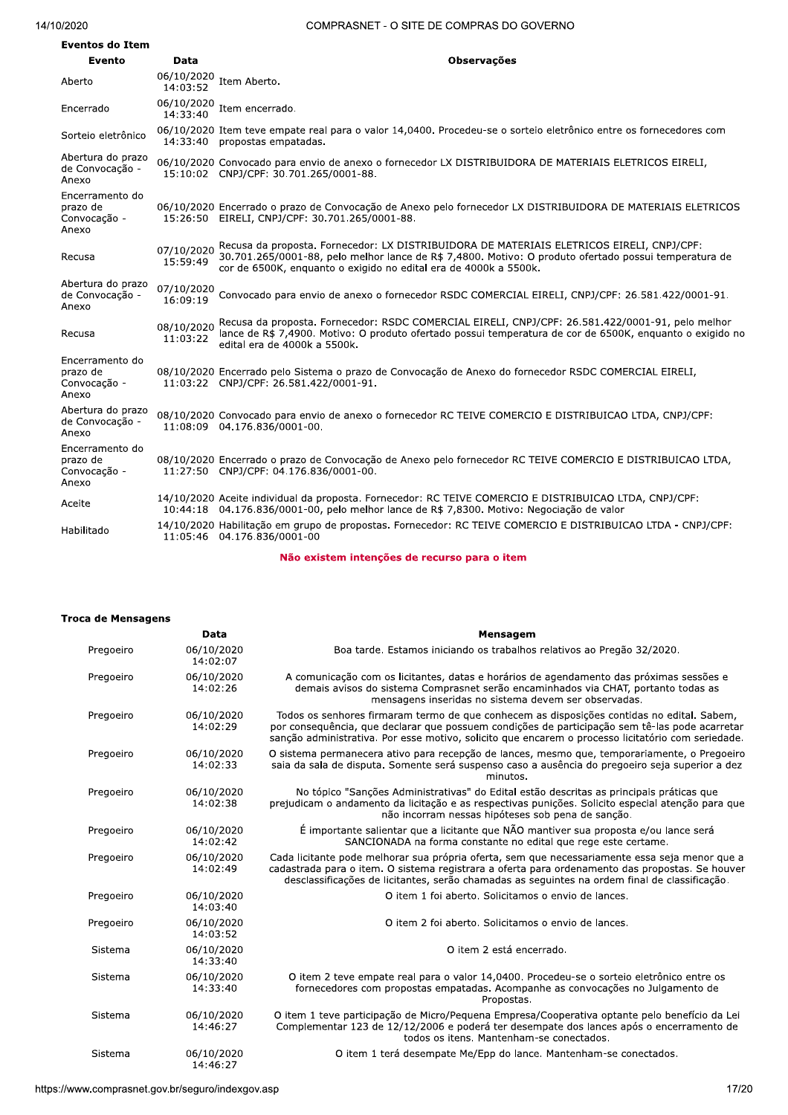#### $14/10/20$

#### ZUZU ARABI ALI COMPRASNET - O SITE DE COMPRAS DO GOVERNO

| <b>Eventos do Item</b>                               |                        |                                                                                                                                                                                                                                                                        |
|------------------------------------------------------|------------------------|------------------------------------------------------------------------------------------------------------------------------------------------------------------------------------------------------------------------------------------------------------------------|
| Evento                                               | Data                   | <b>Observações</b>                                                                                                                                                                                                                                                     |
| Aberto                                               | 06/10/2020<br>14:03:52 | Item Aberto.                                                                                                                                                                                                                                                           |
| Encerrado                                            | 06/10/2020<br>14:33:40 | Item encerrado.                                                                                                                                                                                                                                                        |
| Sorteio eletrônico                                   | 14:33:40               | 06/10/2020 Item teve empate real para o valor 14,0400. Procedeu-se o sorteio eletrônico entre os fornecedores com<br>propostas empatadas.                                                                                                                              |
| Abertura do prazo<br>de Convocação -<br>Anexo        |                        | 06/10/2020 Convocado para envio de anexo o fornecedor LX DISTRIBUIDORA DE MATERIAIS ELETRICOS EIRELI,<br>15:10:02 CNPJ/CPF: 30.701.265/0001-88.                                                                                                                        |
| Encerramento do<br>prazo de<br>Convocação -<br>Anexo |                        | 06/10/2020 Encerrado o prazo de Convocação de Anexo pelo fornecedor LX DISTRIBUIDORA DE MATERIAIS ELETRICOS<br>15:26:50 EIRELI, CNPJ/CPF: 30.701.265/0001-88.                                                                                                          |
| Recusa                                               | 07/10/2020<br>15:59:49 | Recusa da proposta. Fornecedor: LX DISTRIBUIDORA DE MATERIAIS ELETRICOS EIRELI, CNPJ/CPF:<br>30.701.265/0001-88, pelo melhor lance de R\$ 7,4800. Motivo: O produto ofertado possui temperatura de<br>cor de 6500K, enquanto o exigido no edital era de 4000k a 5500k. |
| Abertura do prazo<br>de Convocação -<br>Anexo        | 07/10/2020<br>16:09:19 | Convocado para envio de anexo o fornecedor RSDC COMERCIAL EIRELI, CNPJ/CPF: 26.581.422/0001-91.                                                                                                                                                                        |
| Recusa                                               | 08/10/2020<br>11:03:22 | Recusa da proposta. Fornecedor: RSDC COMERCIAL EIRELI, CNPJ/CPF: 26.581.422/0001-91, pelo melhor<br>lance de R\$ 7,4900. Motivo: O produto ofertado possui temperatura de cor de 6500K, enguanto o exigido no<br>edital era de 4000k a 5500k.                          |
| Encerramento do<br>prazo de<br>Convocação -<br>Anexo |                        | 08/10/2020 Encerrado pelo Sistema o prazo de Convocação de Anexo do fornecedor RSDC COMERCIAL EIRELI,<br>11:03:22 CNPJ/CPF: 26.581.422/0001-91.                                                                                                                        |
| Abertura do prazo<br>de Convocação -<br>Anexo        |                        | 08/10/2020 Convocado para envio de anexo o fornecedor RC TEIVE COMERCIO E DISTRIBUICAO LTDA, CNPJ/CPF:<br>11:08:09  04.176.836/0001-00.                                                                                                                                |
| Encerramento do<br>prazo de<br>Convocação -<br>Anexo |                        | 08/10/2020 Encerrado o prazo de Convocação de Anexo pelo fornecedor RC TEIVE COMERCIO E DISTRIBUICAO LTDA,<br>11:27:50 CNPJ/CPF: 04.176.836/0001-00.                                                                                                                   |
| Aceite                                               |                        | 14/10/2020 Aceite individual da proposta. Fornecedor: RC TEIVE COMERCIO E DISTRIBUICAO LTDA, CNPJ/CPF:<br>10:44:18 04.176.836/0001-00, pelo melhor lance de R\$ 7,8300. Motivo: Negociação de valor                                                                    |
| Habilitado                                           |                        | 14/10/2020 Habilitação em grupo de propostas. Fornecedor: RC TEIVE COMERCIO E DISTRIBUICAO LTDA - CNPJ/CPF:<br>11:05:46 04.176.836/0001-00                                                                                                                             |

Não existem intenções de recurso para o item

| Data<br>Mensagem<br>06/10/2020<br>Boa tarde. Estamos iniciando os trabalhos relativos ao Pregão 32/2020.<br>Pregoeiro<br>14:02:07<br>06/10/2020<br>A comunicação com os licitantes, datas e horários de agendamento das próximas sessões e<br>Pregoeiro<br>demais avisos do sistema Comprasnet serão encaminhados via CHAT, portanto todas as<br>14:02:26<br>mensagens inseridas no sistema devem ser observadas.<br>Todos os senhores firmaram termo de que conhecem as disposições contidas no edital. Sabem,<br>06/10/2020<br>Pregoeiro<br>14:02:29<br>por consequência, que declarar que possuem condições de participação sem tê-las pode acarretar<br>sanção administrativa. Por esse motivo, solicito que encarem o processo licitatório com seriedade.<br>O sistema permanecera ativo para recepção de lances, mesmo que, temporariamente, o Pregoeiro<br>Pregoeiro<br>06/10/2020<br>saia da sala de disputa. Somente será suspenso caso a ausência do pregoeiro seja superior a dez<br>14:02:33<br>minutos.<br>No tópico "Sanções Administrativas" do Edital estão descritas as principais práticas que<br>Pregoeiro<br>06/10/2020<br>14:02:38<br>prejudicam o andamento da licitação e as respectivas punições. Solicito especial atenção para que<br>não incorram nessas hipóteses sob pena de sanção.<br>É importante salientar que a licitante que NÃO mantiver sua proposta e/ou lance será<br>06/10/2020<br>Pregoeiro<br>SANCIONADA na forma constante no edital que rege este certame.<br>14:02:42<br>06/10/2020<br>Cada licitante pode melhorar sua própria oferta, sem que necessariamente essa seja menor que a<br>Pregoeiro<br>cadastrada para o item. O sistema registrara a oferta para ordenamento das propostas. Se houver<br>14:02:49<br>desclassificações de licitantes, serão chamadas as seguintes na ordem final de classificação.<br>06/10/2020<br>O item 1 foi aberto. Solicitamos o envio de lances.<br>Pregoeiro<br>14:03:40<br>Pregoeiro<br>06/10/2020<br>O item 2 foi aberto. Solicitamos o envio de lances.<br>14:03:52<br>06/10/2020<br>O item 2 está encerrado.<br>Sistema<br>14:33:40<br>06/10/2020<br>O item 2 teve empate real para o valor 14,0400. Procedeu-se o sorteio eletrônico entre os<br>Sistema<br>fornecedores com propostas empatadas. Acompanhe as convocações no Julgamento de<br>14:33:40<br>Propostas.<br>06/10/2020<br>O item 1 teve participação de Micro/Pequena Empresa/Cooperativa optante pelo benefício da Lei<br>Sistema<br>Complementar 123 de 12/12/2006 e poderá ter desempate dos lances após o encerramento de<br>14:46:27<br>todos os itens. Mantenham-se conectados.<br>06/10/2020<br>O item 1 terá desempate Me/Epp do lance. Mantenham-se conectados.<br>Sistema<br>14:46:27<br>17/20<br>://www.comprasnet.gov.br/seguro/indexgov.asp | <b>Troca de Mensagens</b> |  |
|-----------------------------------------------------------------------------------------------------------------------------------------------------------------------------------------------------------------------------------------------------------------------------------------------------------------------------------------------------------------------------------------------------------------------------------------------------------------------------------------------------------------------------------------------------------------------------------------------------------------------------------------------------------------------------------------------------------------------------------------------------------------------------------------------------------------------------------------------------------------------------------------------------------------------------------------------------------------------------------------------------------------------------------------------------------------------------------------------------------------------------------------------------------------------------------------------------------------------------------------------------------------------------------------------------------------------------------------------------------------------------------------------------------------------------------------------------------------------------------------------------------------------------------------------------------------------------------------------------------------------------------------------------------------------------------------------------------------------------------------------------------------------------------------------------------------------------------------------------------------------------------------------------------------------------------------------------------------------------------------------------------------------------------------------------------------------------------------------------------------------------------------------------------------------------------------------------------------------------------------------------------------------------------------------------------------------------------------------------------------------------------------------------------------------------------------------------------------------------------------------------------------------------------------------------------------------------------------------------------------------------------------------------------------------------------------------------------------------------------------------------------------------------------------------------------------|---------------------------|--|
|                                                                                                                                                                                                                                                                                                                                                                                                                                                                                                                                                                                                                                                                                                                                                                                                                                                                                                                                                                                                                                                                                                                                                                                                                                                                                                                                                                                                                                                                                                                                                                                                                                                                                                                                                                                                                                                                                                                                                                                                                                                                                                                                                                                                                                                                                                                                                                                                                                                                                                                                                                                                                                                                                                                                                                                                                 |                           |  |
|                                                                                                                                                                                                                                                                                                                                                                                                                                                                                                                                                                                                                                                                                                                                                                                                                                                                                                                                                                                                                                                                                                                                                                                                                                                                                                                                                                                                                                                                                                                                                                                                                                                                                                                                                                                                                                                                                                                                                                                                                                                                                                                                                                                                                                                                                                                                                                                                                                                                                                                                                                                                                                                                                                                                                                                                                 |                           |  |
|                                                                                                                                                                                                                                                                                                                                                                                                                                                                                                                                                                                                                                                                                                                                                                                                                                                                                                                                                                                                                                                                                                                                                                                                                                                                                                                                                                                                                                                                                                                                                                                                                                                                                                                                                                                                                                                                                                                                                                                                                                                                                                                                                                                                                                                                                                                                                                                                                                                                                                                                                                                                                                                                                                                                                                                                                 |                           |  |
|                                                                                                                                                                                                                                                                                                                                                                                                                                                                                                                                                                                                                                                                                                                                                                                                                                                                                                                                                                                                                                                                                                                                                                                                                                                                                                                                                                                                                                                                                                                                                                                                                                                                                                                                                                                                                                                                                                                                                                                                                                                                                                                                                                                                                                                                                                                                                                                                                                                                                                                                                                                                                                                                                                                                                                                                                 |                           |  |
|                                                                                                                                                                                                                                                                                                                                                                                                                                                                                                                                                                                                                                                                                                                                                                                                                                                                                                                                                                                                                                                                                                                                                                                                                                                                                                                                                                                                                                                                                                                                                                                                                                                                                                                                                                                                                                                                                                                                                                                                                                                                                                                                                                                                                                                                                                                                                                                                                                                                                                                                                                                                                                                                                                                                                                                                                 |                           |  |
|                                                                                                                                                                                                                                                                                                                                                                                                                                                                                                                                                                                                                                                                                                                                                                                                                                                                                                                                                                                                                                                                                                                                                                                                                                                                                                                                                                                                                                                                                                                                                                                                                                                                                                                                                                                                                                                                                                                                                                                                                                                                                                                                                                                                                                                                                                                                                                                                                                                                                                                                                                                                                                                                                                                                                                                                                 |                           |  |
|                                                                                                                                                                                                                                                                                                                                                                                                                                                                                                                                                                                                                                                                                                                                                                                                                                                                                                                                                                                                                                                                                                                                                                                                                                                                                                                                                                                                                                                                                                                                                                                                                                                                                                                                                                                                                                                                                                                                                                                                                                                                                                                                                                                                                                                                                                                                                                                                                                                                                                                                                                                                                                                                                                                                                                                                                 |                           |  |
|                                                                                                                                                                                                                                                                                                                                                                                                                                                                                                                                                                                                                                                                                                                                                                                                                                                                                                                                                                                                                                                                                                                                                                                                                                                                                                                                                                                                                                                                                                                                                                                                                                                                                                                                                                                                                                                                                                                                                                                                                                                                                                                                                                                                                                                                                                                                                                                                                                                                                                                                                                                                                                                                                                                                                                                                                 |                           |  |
|                                                                                                                                                                                                                                                                                                                                                                                                                                                                                                                                                                                                                                                                                                                                                                                                                                                                                                                                                                                                                                                                                                                                                                                                                                                                                                                                                                                                                                                                                                                                                                                                                                                                                                                                                                                                                                                                                                                                                                                                                                                                                                                                                                                                                                                                                                                                                                                                                                                                                                                                                                                                                                                                                                                                                                                                                 |                           |  |
|                                                                                                                                                                                                                                                                                                                                                                                                                                                                                                                                                                                                                                                                                                                                                                                                                                                                                                                                                                                                                                                                                                                                                                                                                                                                                                                                                                                                                                                                                                                                                                                                                                                                                                                                                                                                                                                                                                                                                                                                                                                                                                                                                                                                                                                                                                                                                                                                                                                                                                                                                                                                                                                                                                                                                                                                                 |                           |  |
|                                                                                                                                                                                                                                                                                                                                                                                                                                                                                                                                                                                                                                                                                                                                                                                                                                                                                                                                                                                                                                                                                                                                                                                                                                                                                                                                                                                                                                                                                                                                                                                                                                                                                                                                                                                                                                                                                                                                                                                                                                                                                                                                                                                                                                                                                                                                                                                                                                                                                                                                                                                                                                                                                                                                                                                                                 |                           |  |
|                                                                                                                                                                                                                                                                                                                                                                                                                                                                                                                                                                                                                                                                                                                                                                                                                                                                                                                                                                                                                                                                                                                                                                                                                                                                                                                                                                                                                                                                                                                                                                                                                                                                                                                                                                                                                                                                                                                                                                                                                                                                                                                                                                                                                                                                                                                                                                                                                                                                                                                                                                                                                                                                                                                                                                                                                 |                           |  |
|                                                                                                                                                                                                                                                                                                                                                                                                                                                                                                                                                                                                                                                                                                                                                                                                                                                                                                                                                                                                                                                                                                                                                                                                                                                                                                                                                                                                                                                                                                                                                                                                                                                                                                                                                                                                                                                                                                                                                                                                                                                                                                                                                                                                                                                                                                                                                                                                                                                                                                                                                                                                                                                                                                                                                                                                                 |                           |  |
|                                                                                                                                                                                                                                                                                                                                                                                                                                                                                                                                                                                                                                                                                                                                                                                                                                                                                                                                                                                                                                                                                                                                                                                                                                                                                                                                                                                                                                                                                                                                                                                                                                                                                                                                                                                                                                                                                                                                                                                                                                                                                                                                                                                                                                                                                                                                                                                                                                                                                                                                                                                                                                                                                                                                                                                                                 |                           |  |
|                                                                                                                                                                                                                                                                                                                                                                                                                                                                                                                                                                                                                                                                                                                                                                                                                                                                                                                                                                                                                                                                                                                                                                                                                                                                                                                                                                                                                                                                                                                                                                                                                                                                                                                                                                                                                                                                                                                                                                                                                                                                                                                                                                                                                                                                                                                                                                                                                                                                                                                                                                                                                                                                                                                                                                                                                 |                           |  |
|                                                                                                                                                                                                                                                                                                                                                                                                                                                                                                                                                                                                                                                                                                                                                                                                                                                                                                                                                                                                                                                                                                                                                                                                                                                                                                                                                                                                                                                                                                                                                                                                                                                                                                                                                                                                                                                                                                                                                                                                                                                                                                                                                                                                                                                                                                                                                                                                                                                                                                                                                                                                                                                                                                                                                                                                                 |                           |  |
|                                                                                                                                                                                                                                                                                                                                                                                                                                                                                                                                                                                                                                                                                                                                                                                                                                                                                                                                                                                                                                                                                                                                                                                                                                                                                                                                                                                                                                                                                                                                                                                                                                                                                                                                                                                                                                                                                                                                                                                                                                                                                                                                                                                                                                                                                                                                                                                                                                                                                                                                                                                                                                                                                                                                                                                                                 |                           |  |
|                                                                                                                                                                                                                                                                                                                                                                                                                                                                                                                                                                                                                                                                                                                                                                                                                                                                                                                                                                                                                                                                                                                                                                                                                                                                                                                                                                                                                                                                                                                                                                                                                                                                                                                                                                                                                                                                                                                                                                                                                                                                                                                                                                                                                                                                                                                                                                                                                                                                                                                                                                                                                                                                                                                                                                                                                 |                           |  |
|                                                                                                                                                                                                                                                                                                                                                                                                                                                                                                                                                                                                                                                                                                                                                                                                                                                                                                                                                                                                                                                                                                                                                                                                                                                                                                                                                                                                                                                                                                                                                                                                                                                                                                                                                                                                                                                                                                                                                                                                                                                                                                                                                                                                                                                                                                                                                                                                                                                                                                                                                                                                                                                                                                                                                                                                                 |                           |  |
|                                                                                                                                                                                                                                                                                                                                                                                                                                                                                                                                                                                                                                                                                                                                                                                                                                                                                                                                                                                                                                                                                                                                                                                                                                                                                                                                                                                                                                                                                                                                                                                                                                                                                                                                                                                                                                                                                                                                                                                                                                                                                                                                                                                                                                                                                                                                                                                                                                                                                                                                                                                                                                                                                                                                                                                                                 |                           |  |
|                                                                                                                                                                                                                                                                                                                                                                                                                                                                                                                                                                                                                                                                                                                                                                                                                                                                                                                                                                                                                                                                                                                                                                                                                                                                                                                                                                                                                                                                                                                                                                                                                                                                                                                                                                                                                                                                                                                                                                                                                                                                                                                                                                                                                                                                                                                                                                                                                                                                                                                                                                                                                                                                                                                                                                                                                 |                           |  |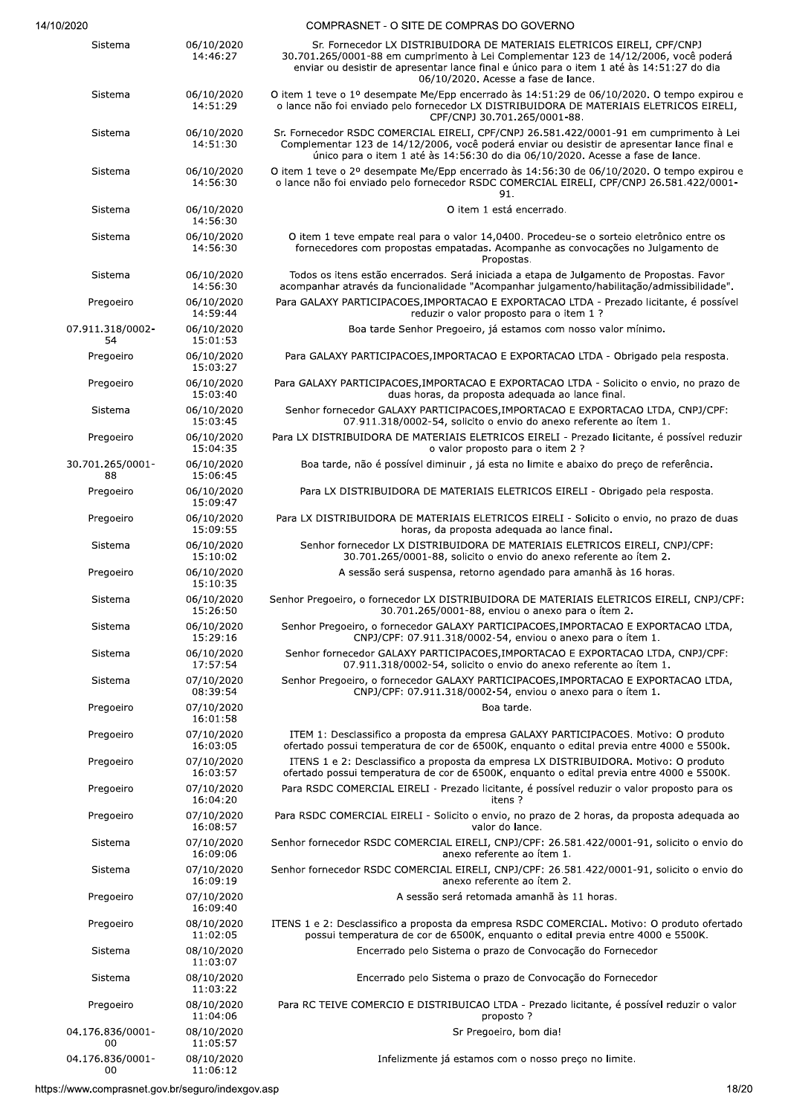| COMPRASNET - O SITE DE COMPRAS DO GOVERNO |  |
|-------------------------------------------|--|
|                                           |  |
|                                           |  |

| Sistema                | 06/10/2020<br>14:46:27 | Sr. Fornecedor LX DISTRIBUIDORA DE MATERIAIS ELETRICOS EIRELI, CPF/CNPJ<br>30.701.265/0001-88 em cumprimento à Lei Complementar 123 de 14/12/2006, você poderá<br>enviar ou desistir de apresentar lance final e único para o item 1 até às 14:51:27 do dia<br>06/10/2020. Acesse a fase de lance. |
|------------------------|------------------------|----------------------------------------------------------------------------------------------------------------------------------------------------------------------------------------------------------------------------------------------------------------------------------------------------|
| Sistema                | 06/10/2020<br>14:51:29 | O item 1 teve o 1º desempate Me/Epp encerrado às 14:51:29 de 06/10/2020. O tempo expirou e<br>o lance não foi enviado pelo fornecedor LX DISTRIBUIDORA DE MATERIAIS ELETRICOS EIRELI,<br>CPF/CNPJ 30.701.265/0001-88.                                                                              |
| Sistema                | 06/10/2020<br>14:51:30 | Sr. Fornecedor RSDC COMERCIAL EIRELI, CPF/CNPJ 26.581.422/0001-91 em cumprimento à Lei<br>Complementar 123 de 14/12/2006, você poderá enviar ou desistir de apresentar lance final e<br>único para o item 1 até às 14:56:30 do dia 06/10/2020. Acesse a fase de lance.                             |
| Sistema                | 06/10/2020<br>14:56:30 | O item 1 teve o 2º desempate Me/Epp encerrado às 14:56:30 de 06/10/2020. O tempo expirou e<br>o lance não foi enviado pelo fornecedor RSDC COMERCIAL EIRELI, CPF/CNPJ 26.581.422/0001-<br>91.                                                                                                      |
| Sistema                | 06/10/2020<br>14:56:30 | O item 1 está encerrado.                                                                                                                                                                                                                                                                           |
| Sistema                | 06/10/2020<br>14:56:30 | O item 1 teve empate real para o valor 14,0400. Procedeu-se o sorteio eletrônico entre os<br>fornecedores com propostas empatadas. Acompanhe as convocações no Julgamento de<br>Propostas.                                                                                                         |
| Sistema                | 06/10/2020<br>14:56:30 | Todos os itens estão encerrados. Será iniciada a etapa de Julgamento de Propostas. Favor<br>acompanhar através da funcionalidade "Acompanhar julgamento/habilitação/admissibilidade".                                                                                                              |
| Pregoeiro              | 06/10/2020<br>14:59:44 | Para GALAXY PARTICIPACOES, IMPORTACAO E EXPORTACAO LTDA - Prezado licitante, é possível<br>reduzir o valor proposto para o item 1 ?                                                                                                                                                                |
| 07.911.318/0002-<br>54 | 06/10/2020<br>15:01:53 | Boa tarde Senhor Pregoeiro, já estamos com nosso valor mínimo.                                                                                                                                                                                                                                     |
| Pregoeiro              | 06/10/2020<br>15:03:27 | Para GALAXY PARTICIPACOES, IMPORTACAO E EXPORTACAO LTDA - Obrigado pela resposta.                                                                                                                                                                                                                  |
| Pregoeiro              | 06/10/2020<br>15:03:40 | Para GALAXY PARTICIPACOES, IMPORTACAO E EXPORTACAO LTDA - Solicito o envio, no prazo de<br>duas horas, da proposta adeguada ao lance final.                                                                                                                                                        |
| Sistema                | 06/10/2020<br>15:03:45 | Senhor fornecedor GALAXY PARTICIPACOES, IMPORTACAO E EXPORTACAO LTDA, CNPJ/CPF:<br>07.911.318/0002-54, solicito o envio do anexo referente ao ítem 1.                                                                                                                                              |
| Pregoeiro              | 06/10/2020<br>15:04:35 | Para LX DISTRIBUIDORA DE MATERIAIS ELETRICOS EIRELI - Prezado licitante, é possível reduzir<br>o valor proposto para o item 2 ?                                                                                                                                                                    |
| 30.701.265/0001-<br>88 | 06/10/2020<br>15:06:45 | Boa tarde, não é possível diminuir, já esta no limite e abaixo do preço de referência.                                                                                                                                                                                                             |
| Pregoeiro              | 06/10/2020<br>15:09:47 | Para LX DISTRIBUIDORA DE MATERIAIS ELETRICOS EIRELI - Obrigado pela resposta.                                                                                                                                                                                                                      |
| Pregoeiro              | 06/10/2020<br>15:09:55 | Para LX DISTRIBUIDORA DE MATERIAIS ELETRICOS EIRELI - Solicito o envio, no prazo de duas<br>horas, da proposta adequada ao lance final.                                                                                                                                                            |
| Sistema                | 06/10/2020<br>15:10:02 | Senhor fornecedor LX DISTRIBUIDORA DE MATERIAIS ELETRICOS EIRELI, CNPJ/CPF:<br>30.701.265/0001-88, solicito o envio do anexo referente ao ítem 2.                                                                                                                                                  |
| Pregoeiro              | 06/10/2020<br>15:10:35 | A sessão será suspensa, retorno agendado para amanhã às 16 horas.                                                                                                                                                                                                                                  |
| Sistema                | 06/10/2020<br>15:26:50 | Senhor Pregoeiro, o fornecedor LX DISTRIBUIDORA DE MATERIAIS ELETRICOS EIRELI, CNPJ/CPF:<br>30.701.265/0001-88, enviou o anexo para o ítem 2.                                                                                                                                                      |
| Sistema                | 06/10/2020<br>15:29:16 | Senhor Pregoeiro, o fornecedor GALAXY PARTICIPACOES, IMPORTACAO E EXPORTACAO LTDA,<br>CNPJ/CPF: 07.911.318/0002-54, enviou o anexo para o ítem 1.                                                                                                                                                  |
| Sistema                | 06/10/2020<br>17:57:54 | Senhor fornecedor GALAXY PARTICIPACOES, IMPORTACAO E EXPORTACAO LTDA, CNPJ/CPF:<br>07.911.318/0002-54, solicito o envio do anexo referente ao ítem 1.                                                                                                                                              |
| Sistema                | 07/10/2020<br>08:39:54 | Senhor Pregoeiro, o fornecedor GALAXY PARTICIPACOES, IMPORTACAO E EXPORTACAO LTDA,<br>CNPJ/CPF: 07.911.318/0002-54, enviou o anexo para o ítem 1.                                                                                                                                                  |
| Pregoeiro              | 07/10/2020<br>16:01:58 | Boa tarde.                                                                                                                                                                                                                                                                                         |
| Pregoeiro              | 07/10/2020<br>16:03:05 | ITEM 1: Desclassifico a proposta da empresa GALAXY PARTICIPACOES. Motivo: O produto<br>ofertado possui temperatura de cor de 6500K, enguanto o edital previa entre 4000 e 5500k.                                                                                                                   |
| Pregoeiro              | 07/10/2020<br>16:03:57 | ITENS 1 e 2: Desclassifico a proposta da empresa LX DISTRIBUIDORA. Motivo: O produto<br>ofertado possui temperatura de cor de 6500K, enguanto o edital previa entre 4000 e 5500K.                                                                                                                  |
| Pregoeiro              | 07/10/2020<br>16:04:20 | Para RSDC COMERCIAL EIRELI - Prezado licitante, é possível reduzir o valor proposto para os<br>itens?                                                                                                                                                                                              |
| Pregoeiro              | 07/10/2020<br>16:08:57 | Para RSDC COMERCIAL EIRELI - Solicito o envio, no prazo de 2 horas, da proposta adequada ao<br>valor do lance.                                                                                                                                                                                     |
| Sistema                | 07/10/2020<br>16:09:06 | Senhor fornecedor RSDC COMERCIAL EIRELI, CNPJ/CPF: 26.581.422/0001-91, solicito o envio do<br>anexo referente ao ítem 1.                                                                                                                                                                           |
| Sistema                | 07/10/2020<br>16:09:19 | Senhor fornecedor RSDC COMERCIAL EIRELI, CNPJ/CPF: 26.581.422/0001-91, solicito o envio do<br>anexo referente ao ítem 2.                                                                                                                                                                           |
| Pregoeiro              | 07/10/2020<br>16:09:40 | A sessão será retomada amanhã às 11 horas.                                                                                                                                                                                                                                                         |
| Pregoeiro              | 08/10/2020<br>11:02:05 | ITENS 1 e 2: Desclassifico a proposta da empresa RSDC COMERCIAL. Motivo: O produto ofertado<br>possui temperatura de cor de 6500K, enquanto o edital previa entre 4000 e 5500K.                                                                                                                    |
| Sistema                | 08/10/2020<br>11:03:07 | Encerrado pelo Sistema o prazo de Convocação do Fornecedor                                                                                                                                                                                                                                         |
| Sistema                | 08/10/2020<br>11:03:22 | Encerrado pelo Sistema o prazo de Convocação do Fornecedor                                                                                                                                                                                                                                         |
| Pregoeiro              | 08/10/2020<br>11:04:06 | Para RC TEIVE COMERCIO E DISTRIBUICAO LTDA - Prezado licitante, é possível reduzir o valor<br>proposto?                                                                                                                                                                                            |
| 04.176.836/0001-<br>00 | 08/10/2020<br>11:05:57 | Sr Pregoeiro, bom dia!                                                                                                                                                                                                                                                                             |
| 04.176.836/0001-<br>00 | 08/10/2020<br>11:06:12 | Infelizmente já estamos com o nosso preço no limite.                                                                                                                                                                                                                                               |